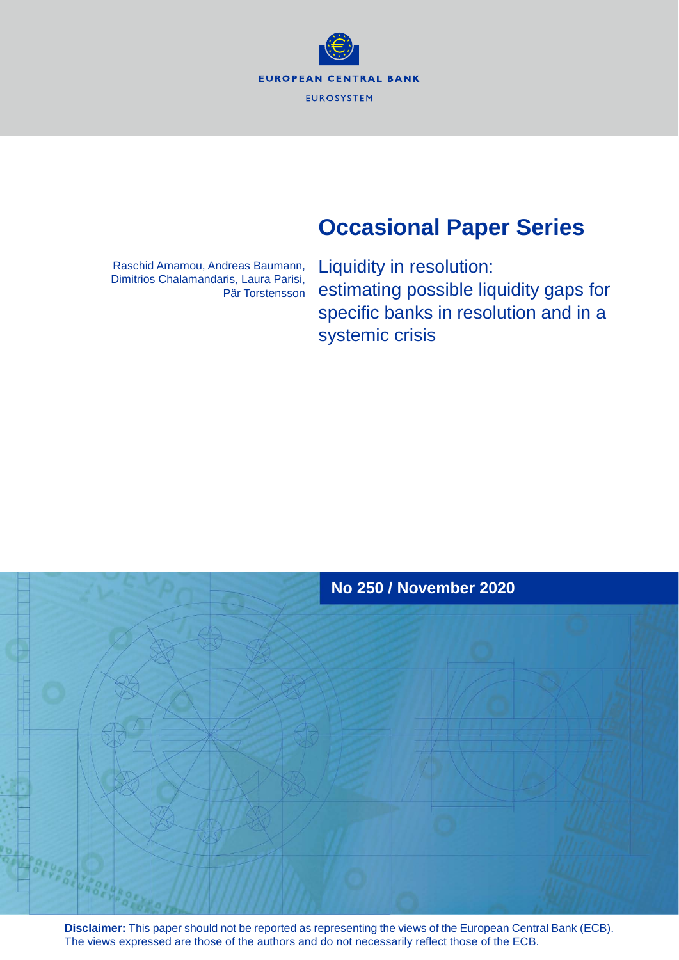**EUROPEAN CENTRAL BANK EUROSYSTEM** 

# **Occasional Paper Series**

Raschid Amamou, Andreas Baumann, Dimitrios Chalamandaris, Laura Parisi, Pär Torstensson Liquidity in resolution: estimating possible liquidity gaps for specific banks in resolution and in a systemic crisis



**Disclaimer:** This paper should not be reported as representing the views of the European Central Bank (ECB). The views expressed are those of the authors and do not necessarily reflect those of the ECB.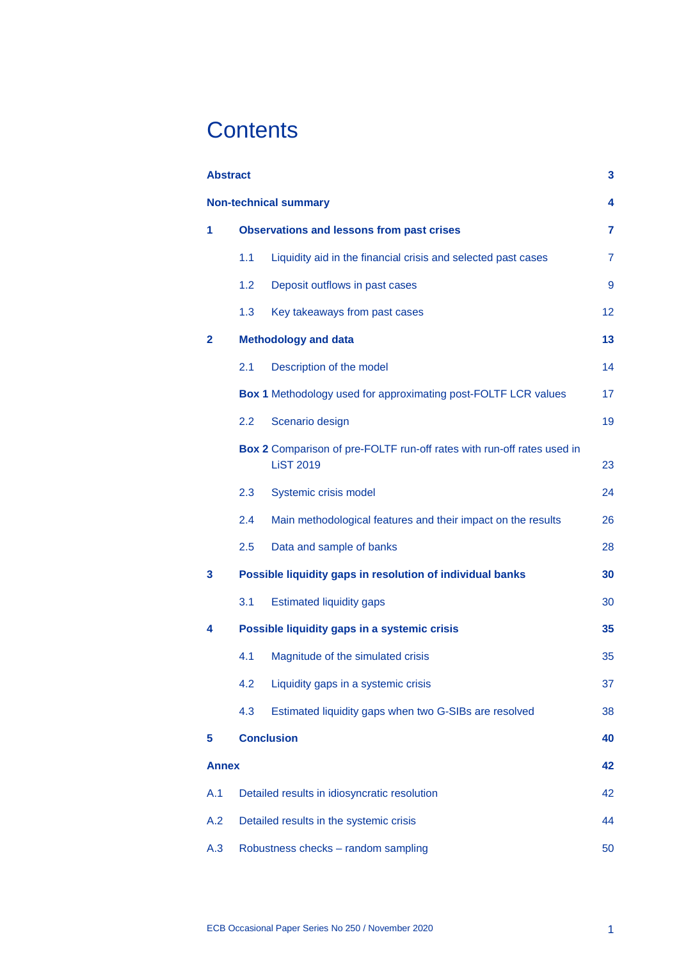# **Contents**

| <b>Abstract</b> |                                                  |                                                                                            | 3              |  |  |  |  |  |  |
|-----------------|--------------------------------------------------|--------------------------------------------------------------------------------------------|----------------|--|--|--|--|--|--|
|                 | <b>Non-technical summary</b>                     |                                                                                            |                |  |  |  |  |  |  |
| 1               | <b>Observations and lessons from past crises</b> |                                                                                            |                |  |  |  |  |  |  |
|                 | 1.1                                              | Liquidity aid in the financial crisis and selected past cases                              | $\overline{7}$ |  |  |  |  |  |  |
|                 | 1.2                                              | Deposit outflows in past cases                                                             | 9              |  |  |  |  |  |  |
|                 | 1.3                                              | Key takeaways from past cases                                                              | 12             |  |  |  |  |  |  |
| 2               |                                                  | <b>Methodology and data</b>                                                                | 13             |  |  |  |  |  |  |
|                 | 2.1                                              | Description of the model                                                                   | 14             |  |  |  |  |  |  |
|                 |                                                  | <b>Box 1</b> Methodology used for approximating post-FOLTF LCR values                      | 17             |  |  |  |  |  |  |
|                 | 2.2                                              | Scenario design                                                                            | 19             |  |  |  |  |  |  |
|                 |                                                  | Box 2 Comparison of pre-FOLTF run-off rates with run-off rates used in<br><b>LiST 2019</b> | 23             |  |  |  |  |  |  |
|                 | 2.3                                              | Systemic crisis model                                                                      | 24             |  |  |  |  |  |  |
|                 | 2.4                                              | Main methodological features and their impact on the results                               | 26             |  |  |  |  |  |  |
|                 | 2.5                                              | Data and sample of banks                                                                   | 28             |  |  |  |  |  |  |
| 3               |                                                  | Possible liquidity gaps in resolution of individual banks                                  | 30             |  |  |  |  |  |  |
|                 | 3.1                                              | <b>Estimated liquidity gaps</b>                                                            | 30             |  |  |  |  |  |  |
| 4               |                                                  | Possible liquidity gaps in a systemic crisis                                               | 35             |  |  |  |  |  |  |
|                 | 4.1                                              | Magnitude of the simulated crisis                                                          | 35             |  |  |  |  |  |  |
|                 | 4.2                                              | Liquidity gaps in a systemic crisis                                                        | 37             |  |  |  |  |  |  |
|                 | 4.3                                              | Estimated liquidity gaps when two G-SIBs are resolved                                      | 38             |  |  |  |  |  |  |
| 5               |                                                  | <b>Conclusion</b>                                                                          | 40             |  |  |  |  |  |  |
| <b>Annex</b>    |                                                  |                                                                                            | 42             |  |  |  |  |  |  |
| A.1             |                                                  | Detailed results in idiosyncratic resolution                                               | 42             |  |  |  |  |  |  |
| A.2             |                                                  | Detailed results in the systemic crisis                                                    | 44             |  |  |  |  |  |  |
| A.3             | Robustness checks - random sampling<br>50        |                                                                                            |                |  |  |  |  |  |  |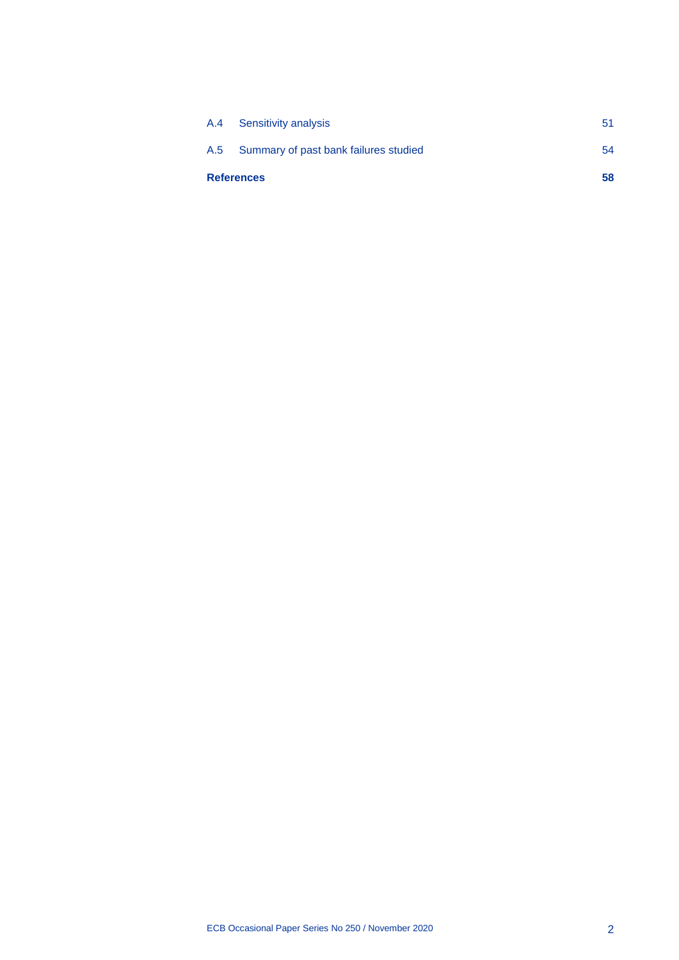| <b>References</b> |                                           | 58 |
|-------------------|-------------------------------------------|----|
|                   | A.5 Summary of past bank failures studied | 54 |
|                   | A.4 Sensitivity analysis                  | 51 |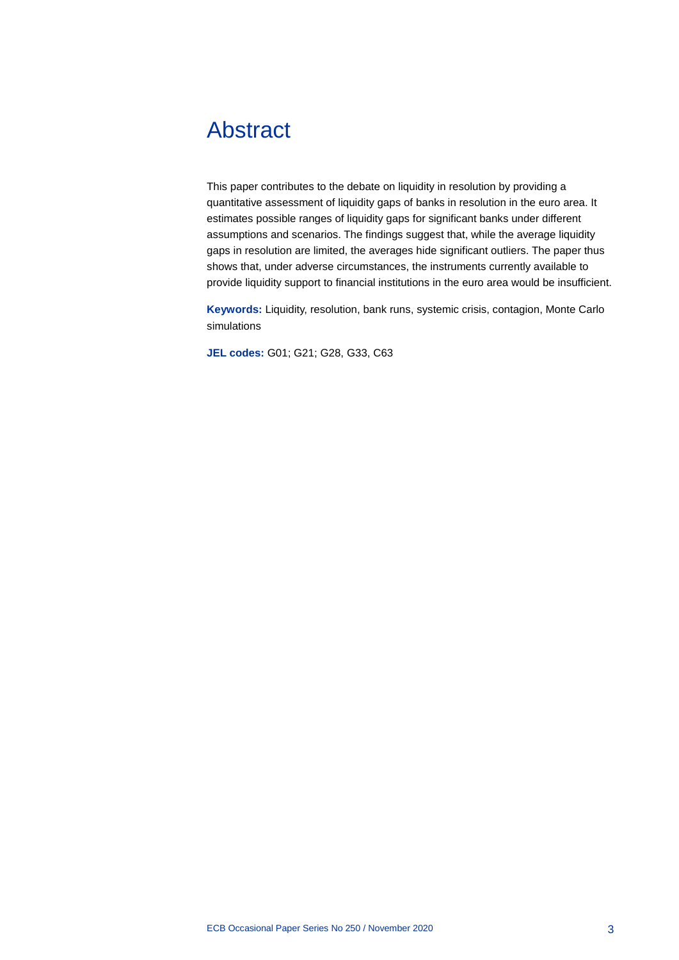# <span id="page-3-0"></span>Abstract

This paper contributes to the debate on liquidity in resolution by providing a quantitative assessment of liquidity gaps of banks in resolution in the euro area. It estimates possible ranges of liquidity gaps for significant banks under different assumptions and scenarios. The findings suggest that, while the average liquidity gaps in resolution are limited, the averages hide significant outliers. The paper thus shows that, under adverse circumstances, the instruments currently available to provide liquidity support to financial institutions in the euro area would be insufficient.

**Keywords:** Liquidity, resolution, bank runs, systemic crisis, contagion, Monte Carlo simulations

**JEL codes:** G01; G21; G28, G33, C63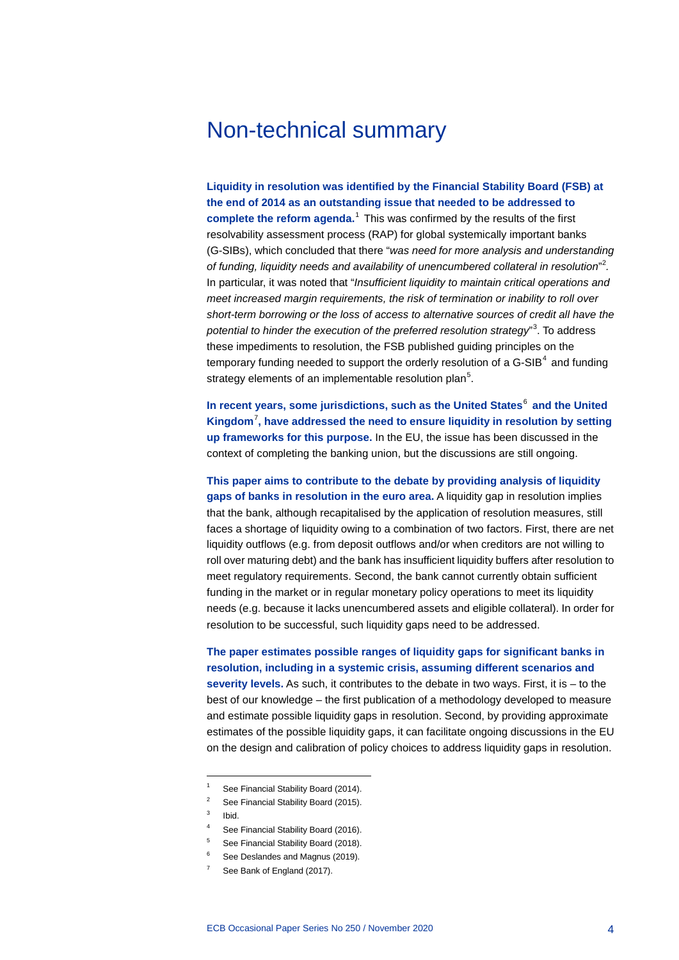## <span id="page-4-0"></span>Non-technical summary

**Liquidity in resolution was identified by the Financial Stability Board (FSB) at the end of 2014 as an outstanding issue that needed to be addressed to complete the reform agenda.**[1](#page-4-1) This was confirmed by the results of the first resolvability assessment process (RAP) for global systemically important banks (G-SIBs), which concluded that there "*was need for more analysis and understanding of funding, liquidity needs and availability of unencumbered collateral in resolution*" [2](#page-4-2) *.*  In particular, it was noted that "*Insufficient liquidity to maintain critical operations and meet increased margin requirements, the risk of termination or inability to roll over short-term borrowing or the loss of access to alternative sources of credit all have the potential to hinder the execution of the preferred resolution strategy*" [3](#page-4-3) . To address these impediments to resolution, the FSB published guiding principles on the temporary funding needed to support the orderly resolution of a G-SIB<sup>[4](#page-4-4)</sup> and funding strategy elements of an implementable resolution plan<sup>[5](#page-4-5)</sup>.

**In recent years, some jurisdictions, such as the United States**[6](#page-4-6) **and the United Kingdom**[7](#page-4-7) **, have addressed the need to ensure liquidity in resolution by setting up frameworks for this purpose.** In the EU, the issue has been discussed in the context of completing the banking union, but the discussions are still ongoing.

**This paper aims to contribute to the debate by providing analysis of liquidity gaps of banks in resolution in the euro area.** A liquidity gap in resolution implies that the bank, although recapitalised by the application of resolution measures, still faces a shortage of liquidity owing to a combination of two factors. First, there are net liquidity outflows (e.g. from deposit outflows and/or when creditors are not willing to roll over maturing debt) and the bank has insufficient liquidity buffers after resolution to meet regulatory requirements. Second, the bank cannot currently obtain sufficient funding in the market or in regular monetary policy operations to meet its liquidity needs (e.g. because it lacks unencumbered assets and eligible collateral). In order for resolution to be successful, such liquidity gaps need to be addressed.

**The paper estimates possible ranges of liquidity gaps for significant banks in resolution, including in a systemic crisis, assuming different scenarios and severity levels.** As such, it contributes to the debate in two ways. First, it is – to the best of our knowledge – the first publication of a methodology developed to measure and estimate possible liquidity gaps in resolution. Second, by providing approximate estimates of the possible liquidity gaps, it can facilitate ongoing discussions in the EU on the design and calibration of policy choices to address liquidity gaps in resolution.

- <span id="page-4-2"></span><sup>2</sup> See Financial Stability Board (2015).
- <span id="page-4-3"></span> $3$  Ibid.

- See Financial Stability Board (2016).
- <span id="page-4-5"></span><span id="page-4-4"></span><sup>5</sup> See Financial Stability Board (2018).
- <span id="page-4-7"></span><span id="page-4-6"></span>See Deslandes and Magnus (2019).
- See Bank of England (2017).

<span id="page-4-1"></span>See Financial Stability Board (2014).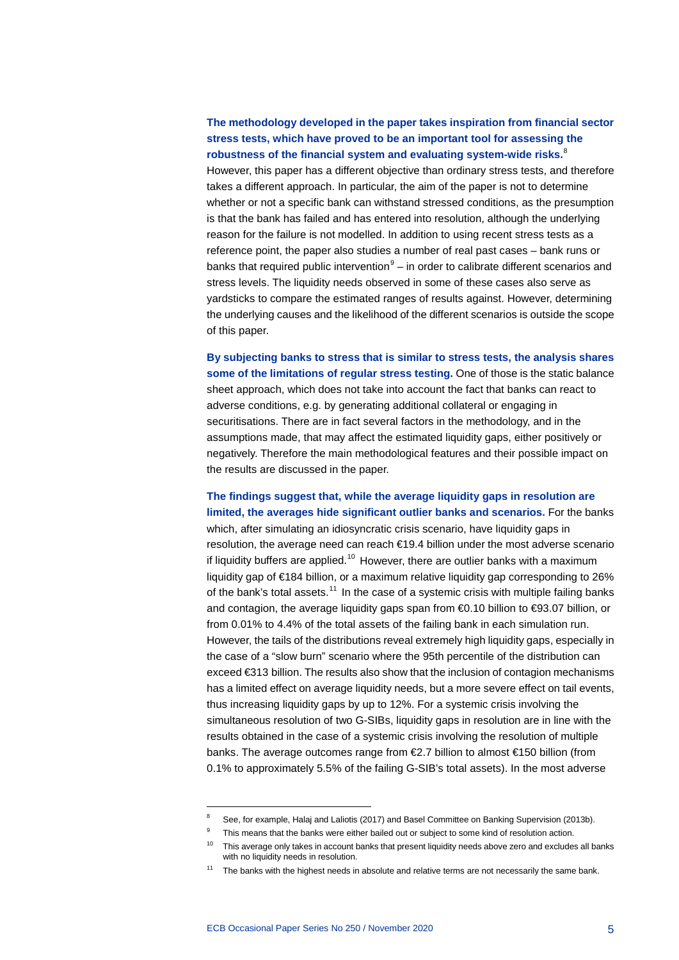## **The methodology developed in the paper takes inspiration from financial sector stress tests, which have proved to be an important tool for assessing the robustness of the financial system and evaluating system-wide risks.**[8](#page-5-0) However, this paper has a different objective than ordinary stress tests, and therefore

takes a different approach. In particular, the aim of the paper is not to determine whether or not a specific bank can withstand stressed conditions, as the presumption is that the bank has failed and has entered into resolution, although the underlying reason for the failure is not modelled. In addition to using recent stress tests as a reference point, the paper also studies a number of real past cases – bank runs or banks that required public intervention $9 9 -$  in order to calibrate different scenarios and stress levels. The liquidity needs observed in some of these cases also serve as yardsticks to compare the estimated ranges of results against. However, determining the underlying causes and the likelihood of the different scenarios is outside the scope of this paper.

## **By subjecting banks to stress that is similar to stress tests, the analysis shares some of the limitations of regular stress testing.** One of those is the static balance sheet approach, which does not take into account the fact that banks can react to adverse conditions, e.g. by generating additional collateral or engaging in securitisations. There are in fact several factors in the methodology, and in the assumptions made, that may affect the estimated liquidity gaps, either positively or negatively. Therefore the main methodological features and their possible impact on the results are discussed in the paper.

## **The findings suggest that, while the average liquidity gaps in resolution are limited, the averages hide significant outlier banks and scenarios.** For the banks which, after simulating an idiosyncratic crisis scenario, have liquidity gaps in resolution, the average need can reach €19.4 billion under the most adverse scenario if liquidity buffers are applied.<sup>[10](#page-5-2)</sup> However, there are outlier banks with a maximum liquidity gap of €184 billion, or a maximum relative liquidity gap corresponding to 26% of the bank's total assets.<sup>[11](#page-5-3)</sup> In the case of a systemic crisis with multiple failing banks and contagion, the average liquidity gaps span from €0.10 billion to €93.07 billion, or from 0.01% to 4.4% of the total assets of the failing bank in each simulation run. However, the tails of the distributions reveal extremely high liquidity gaps, especially in the case of a "slow burn" scenario where the 95th percentile of the distribution can exceed €313 billion. The results also show that the inclusion of contagion mechanisms has a limited effect on average liquidity needs, but a more severe effect on tail events, thus increasing liquidity gaps by up to 12%. For a systemic crisis involving the simultaneous resolution of two G-SIBs, liquidity gaps in resolution are in line with the results obtained in the case of a systemic crisis involving the resolution of multiple banks. The average outcomes range from €2.7 billion to almost €150 billion (from 0.1% to approximately 5.5% of the failing G-SIB's total assets). In the most adverse

<span id="page-5-0"></span><sup>&</sup>lt;sup>8</sup> See, for example, Halaj and Laliotis (2017) and Basel Committee on Banking Supervision (2013b).

<span id="page-5-1"></span><sup>&</sup>lt;sup>9</sup> This means that the banks were either bailed out or subject to some kind of resolution action.

<span id="page-5-2"></span> $10$  This average only takes in account banks that present liquidity needs above zero and excludes all banks with no liquidity needs in resolution.

<span id="page-5-3"></span> $11$  The banks with the highest needs in absolute and relative terms are not necessarily the same bank.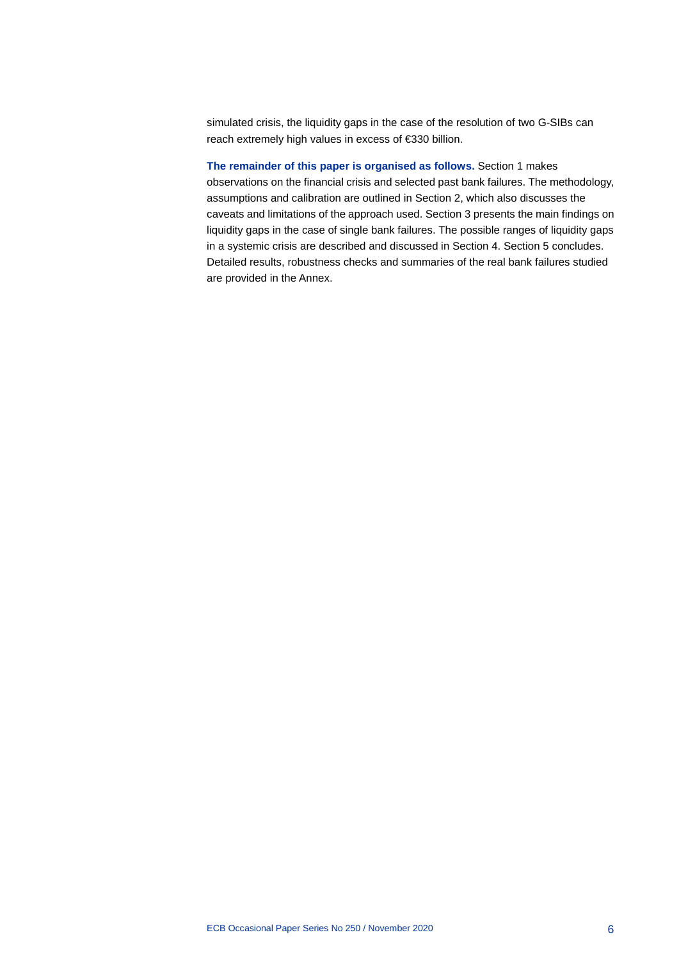simulated crisis, the liquidity gaps in the case of the resolution of two G-SIBs can reach extremely high values in excess of €330 billion.

**The remainder of this paper is organised as follows.** Section 1 makes observations on the financial crisis and selected past bank failures. The methodology, assumptions and calibration are outlined in Section 2, which also discusses the caveats and limitations of the approach used. Section 3 presents the main findings on liquidity gaps in the case of single bank failures. The possible ranges of liquidity gaps in a systemic crisis are described and discussed in Section 4. Section 5 concludes. Detailed results, robustness checks and summaries of the real bank failures studied are provided in the Annex.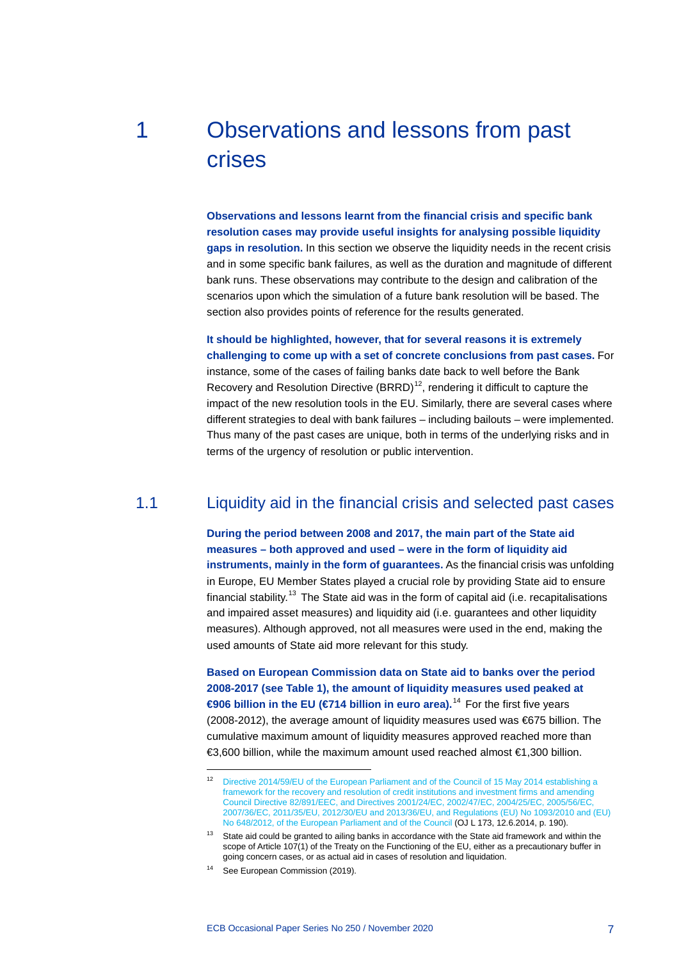# <span id="page-7-0"></span>1 Observations and lessons from past crises

**Observations and lessons learnt from the financial crisis and specific bank resolution cases may provide useful insights for analysing possible liquidity gaps in resolution.** In this section we observe the liquidity needs in the recent crisis and in some specific bank failures, as well as the duration and magnitude of different bank runs. These observations may contribute to the design and calibration of the scenarios upon which the simulation of a future bank resolution will be based. The section also provides points of reference for the results generated.

**It should be highlighted, however, that for several reasons it is extremely challenging to come up with a set of concrete conclusions from past cases.** For instance, some of the cases of failing banks date back to well before the Bank Recovery and Resolution Directive  $(BRRD)^{12}$  $(BRRD)^{12}$  $(BRRD)^{12}$ , rendering it difficult to capture the impact of the new resolution tools in the EU. Similarly, there are several cases where different strategies to deal with bank failures – including bailouts – were implemented. Thus many of the past cases are unique, both in terms of the underlying risks and in terms of the urgency of resolution or public intervention.

## 1.1 Liquidity aid in the financial crisis and selected past cases

<span id="page-7-1"></span>**During the period between 2008 and 2017, the main part of the State aid measures – both approved and used – were in the form of liquidity aid instruments, mainly in the form of guarantees.** As the financial crisis was unfolding in Europe, EU Member States played a crucial role by providing State aid to ensure financial stability.<sup>[13](#page-7-3)</sup> The State aid was in the form of capital aid (i.e. recapitalisations and impaired asset measures) and liquidity aid (i.e. guarantees and other liquidity measures). Although approved, not all measures were used in the end, making the used amounts of State aid more relevant for this study.

**Based on European Commission data on State aid to banks over the period 2008-2017 (see Table 1), the amount of liquidity measures used peaked at €906 billion in the EU (€714 billion in euro area).**[14](#page-7-4) For the first five years (2008-2012), the average amount of liquidity measures used was €675 billion. The cumulative maximum amount of liquidity measures approved reached more than €3,600 billion, while the maximum amount used reached almost €1,300 billion.

<span id="page-7-2"></span><sup>12</sup> [Directive 2014/59/EU of the European Parliament and of the Council of 15](http://data.europa.eu/eli/dir/2014/59/oj) May 2014 establishing a [framework for the recovery and resolution of credit institutions and investment firms and amending](http://data.europa.eu/eli/dir/2014/59/oj)  [Council Directive 82/891/EEC, and Directives 2001/24/EC, 2002/47/EC, 2004/25/EC, 2005/56/EC,](http://data.europa.eu/eli/dir/2014/59/oj)  [2007/36/EC, 2011/35/EU, 2012/30/EU and 2013/36/EU, and Regulations \(EU\) No](http://data.europa.eu/eli/dir/2014/59/oj) 1093/2010 and (EU) No [648/2012, of the European Parliament and of the Council](http://data.europa.eu/eli/dir/2014/59/oj) (OJ L 173, 12.6.2014, p. 190).

<span id="page-7-3"></span><sup>&</sup>lt;sup>13</sup> State aid could be granted to ailing banks in accordance with the State aid framework and within the scope of Article 107(1) of the Treaty on the Functioning of the EU, either as a precautionary buffer in going concern cases, or as actual aid in cases of resolution and liquidation.

<span id="page-7-4"></span><sup>&</sup>lt;sup>14</sup> See European Commission (2019).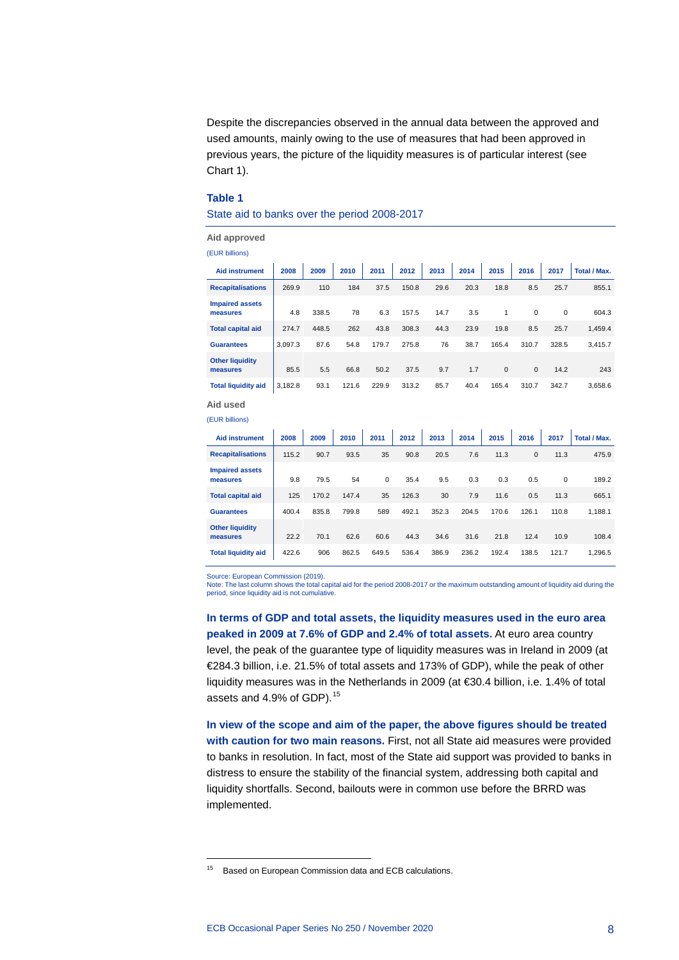Despite the discrepancies observed in the annual data between the approved and used amounts, mainly owing to the use of measures that had been approved in previous years, the picture of the liquidity measures is of particular interest (see Chart 1).

#### **Table 1**

#### State aid to banks over the period 2008-2017

**Aid approved** (EUR billions)

| וטווווט גוטשן                      |         |       |       |       |       |      |      |              |             |             |              |
|------------------------------------|---------|-------|-------|-------|-------|------|------|--------------|-------------|-------------|--------------|
| <b>Aid instrument</b>              | 2008    | 2009  | 2010  | 2011  | 2012  | 2013 | 2014 | 2015         | 2016        | 2017        | Total / Max. |
| <b>Recapitalisations</b>           | 269.9   | 110   | 184   | 37.5  | 150.8 | 29.6 | 20.3 | 18.8         | 8.5         | 25.7        | 855.1        |
| <b>Impaired assets</b><br>measures | 4.8     | 338.5 | 78    | 6.3   | 157.5 | 14.7 | 3.5  | 1            | $\mathbf 0$ | $\mathbf 0$ | 604.3        |
| <b>Total capital aid</b>           | 274.7   | 448.5 | 262   | 43.8  | 308.3 | 44.3 | 23.9 | 19.8         | 8.5         | 25.7        | 1,459.4      |
| <b>Guarantees</b>                  | 3.097.3 | 87.6  | 54.8  | 179.7 | 275.8 | 76   | 38.7 | 165.4        | 310.7       | 328.5       | 3,415.7      |
| <b>Other liquidity</b><br>measures | 85.5    | 5.5   | 66.8  | 50.2  | 37.5  | 9.7  | 1.7  | $\mathbf{0}$ | $\mathbf 0$ | 14.2        | 243          |
| <b>Total liquidity aid</b>         | 3,182.8 | 93.1  | 121.6 | 229.9 | 313.2 | 85.7 | 40.4 | 165.4        | 310.7       | 342.7       | 3,658.6      |

**Aid used**

-

| (EUR billions)                     |       |      |      |    |      |                                                |     |      |     |      |                     |
|------------------------------------|-------|------|------|----|------|------------------------------------------------|-----|------|-----|------|---------------------|
| <b>Aid instrument</b>              | 2008  | 2009 |      |    |      | 2010   2011   2012   2013   2014   2015   2016 |     |      |     | 2017 | <b>Total / Max.</b> |
| <b>Recapitalisations</b>           | 115.2 | 90.7 | 93.5 | 35 | 90.8 | 20.5                                           | 7.6 | 11.3 | 0   | 11.3 | 475.9               |
| <b>Impaired assets</b><br>measures | 9.8   | 79.5 | 54   | 0  | 35.4 | 9.5                                            | 0.3 | 0.3  | 0.5 | 0    | 189.2               |

| <br>measures                       | 9.8   | 79.5  | 54    | 0     | 35.4  | 9.5   | 0.3   | 0.3   | 0.5   | $\Omega$ | 189.2   |
|------------------------------------|-------|-------|-------|-------|-------|-------|-------|-------|-------|----------|---------|
| <b>Total capital aid</b>           | 125   | 170.2 | 147.4 | 35    | 126.3 | 30    | 7.9   | 11.6  | 0.5   | 11.3     | 665.1   |
| <b>Guarantees</b>                  | 400.4 | 835.8 | 799.8 | 589   | 492.1 | 352.3 | 204.5 | 170.6 | 126.1 | 110.8    | 1.188.1 |
| <b>Other liquidity</b><br>measures | 22.2  | 70.1  | 62.6  | 60.6  | 44.3  | 34.6  | 31.6  | 21.8  | 12.4  | 10.9     | 108.4   |
| <b>Total liquidity aid</b>         | 422.6 | 906   | 862.5 | 649.5 | 536.4 | 386.9 | 236.2 | 192.4 | 138.5 | 121.7    | 1.296.5 |

Source: European Commission (2019).

Note: The last column shows the total capital aid for the period 2008-2017 or the maximum outstanding amount of liquidity aid during the period, since liquidity aid is not cumulative.

**In terms of GDP and total assets, the liquidity measures used in the euro area peaked in 2009 at 7.6% of GDP and 2.4% of total assets.** At euro area country level, the peak of the guarantee type of liquidity measures was in Ireland in 2009 (at €284.3 billion, i.e. 21.5% of total assets and 173% of GDP), while the peak of other liquidity measures was in the Netherlands in 2009 (at €30.4 billion, i.e. 1.4% of total assets and 4.9% of GDP).<sup>[15](#page-8-0)</sup>

**In view of the scope and aim of the paper, the above figures should be treated with caution for two main reasons.** First, not all State aid measures were provided to banks in resolution. In fact, most of the State aid support was provided to banks in distress to ensure the stability of the financial system, addressing both capital and liquidity shortfalls. Second, bailouts were in common use before the BRRD was implemented.

<span id="page-8-0"></span><sup>15</sup> Based on European Commission data and ECB calculations.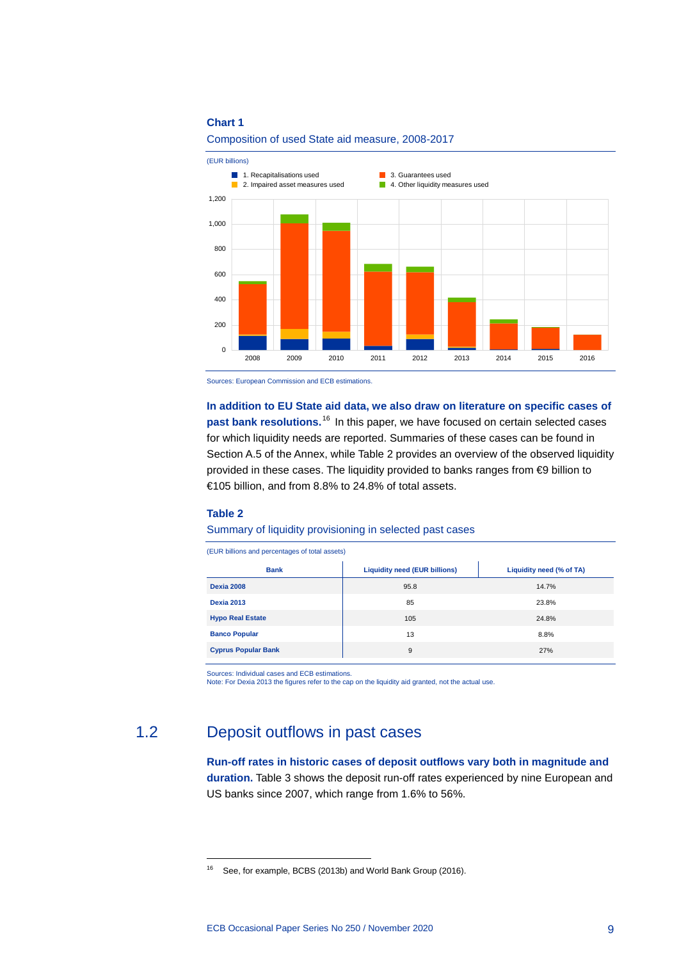#### **Chart 1**



Composition of used State aid measure, 2008-2017

Sources: European Commission and ECB estimations.

**In addition to EU State aid data, we also draw on literature on specific cases of past bank resolutions.**[16](#page-9-1) In this paper, we have focused on certain selected cases for which liquidity needs are reported. Summaries of these cases can be found in Section A.5 of the Annex, while Table 2 provides an overview of the observed liquidity provided in these cases. The liquidity provided to banks ranges from €9 billion to €105 billion, and from 8.8% to 24.8% of total assets.

#### **Table 2**

-

#### Summary of liquidity provisioning in selected past cases

(EUR billions and percentages of total assets)

| <b>Bank</b>                | <b>Liquidity need (EUR billions)</b> | Liquidity need (% of TA) |
|----------------------------|--------------------------------------|--------------------------|
| <b>Dexia 2008</b>          | 95.8                                 | 14.7%                    |
| <b>Dexia 2013</b>          | 85                                   | 23.8%                    |
| <b>Hypo Real Estate</b>    | 105                                  | 24.8%                    |
| <b>Banco Popular</b>       | 13                                   | 8.8%                     |
| <b>Cyprus Popular Bank</b> | 9                                    | 27%                      |

Sources: Individual cases and ECB estimations.

<span id="page-9-0"></span>Note: For Dexia 2013 the figures refer to the cap on the liquidity aid granted, not the actual use.

## <span id="page-9-1"></span>1.2 Deposit outflows in past cases

**Run-off rates in historic cases of deposit outflows vary both in magnitude and duration.** Table 3 shows the deposit run-off rates experienced by nine European and US banks since 2007, which range from 1.6% to 56%.

<sup>&</sup>lt;sup>16</sup> See, for example, BCBS (2013b) and World Bank Group (2016).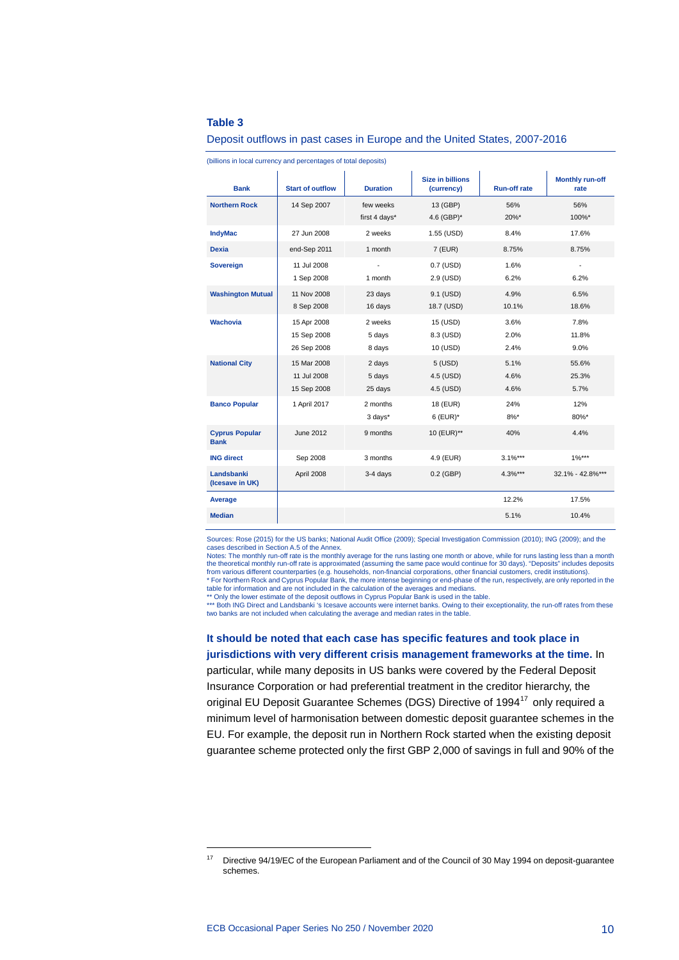#### **Table 3**

#### Deposit outflows in past cases in Europe and the United States, 2007-2016

| <b>Bank</b>                          | <b>Start of outflow</b>                   | <b>Duration</b>             | <b>Size in billions</b><br>(currency) | <b>Run-off rate</b>  | <b>Monthly run-off</b><br>rate   |
|--------------------------------------|-------------------------------------------|-----------------------------|---------------------------------------|----------------------|----------------------------------|
| <b>Northern Rock</b>                 | 14 Sep 2007                               | few weeks<br>first 4 days*  | 13 (GBP)<br>4.6 (GBP)*                | 56%<br>20%*          | 56%<br>100%*                     |
| <b>IndyMac</b>                       | 27 Jun 2008                               | 2 weeks                     | 1.55 (USD)                            | 8.4%                 | 17.6%                            |
| <b>Dexia</b>                         | end-Sep 2011                              | 1 month                     | 7 (EUR)                               | 8.75%                | 8.75%                            |
| <b>Sovereign</b>                     | 11 Jul 2008<br>1 Sep 2008                 | ÷<br>1 month                | 0.7 (USD)<br>2.9 (USD)                | 1.6%<br>6.2%         | $\overline{\phantom{a}}$<br>6.2% |
| <b>Washington Mutual</b>             | 11 Nov 2008<br>8 Sep 2008                 | 23 days<br>16 days          | 9.1 (USD)<br>18.7 (USD)               | 4.9%<br>10.1%        | 6.5%<br>18.6%                    |
| <b>Wachovia</b>                      | 15 Apr 2008<br>15 Sep 2008<br>26 Sep 2008 | 2 weeks<br>5 days<br>8 days | 15 (USD)<br>8.3 (USD)<br>10 (USD)     | 3.6%<br>2.0%<br>2.4% | 7.8%<br>11.8%<br>9.0%            |
| <b>National City</b>                 | 15 Mar 2008<br>11 Jul 2008<br>15 Sep 2008 | 2 days<br>5 days<br>25 days | 5 (USD)<br>4.5 (USD)<br>4.5 (USD)     | 5.1%<br>4.6%<br>4.6% | 55.6%<br>25.3%<br>5.7%           |
| <b>Banco Popular</b>                 | 1 April 2017                              | 2 months<br>3 days*         | 18 (EUR)<br>$6$ (EUR) <sup>*</sup>    | 24%<br>$8\%$ *       | 12%<br>80%*                      |
| <b>Cyprus Popular</b><br><b>Bank</b> | June 2012                                 | 9 months                    | 10 (EUR)**                            | 40%                  | 4.4%                             |
| <b>ING direct</b>                    | Sep 2008                                  | 3 months                    | 4.9 (EUR)                             | $3.1%***$            | $1\%***$                         |
| Landsbanki<br>(Icesave in UK)        | April 2008                                | 3-4 days                    | $0.2$ (GBP)                           | $4.3%***$            | 32.1% - 42.8%***                 |
| Average                              |                                           |                             |                                       | 12.2%                | 17.5%                            |
| <b>Median</b>                        |                                           |                             |                                       | 5.1%                 | 10.4%                            |

(billions in local currency and percentages of total deposits)

Sources: Rose (2015) for the US banks; National Audit Office (2009); Special Investigation Commission (2010); ING (2009); and the cases described in Section A.5 of the Annex.

Notes: The monthly run-off rate is the monthly average for the runs lasting one month or above, while for runs lasting less than a month the theoretical monthly run-off rate is approximated (assuming the same pace would continue for 30 days). "Deposits" includes deposits from various different counterparties (e.g. households, non-financial corporations, other financial customers, credit institutions). \* For Northern Rock and Cyprus Popular Bank, the more intense beginning or end-phase of the run, respectively, are only reported in the<br>table for information and are not included in the calculation of the averages and medi

\*\* Only the lower estimate of the deposit outflows in Cyprus Popular Bank is used in the table.<br>\*\*\* Both ING Direct and Landsbanki 's Icesave accounts were internet banks. Owing to their exceptionality, the run-off rates f two banks are not included when calculating the average and median rates in the table

**It should be noted that each case has specific features and took place in jurisdictions with very different crisis management frameworks at the time.** In particular, while many deposits in US banks were covered by the Federal Deposit Insurance Corporation or had preferential treatment in the creditor hierarchy, the original EU Deposit Guarantee Schemes (DGS) Directive of 1994<sup>[17](#page-10-0)</sup> only required a minimum level of harmonisation between domestic deposit guarantee schemes in the EU. For example, the deposit run in Northern Rock started when the existing deposit guarantee scheme protected only the first GBP 2,000 of savings in full and 90% of the

<span id="page-10-0"></span><sup>&</sup>lt;sup>17</sup> Directive 94/19/EC of the European Parliament and of the Council of 30 May 1994 on deposit-guarantee schemes.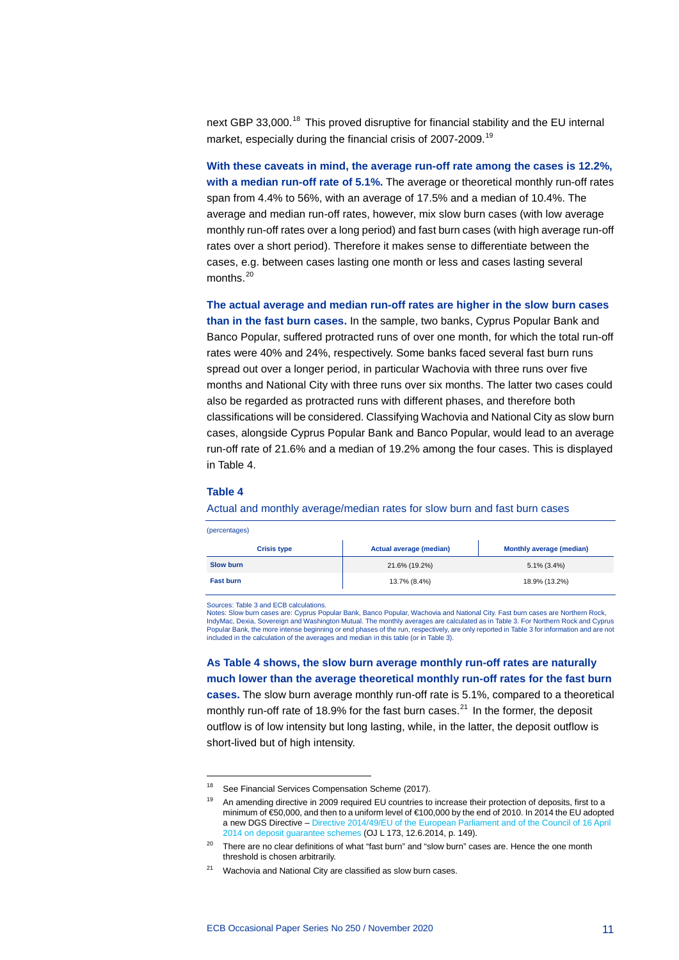next GBP 33,000.<sup>[18](#page-11-0)</sup> This proved disruptive for financial stability and the EU internal market, especially during the financial crisis of 2007-2009.<sup>[19](#page-11-1)</sup>

**With these caveats in mind, the average run-off rate among the cases is 12.2%, with a median run-off rate of 5.1%.** The average or theoretical monthly run-off rates span from 4.4% to 56%, with an average of 17.5% and a median of 10.4%. The average and median run-off rates, however, mix slow burn cases (with low average monthly run-off rates over a long period) and fast burn cases (with high average run-off rates over a short period). Therefore it makes sense to differentiate between the cases, e.g. between cases lasting one month or less and cases lasting several months.<sup>[20](#page-11-2)</sup>

**The actual average and median run-off rates are higher in the slow burn cases than in the fast burn cases.** In the sample, two banks, Cyprus Popular Bank and Banco Popular, suffered protracted runs of over one month, for which the total run-off rates were 40% and 24%, respectively. Some banks faced several fast burn runs spread out over a longer period, in particular Wachovia with three runs over five months and National City with three runs over six months. The latter two cases could also be regarded as protracted runs with different phases, and therefore both classifications will be considered. Classifying Wachovia and National City as slow burn cases, alongside Cyprus Popular Bank and Banco Popular, would lead to an average run-off rate of 21.6% and a median of 19.2% among the four cases. This is displayed in Table 4.

#### **Table 4**

-

Actual and monthly average/median rates for slow burn and fast burn cases

| (percentages)      |                                |                                 |  |  |  |  |  |  |  |  |  |
|--------------------|--------------------------------|---------------------------------|--|--|--|--|--|--|--|--|--|
| <b>Crisis type</b> | <b>Actual average (median)</b> | <b>Monthly average (median)</b> |  |  |  |  |  |  |  |  |  |
| <b>Slow burn</b>   | 21.6% (19.2%)                  | $5.1\%$ (3.4%)                  |  |  |  |  |  |  |  |  |  |
| <b>Fast burn</b>   | 13.7% (8.4%)                   | 18.9% (13.2%)                   |  |  |  |  |  |  |  |  |  |

Sources: Table 3 and ECB calculations.

Notes: Slow burn cases are: Cyprus Popular Bank, Banco Popular, Wachovia and National City. Fast burn cases are Northern Rock, IndyMac, Dexia, Sovereign and Washington Mutual. The monthly averages are calculated as in Table 3. For Northern Rock and Cyprus Popular Bank, the more intense beginning or end phases of the run, respectively, are only reported in Table 3 for information and are not included in the calculation of the averages and median in this table (or in Table 3).

**As Table 4 shows, the slow burn average monthly run-off rates are naturally much lower than the average theoretical monthly run-off rates for the fast burn cases.** The slow burn average monthly run-off rate is 5.1%, compared to a theoretical monthly run-off rate of 18.9% for the fast burn cases. $^{21}$  $^{21}$  $^{21}$  In the former, the deposit outflow is of low intensity but long lasting, while, in the latter, the deposit outflow is short-lived but of high intensity.

<span id="page-11-1"></span><span id="page-11-0"></span><sup>&</sup>lt;sup>18</sup> See Financial Services Compensation Scheme (2017).

<sup>&</sup>lt;sup>19</sup> An amending directive in 2009 required EU countries to increase their protection of deposits, first to a minimum of €50,000, and then to a uniform level of €100,000 by the end of 2010. In 2014 the EU adopted a new DGS Directive – [Directive 2014/49/EU of the European Parliament and of the Council of 16](http://data.europa.eu/eli/dir/2014/49/oj) April [2014 on deposit guarantee schemes](http://data.europa.eu/eli/dir/2014/49/oj) (OJ L 173, 12.6.2014, p. 149).

<span id="page-11-2"></span> $20$  There are no clear definitions of what "fast burn" and "slow burn" cases are. Hence the one month threshold is chosen arbitrarily.

<span id="page-11-3"></span> $21$  Wachovia and National City are classified as slow burn cases.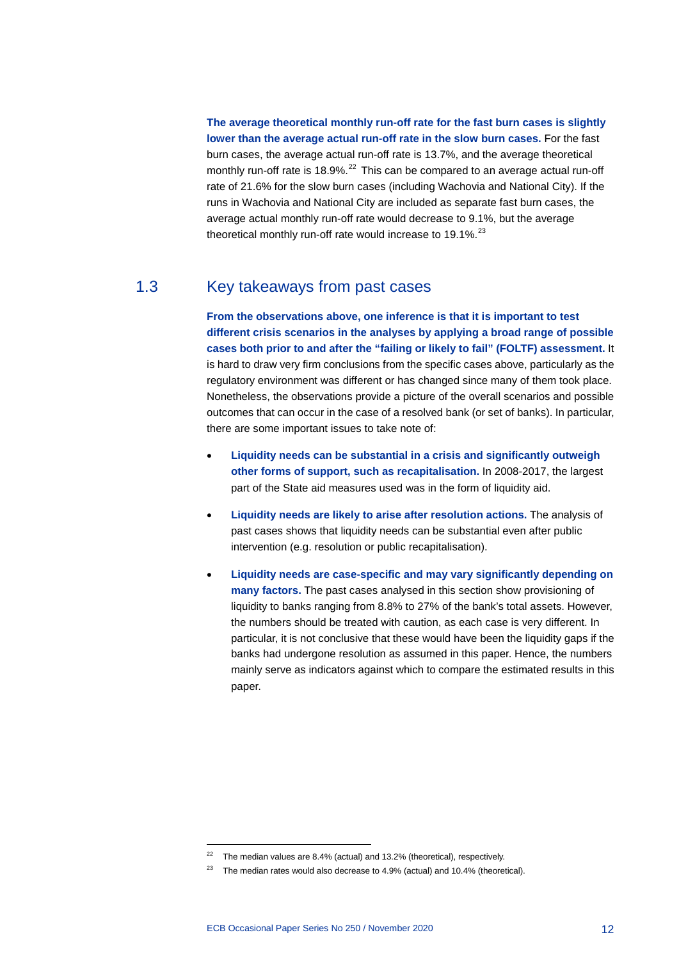**The average theoretical monthly run-off rate for the fast burn cases is slightly lower than the average actual run-off rate in the slow burn cases.** For the fast burn cases, the average actual run-off rate is 13.7%, and the average theoretical monthly run-off rate is 18.9%.<sup>[22](#page-12-1)</sup> This can be compared to an average actual run-off rate of 21.6% for the slow burn cases (including Wachovia and National City). If the runs in Wachovia and National City are included as separate fast burn cases, the average actual monthly run-off rate would decrease to 9.1%, but the average theoretical monthly run-off rate would increase to 19.1%. $^{23}$  $^{23}$  $^{23}$ 

## 1.3 Key takeaways from past cases

<span id="page-12-0"></span>**From the observations above, one inference is that it is important to test different crisis scenarios in the analyses by applying a broad range of possible cases both prior to and after the "failing or likely to fail" (FOLTF) assessment.** It is hard to draw very firm conclusions from the specific cases above, particularly as the regulatory environment was different or has changed since many of them took place. Nonetheless, the observations provide a picture of the overall scenarios and possible outcomes that can occur in the case of a resolved bank (or set of banks). In particular, there are some important issues to take note of:

- **Liquidity needs can be substantial in a crisis and significantly outweigh other forms of support, such as recapitalisation.** In 2008-2017, the largest part of the State aid measures used was in the form of liquidity aid.
- **Liquidity needs are likely to arise after resolution actions.** The analysis of past cases shows that liquidity needs can be substantial even after public intervention (e.g. resolution or public recapitalisation).
- **Liquidity needs are case-specific and may vary significantly depending on many factors.** The past cases analysed in this section show provisioning of liquidity to banks ranging from 8.8% to 27% of the bank's total assets. However, the numbers should be treated with caution, as each case is very different. In particular, it is not conclusive that these would have been the liquidity gaps if the banks had undergone resolution as assumed in this paper. Hence, the numbers mainly serve as indicators against which to compare the estimated results in this paper.

 $22$  The median values are 8.4% (actual) and 13.2% (theoretical), respectively.

<span id="page-12-2"></span><span id="page-12-1"></span> $23$  The median rates would also decrease to 4.9% (actual) and 10.4% (theoretical).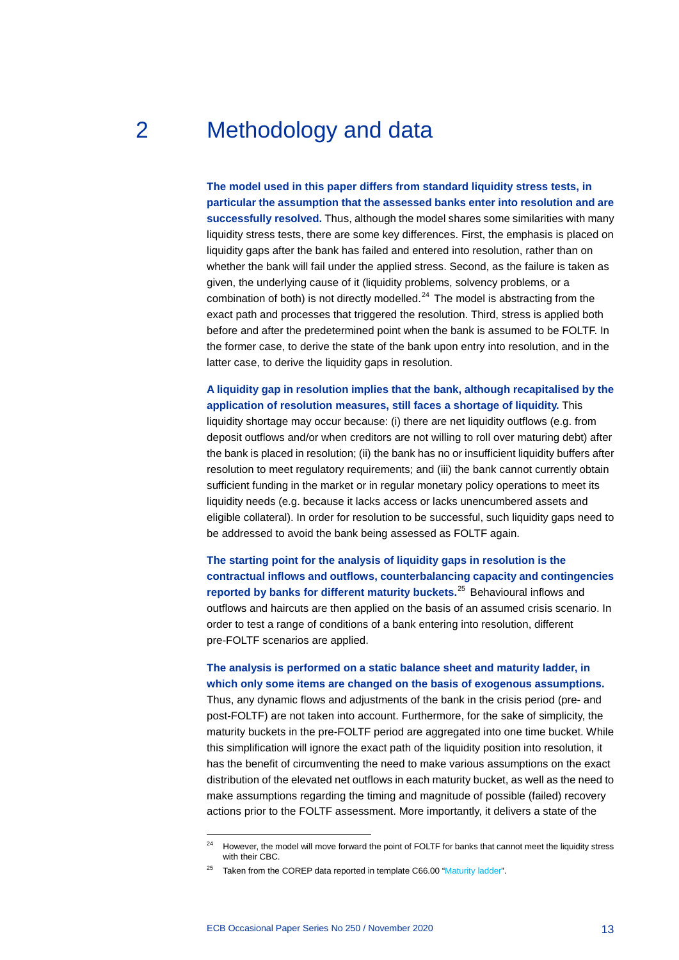# 2 Methodology and data

<span id="page-13-0"></span>**The model used in this paper differs from standard liquidity stress tests, in particular the assumption that the assessed banks enter into resolution and are successfully resolved.** Thus, although the model shares some similarities with many liquidity stress tests, there are some key differences. First, the emphasis is placed on liquidity gaps after the bank has failed and entered into resolution, rather than on whether the bank will fail under the applied stress. Second, as the failure is taken as given, the underlying cause of it (liquidity problems, solvency problems, or a combination of both) is not directly modelled. $^{24}$  $^{24}$  $^{24}$  The model is abstracting from the exact path and processes that triggered the resolution. Third, stress is applied both before and after the predetermined point when the bank is assumed to be FOLTF. In the former case, to derive the state of the bank upon entry into resolution, and in the latter case, to derive the liquidity gaps in resolution.

**A liquidity gap in resolution implies that the bank, although recapitalised by the application of resolution measures, still faces a shortage of liquidity.** This liquidity shortage may occur because: (i) there are net liquidity outflows (e.g. from deposit outflows and/or when creditors are not willing to roll over maturing debt) after the bank is placed in resolution; (ii) the bank has no or insufficient liquidity buffers after resolution to meet regulatory requirements; and (iii) the bank cannot currently obtain sufficient funding in the market or in regular monetary policy operations to meet its liquidity needs (e.g. because it lacks access or lacks unencumbered assets and eligible collateral). In order for resolution to be successful, such liquidity gaps need to be addressed to avoid the bank being assessed as FOLTF again.

**The starting point for the analysis of liquidity gaps in resolution is the contractual inflows and outflows, counterbalancing capacity and contingencies reported by banks for different maturity buckets.**[25](#page-13-2) Behavioural inflows and outflows and haircuts are then applied on the basis of an assumed crisis scenario. In order to test a range of conditions of a bank entering into resolution, different pre-FOLTF scenarios are applied.

## **The analysis is performed on a static balance sheet and maturity ladder, in which only some items are changed on the basis of exogenous assumptions.**

Thus, any dynamic flows and adjustments of the bank in the crisis period (pre- and post-FOLTF) are not taken into account. Furthermore, for the sake of simplicity, the maturity buckets in the pre-FOLTF period are aggregated into one time bucket. While this simplification will ignore the exact path of the liquidity position into resolution, it has the benefit of circumventing the need to make various assumptions on the exact distribution of the elevated net outflows in each maturity bucket, as well as the need to make assumptions regarding the timing and magnitude of possible (failed) recovery actions prior to the FOLTF assessment. More importantly, it delivers a state of the

<span id="page-13-1"></span><sup>&</sup>lt;sup>24</sup> However, the model will move forward the point of FOLTF for banks that cannot meet the liquidity stress with their CBC.

<span id="page-13-2"></span> $25$  Taken from the COREP data reported in template C66.00 ["Maturity ladder"](https://www.google.de/url?sa=t&rct=j&q=&esrc=s&source=web&cd=&cad=rja&uact=8&ved=2ahUKEwijg-6aq6LsAhXRzKQKHaxYDUcQFjADegQICBAC&url=https%3A%2F%2Fwww.eba.europa.eu%2Fdocuments%2F10180%2F1661766%2FAnnex%2BXXIV%2B-%2Bmaturity%2Bladder.xls&usg=AOvVaw0x5alW23J_07cIwqhg34y3).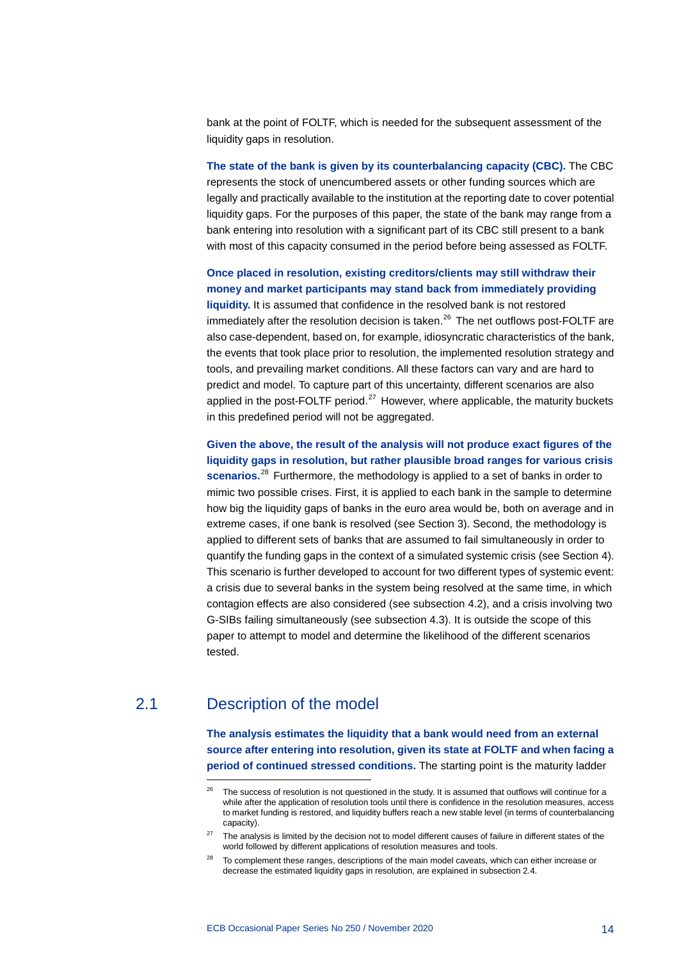bank at the point of FOLTF, which is needed for the subsequent assessment of the liquidity gaps in resolution.

**The state of the bank is given by its counterbalancing capacity (CBC).** The CBC represents the stock of unencumbered assets or other funding sources which are legally and practically available to the institution at the reporting date to cover potential liquidity gaps. For the purposes of this paper, the state of the bank may range from a bank entering into resolution with a significant part of its CBC still present to a bank with most of this capacity consumed in the period before being assessed as FOLTF.

**Once placed in resolution, existing creditors/clients may still withdraw their money and market participants may stand back from immediately providing liquidity.** It is assumed that confidence in the resolved bank is not restored immediately after the resolution decision is taken. $^{26}$  $^{26}$  $^{26}$  The net outflows post-FOLTF are also case-dependent, based on, for example, idiosyncratic characteristics of the bank, the events that took place prior to resolution, the implemented resolution strategy and tools, and prevailing market conditions. All these factors can vary and are hard to predict and model. To capture part of this uncertainty, different scenarios are also applied in the post-FOLTF period. $^{27}$  $^{27}$  $^{27}$  However, where applicable, the maturity buckets in this predefined period will not be aggregated.

**Given the above, the result of the analysis will not produce exact figures of the liquidity gaps in resolution, but rather plausible broad ranges for various crisis scenarios.**[28](#page-14-3) Furthermore, the methodology is applied to a set of banks in order to mimic two possible crises. First, it is applied to each bank in the sample to determine how big the liquidity gaps of banks in the euro area would be, both on average and in extreme cases, if one bank is resolved (see Section 3). Second, the methodology is applied to different sets of banks that are assumed to fail simultaneously in order to quantify the funding gaps in the context of a simulated systemic crisis (see Section 4). This scenario is further developed to account for two different types of systemic event: a crisis due to several banks in the system being resolved at the same time, in which contagion effects are also considered (see subsection 4.2), and a crisis involving two G-SIBs failing simultaneously (see subsection 4.3). It is outside the scope of this paper to attempt to model and determine the likelihood of the different scenarios tested.

## <span id="page-14-2"></span><span id="page-14-1"></span>2.1 Description of the model

-

<span id="page-14-0"></span>**The analysis estimates the liquidity that a bank would need from an external source after entering into resolution, given its state at FOLTF and when facing a period of continued stressed conditions.** The starting point is the maturity ladder

The success of resolution is not questioned in the study. It is assumed that outflows will continue for a while after the application of resolution tools until there is confidence in the resolution measures, access to market funding is restored, and liquidity buffers reach a new stable level (in terms of counterbalancing capacity).

 $27$  The analysis is limited by the decision not to model different causes of failure in different states of the world followed by different applications of resolution measures and tools.

<span id="page-14-3"></span><sup>&</sup>lt;sup>28</sup> To complement these ranges, descriptions of the main model caveats, which can either increase or decrease the estimated liquidity gaps in resolution, are explained in subsection 2.4.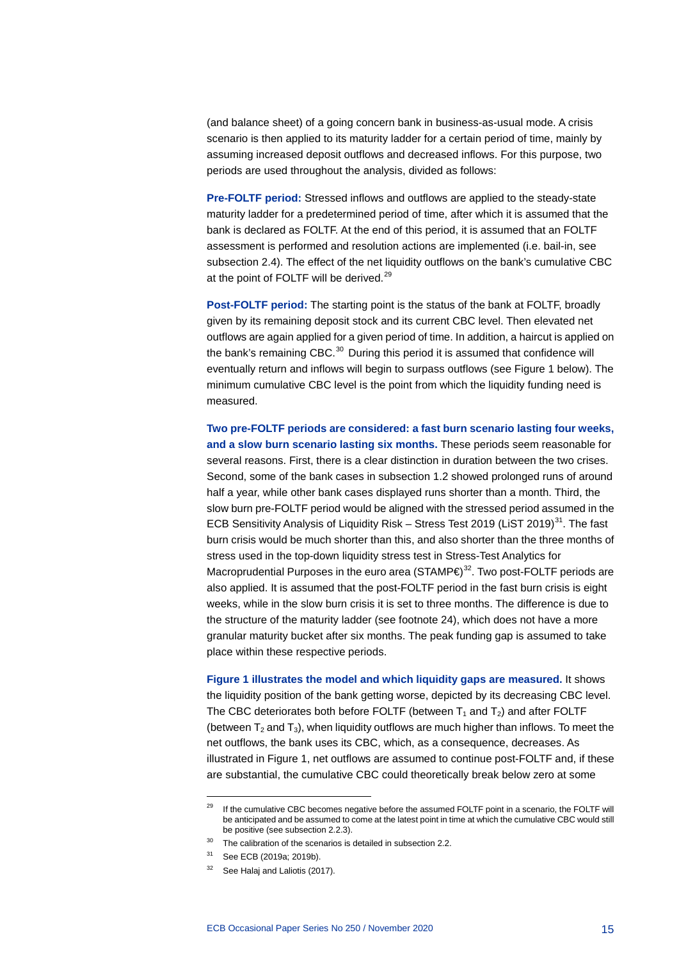(and balance sheet) of a going concern bank in business-as-usual mode. A crisis scenario is then applied to its maturity ladder for a certain period of time, mainly by assuming increased deposit outflows and decreased inflows. For this purpose, two periods are used throughout the analysis, divided as follows:

**Pre-FOLTF period:** Stressed inflows and outflows are applied to the steady-state maturity ladder for a predetermined period of time, after which it is assumed that the bank is declared as FOLTF. At the end of this period, it is assumed that an FOLTF assessment is performed and resolution actions are implemented (i.e. bail-in, see subsection 2.4). The effect of the net liquidity outflows on the bank's cumulative CBC at the point of FOLTF will be derived.<sup>[29](#page-15-0)</sup>

**Post-FOLTF period:** The starting point is the status of the bank at FOLTF, broadly given by its remaining deposit stock and its current CBC level. Then elevated net outflows are again applied for a given period of time. In addition, a haircut is applied on the bank's remaining CBC.<sup>[30](#page-15-1)</sup> During this period it is assumed that confidence will eventually return and inflows will begin to surpass outflows (see Figure 1 below). The minimum cumulative CBC level is the point from which the liquidity funding need is measured.

**Two pre-FOLTF periods are considered: a fast burn scenario lasting four weeks, and a slow burn scenario lasting six months.** These periods seem reasonable for several reasons. First, there is a clear distinction in duration between the two crises. Second, some of the bank cases in subsection 1.2 showed prolonged runs of around half a year, while other bank cases displayed runs shorter than a month. Third, the slow burn pre-FOLTF period would be aligned with the stressed period assumed in the ECB Sensitivity Analysis of Liquidity Risk – Stress Test 2019 (LiST 2019)<sup>31</sup>. The fast burn crisis would be much shorter than this, and also shorter than the three months of stress used in the top-down liquidity stress test in Stress-Test Analytics for Macroprudential Purposes in the euro area (STAMP $\infty$ )<sup>32</sup>. Two post-FOLTF periods are also applied. It is assumed that the post-FOLTF period in the fast burn crisis is eight weeks, while in the slow burn crisis it is set to three months. The difference is due to the structure of the maturity ladder (see footnote 24), which does not have a more granular maturity bucket after six months. The peak funding gap is assumed to take place within these respective periods.

**Figure 1 illustrates the model and which liquidity gaps are measured.** It shows the liquidity position of the bank getting worse, depicted by its decreasing CBC level. The CBC deteriorates both before FOLTF (between  $T_1$  and  $T_2$ ) and after FOLTF (between  $T_2$  and  $T_3$ ), when liquidity outflows are much higher than inflows. To meet the net outflows, the bank uses its CBC, which, as a consequence, decreases. As illustrated in Figure 1, net outflows are assumed to continue post-FOLTF and, if these are substantial, the cumulative CBC could theoretically break below zero at some

<span id="page-15-0"></span><sup>&</sup>lt;sup>29</sup> If the cumulative CBC becomes negative before the assumed FOLTF point in a scenario, the FOLTF will be anticipated and be assumed to come at the latest point in time at which the cumulative CBC would still be positive (see subsection 2.2.3).

<span id="page-15-2"></span><span id="page-15-1"></span> $30$  The calibration of the scenarios is detailed in subsection 2.2.

<span id="page-15-3"></span><sup>31</sup> See ECB (2019a; 2019b).

<sup>&</sup>lt;sup>32</sup> See Halaj and Laliotis (2017).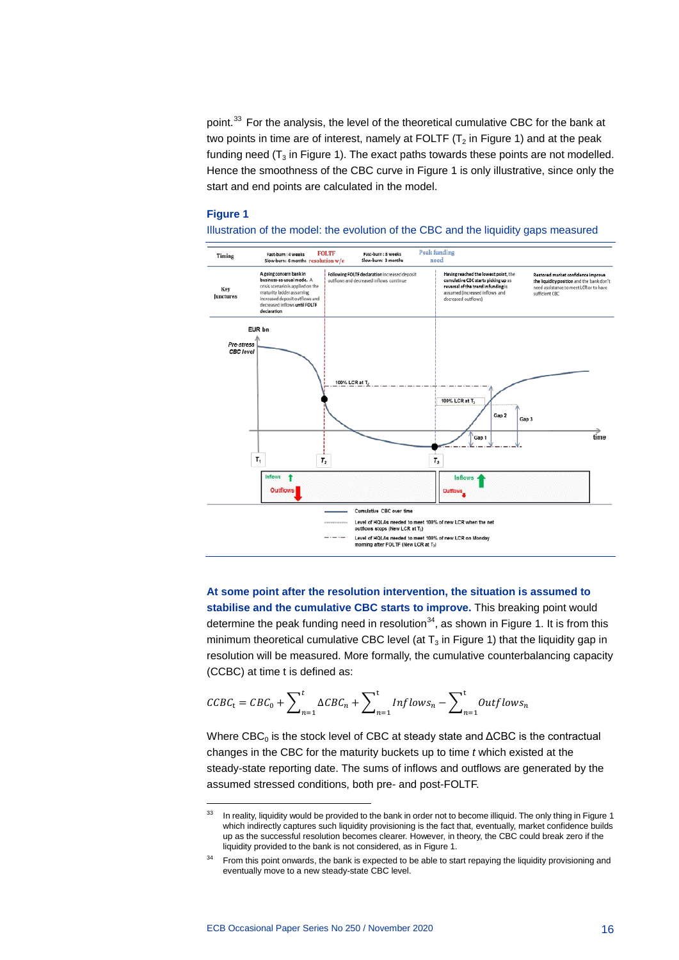point.<sup>[33](#page-16-0)</sup> For the analysis, the level of the theoretical cumulative CBC for the bank at two points in time are of interest, namely at FOLTF  $(T_2$  in Figure 1) and at the peak funding need  $(T_3$  in Figure 1). The exact paths towards these points are not modelled. Hence the smoothness of the CBC curve in Figure 1 is only illustrative, since only the start and end points are calculated in the model.

#### **Figure 1**

Illustration of the model: the evolution of the CBC and the liquidity gaps measured



**At some point after the resolution intervention, the situation is assumed to stabilise and the cumulative CBC starts to improve.** This breaking point would determine the peak funding need in resolution<sup>[34](#page-16-1)</sup>, as shown in Figure 1. It is from this minimum theoretical cumulative CBC level (at  $T_3$  in Figure 1) that the liquidity gap in resolution will be measured. More formally, the cumulative counterbalancing capacity (CCBC) at time t is defined as:

$$
\text{CCBC}_{t} = \text{CBC}_{0} + \sum_{n=1}^{t} \Delta \text{CBC}_{n} + \sum_{n=1}^{t} \text{Inflows}_{n} - \sum_{n=1}^{t} \text{Outflows}_{n}
$$

Where  $CBC_0$  is the stock level of CBC at steady state and  $\triangle CBC$  is the contractual changes in the CBC for the maturity buckets up to time *t* which existed at the steady-state reporting date. The sums of inflows and outflows are generated by the assumed stressed conditions, both pre- and post-FOLTF.

<span id="page-16-0"></span><sup>&</sup>lt;sup>33</sup> In reality, liquidity would be provided to the bank in order not to become illiquid. The only thing in Figure 1 which indirectly captures such liquidity provisioning is the fact that, eventually, market confidence builds up as the successful resolution becomes clearer. However, in theory, the CBC could break zero if the liquidity provided to the bank is not considered, as in Figure 1.

<span id="page-16-1"></span><sup>&</sup>lt;sup>34</sup> From this point onwards, the bank is expected to be able to start repaying the liquidity provisioning and eventually move to a new steady-state CBC level.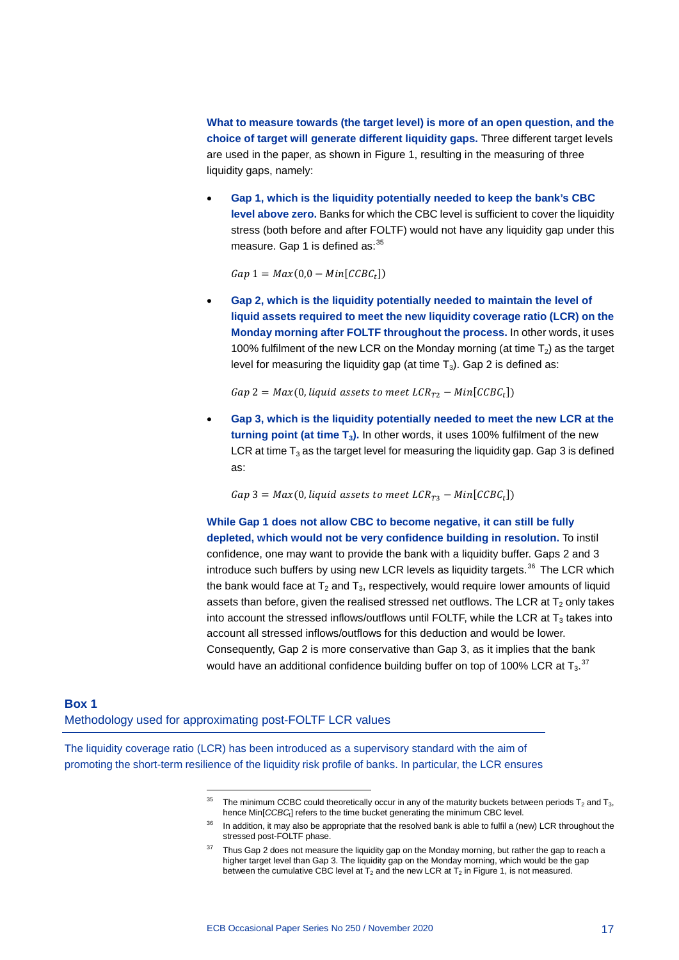**What to measure towards (the target level) is more of an open question, and the choice of target will generate different liquidity gaps.** Three different target levels are used in the paper, as shown in Figure 1, resulting in the measuring of three liquidity gaps, namely:

• **Gap 1, which is the liquidity potentially needed to keep the bank's CBC level above zero.** Banks for which the CBC level is sufficient to cover the liquidity stress (both before and after FOLTF) would not have any liquidity gap under this measure. Gap 1 is defined as: $35$ 

 $Gap 1 = Max(0,0 - Min[CCBC<sub>t</sub>])$ 

• **Gap 2, which is the liquidity potentially needed to maintain the level of liquid assets required to meet the new liquidity coverage ratio (LCR) on the Monday morning after FOLTF throughout the process.** In other words, it uses 100% fulfilment of the new LCR on the Monday morning (at time  $T_2$ ) as the target level for measuring the liquidity gap (at time  $T_3$ ). Gap 2 is defined as:

 $Gap 2 = Max(0, liquid assets to meet LCR_{T2} - Min[CCBC<sub>t</sub>])$ 

• **Gap 3, which is the liquidity potentially needed to meet the new LCR at the turning point (at time T3).** In other words, it uses 100% fulfilment of the new LCR at time  $T_3$  as the target level for measuring the liquidity gap. Gap 3 is defined as:

 $Gap 3 = Max(0, liquid assets to meet LCR_{T3} - Min[CCBC<sub>t</sub>])$ 

**While Gap 1 does not allow CBC to become negative, it can still be fully depleted, which would not be very confidence building in resolution.** To instil confidence, one may want to provide the bank with a liquidity buffer. Gaps 2 and 3 introduce such buffers by using new LCR levels as liquidity targets.<sup>[36](#page-17-2)</sup> The LCR which the bank would face at  $T_2$  and  $T_3$ , respectively, would require lower amounts of liquid assets than before, given the realised stressed net outflows. The LCR at  $T_2$  only takes into account the stressed inflows/outflows until FOLTF, while the LCR at  $T_3$  takes into account all stressed inflows/outflows for this deduction and would be lower. Consequently, Gap 2 is more conservative than Gap 3, as it implies that the bank would have an additional confidence building buffer on top of 100% LCR at T $_3$ . $^{37}$  $^{37}$  $^{37}$ 

## <span id="page-17-0"></span>**Box 1** Methodology used for approximating post-FOLTF LCR values

-

<span id="page-17-3"></span><span id="page-17-2"></span><span id="page-17-1"></span>The liquidity coverage ratio (LCR) has been introduced as a supervisory standard with the aim of promoting the short-term resilience of the liquidity risk profile of banks. In particular, the LCR ensures

<sup>&</sup>lt;sup>35</sup> The minimum CCBC could theoretically occur in any of the maturity buckets between periods T<sub>2</sub> and T<sub>3</sub>, hence Min[*CCBC*t] refers to the time bucket generating the minimum CBC level.

<sup>&</sup>lt;sup>36</sup> In addition, it may also be appropriate that the resolved bank is able to fulfil a (new) LCR throughout the stressed post-FOLTF phase.

<sup>&</sup>lt;sup>37</sup> Thus Gap 2 does not measure the liquidity gap on the Monday morning, but rather the gap to reach a higher target level than Gap 3. The liquidity gap on the Monday morning, which would be the gap between the cumulative CBC level at  $T_2$  and the new LCR at  $T_2$  in Figure 1, is not measured.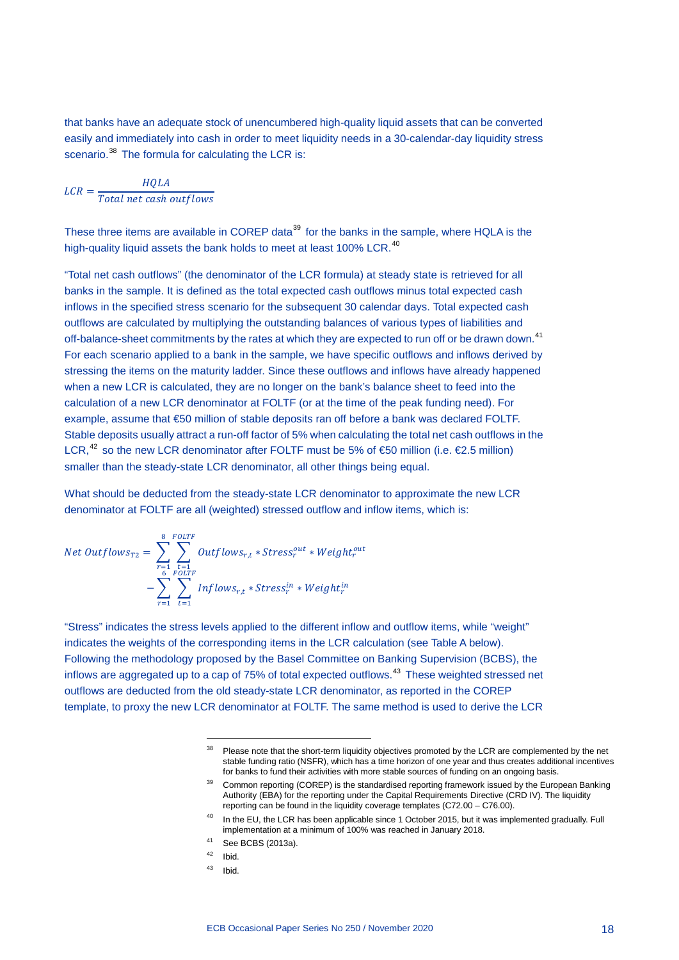that banks have an adequate stock of unencumbered high-quality liquid assets that can be converted easily and immediately into cash in order to meet liquidity needs in a 30-calendar-day liquidity stress scenario.<sup>[38](#page-18-0)</sup> The formula for calculating the LCR is:

$$
LCR = \frac{HQLA}{Total net cash outflows}
$$

These three items are available in COREP data<sup>[39](#page-18-1)</sup> for the banks in the sample, where HQLA is the high-quality liquid assets the bank holds to meet at least 100% LCR.<sup>[40](#page-18-2)</sup>

"Total net cash outflows" (the denominator of the LCR formula) at steady state is retrieved for all banks in the sample. It is defined as the total expected cash outflows minus total expected cash inflows in the specified stress scenario for the subsequent 30 calendar days. Total expected cash outflows are calculated by multiplying the outstanding balances of various types of liabilities and off-balance-sheet commitments by the rates at which they are expected to run off or be drawn down.<sup>[41](#page-18-3)</sup> For each scenario applied to a bank in the sample, we have specific outflows and inflows derived by stressing the items on the maturity ladder. Since these outflows and inflows have already happened when a new LCR is calculated, they are no longer on the bank's balance sheet to feed into the calculation of a new LCR denominator at FOLTF (or at the time of the peak funding need). For example, assume that €50 million of stable deposits ran off before a bank was declared FOLTF. Stable deposits usually attract a run-off factor of 5% when calculating the total net cash outflows in the LCR,<sup>[42](#page-18-4)</sup> so the new LCR denominator after FOLTF must be 5% of €50 million (i.e. €2.5 million) smaller than the steady-state LCR denominator, all other things being equal.

What should be deducted from the steady-state LCR denominator to approximate the new LCR denominator at FOLTF are all (weighted) stressed outflow and inflow items, which is:

Net Outflows<sub>T2</sub> = 
$$
\sum_{r=1}^{8} \sum_{\substack{t=1 \ 6 \text{ FOLTF} \ 6 \text{ FOLTF}}} 0 \text{utflows}_{r,t} * \text{Stress}^{out}_{r} * \text{Weight}^{out}_{r}
$$

$$
- \sum_{r=1}^{6} \sum_{t=1}^{FOLTF} Inflows_{r,t} * \text{Stress}^{in}_{r} * Weight^{in}_{r}
$$

<span id="page-18-2"></span><span id="page-18-1"></span><span id="page-18-0"></span>"Stress" indicates the stress levels applied to the different inflow and outflow items, while "weight" indicates the weights of the corresponding items in the LCR calculation (see Table A below). Following the methodology proposed by the Basel Committee on Banking Supervision (BCBS), the inflows are aggregated up to a cap of 75% of total expected outflows.<sup>[43](#page-18-5)</sup> These weighted stressed net outflows are deducted from the old steady-state LCR denominator, as reported in the COREP template, to proxy the new LCR denominator at FOLTF. The same method is used to derive the LCR

<span id="page-18-5"></span><span id="page-18-4"></span><sup>42</sup> Ibid.

-

 $43$  Ibid.

<sup>&</sup>lt;sup>38</sup> Please note that the short-term liquidity objectives promoted by the LCR are complemented by the net stable funding ratio (NSFR), which has a time horizon of one year and thus creates additional incentives for banks to fund their activities with more stable sources of funding on an ongoing basis.

<sup>&</sup>lt;sup>39</sup> Common reporting (COREP) is the standardised reporting framework issued by the European Banking Authority (EBA) for the reporting under the Capital Requirements Directive (CRD IV). The liquidity reporting can be found in the liquidity coverage templates (C72.00 – C76.00).

<sup>&</sup>lt;sup>40</sup> In the EU, the LCR has been applicable since 1 October 2015, but it was implemented gradually. Full implementation at a minimum of 100% was reached in January 2018.

<span id="page-18-3"></span><sup>41</sup> See BCBS (2013a).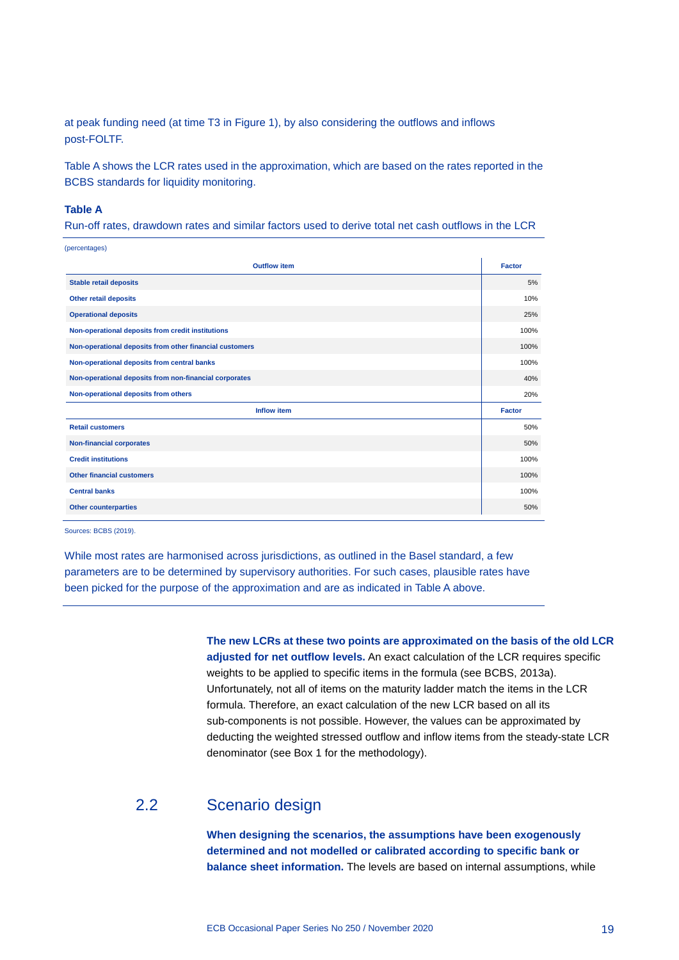at peak funding need (at time T3 in Figure 1), by also considering the outflows and inflows post-FOLTF.

Table A shows the LCR rates used in the approximation, which are based on the rates reported in the BCBS standards for liquidity monitoring.

#### **Table A**

Run-off rates, drawdown rates and similar factors used to derive total net cash outflows in the LCR

| (percentages)                                           |               |
|---------------------------------------------------------|---------------|
| <b>Outflow item</b>                                     | <b>Factor</b> |
| <b>Stable retail deposits</b>                           | 5%            |
| <b>Other retail deposits</b>                            | 10%           |
| <b>Operational deposits</b>                             | 25%           |
| Non-operational deposits from credit institutions       | 100%          |
| Non-operational deposits from other financial customers | 100%          |
| Non-operational deposits from central banks             | 100%          |
| Non-operational deposits from non-financial corporates  | 40%           |
| Non-operational deposits from others                    | 20%           |
| <b>Inflow item</b>                                      | <b>Factor</b> |
| <b>Retail customers</b>                                 | 50%           |
| <b>Non-financial corporates</b>                         | 50%           |
| <b>Credit institutions</b>                              | 100%          |
| <b>Other financial customers</b>                        | 100%          |
| <b>Central banks</b>                                    | 100%          |
| <b>Other counterparties</b>                             | 50%           |
|                                                         |               |

Sources: BCBS (2019).

While most rates are harmonised across jurisdictions, as outlined in the Basel standard, a few parameters are to be determined by supervisory authorities. For such cases, plausible rates have been picked for the purpose of the approximation and are as indicated in Table A above.

> **The new LCRs at these two points are approximated on the basis of the old LCR adjusted for net outflow levels.** An exact calculation of the LCR requires specific weights to be applied to specific items in the formula (see BCBS, 2013a). Unfortunately, not all of items on the maturity ladder match the items in the LCR formula. Therefore, an exact calculation of the new LCR based on all its sub-components is not possible. However, the values can be approximated by deducting the weighted stressed outflow and inflow items from the steady-state LCR denominator (see Box 1 for the methodology).

## 2.2 Scenario design

<span id="page-19-0"></span>**When designing the scenarios, the assumptions have been exogenously determined and not modelled or calibrated according to specific bank or balance sheet information.** The levels are based on internal assumptions, while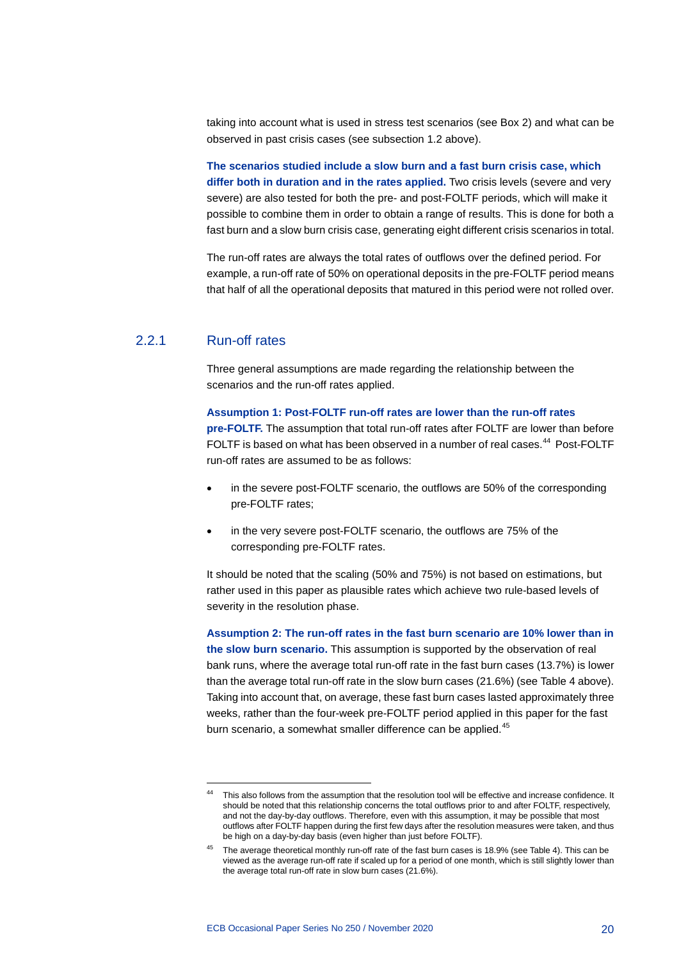taking into account what is used in stress test scenarios (see Box 2) and what can be observed in past crisis cases (see subsection 1.2 above).

**The scenarios studied include a slow burn and a fast burn crisis case, which differ both in duration and in the rates applied.** Two crisis levels (severe and very severe) are also tested for both the pre- and post-FOLTF periods, which will make it possible to combine them in order to obtain a range of results. This is done for both a fast burn and a slow burn crisis case, generating eight different crisis scenarios in total.

The run-off rates are always the total rates of outflows over the defined period. For example, a run-off rate of 50% on operational deposits in the pre-FOLTF period means that half of all the operational deposits that matured in this period were not rolled over.

## 2.2.1 Run-off rates

-

Three general assumptions are made regarding the relationship between the scenarios and the run-off rates applied.

#### **Assumption 1: Post-FOLTF run-off rates are lower than the run-off rates**

**pre-FOLTF.** The assumption that total run-off rates after FOLTF are lower than before FOLTF is based on what has been observed in a number of real cases.<sup>[44](#page-20-0)</sup> Post-FOLTF run-off rates are assumed to be as follows:

- in the severe post-FOLTF scenario, the outflows are 50% of the corresponding pre-FOLTF rates;
- in the very severe post-FOLTF scenario, the outflows are 75% of the corresponding pre-FOLTF rates.

It should be noted that the scaling (50% and 75%) is not based on estimations, but rather used in this paper as plausible rates which achieve two rule-based levels of severity in the resolution phase.

**Assumption 2: The run-off rates in the fast burn scenario are 10% lower than in the slow burn scenario.** This assumption is supported by the observation of real bank runs, where the average total run-off rate in the fast burn cases (13.7%) is lower than the average total run-off rate in the slow burn cases (21.6%) (see Table 4 above). Taking into account that, on average, these fast burn cases lasted approximately three weeks, rather than the four-week pre-FOLTF period applied in this paper for the fast burn scenario, a somewhat smaller difference can be applied.<sup>[45](#page-20-1)</sup>

<span id="page-20-0"></span>This also follows from the assumption that the resolution tool will be effective and increase confidence. It should be noted that this relationship concerns the total outflows prior to and after FOLTF, respectively, and not the day-by-day outflows. Therefore, even with this assumption, it may be possible that most outflows after FOLTF happen during the first few days after the resolution measures were taken, and thus be high on a day-by-day basis (even higher than just before FOLTF).

<span id="page-20-1"></span><sup>&</sup>lt;sup>45</sup> The average theoretical monthly run-off rate of the fast burn cases is 18.9% (see Table 4). This can be viewed as the average run-off rate if scaled up for a period of one month, which is still slightly lower than the average total run-off rate in slow burn cases (21.6%).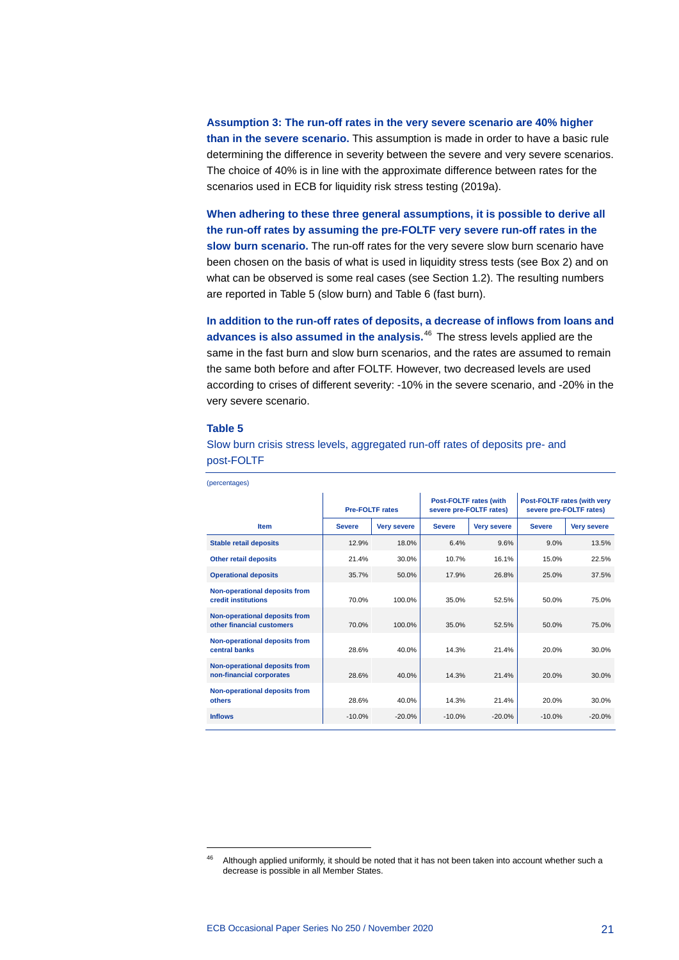**Assumption 3: The run-off rates in the very severe scenario are 40% higher than in the severe scenario.** This assumption is made in order to have a basic rule determining the difference in severity between the severe and very severe scenarios. The choice of 40% is in line with the approximate difference between rates for the scenarios used in ECB for liquidity risk stress testing (2019a).

**When adhering to these three general assumptions, it is possible to derive all the run-off rates by assuming the pre-FOLTF very severe run-off rates in the slow burn scenario.** The run-off rates for the very severe slow burn scenario have been chosen on the basis of what is used in liquidity stress tests (see Box 2) and on what can be observed is some real cases (see Section 1.2). The resulting numbers are reported in Table 5 (slow burn) and Table 6 (fast burn).

**In addition to the run-off rates of deposits, a decrease of inflows from loans and advances is also assumed in the analysis.**[46](#page-21-0) The stress levels applied are the same in the fast burn and slow burn scenarios, and the rates are assumed to remain the same both before and after FOLTF. However, two decreased levels are used according to crises of different severity: -10% in the severe scenario, and -20% in the very severe scenario.

#### **Table 5**

Slow burn crisis stress levels, aggregated run-off rates of deposits pre- and post-FOLTF

|                                                            | <b>Pre-FOLTF rates</b> |                    | <b>Post-FOLTF rates (with</b><br>severe pre-FOLTF rates) |                    | Post-FOLTF rates (with very<br>severe pre-FOLTF rates) |                    |  |
|------------------------------------------------------------|------------------------|--------------------|----------------------------------------------------------|--------------------|--------------------------------------------------------|--------------------|--|
| <b>Item</b>                                                | <b>Severe</b>          | <b>Very severe</b> | <b>Severe</b>                                            | <b>Very severe</b> | <b>Severe</b>                                          | <b>Very severe</b> |  |
| <b>Stable retail deposits</b>                              | 12.9%                  | 18.0%              | 6.4%                                                     | 9.6%               | 9.0%                                                   | 13.5%              |  |
| <b>Other retail deposits</b>                               | 21.4%                  | 30.0%              | 10.7%                                                    | 16.1%              | 15.0%                                                  | 22.5%              |  |
| <b>Operational deposits</b>                                | 35.7%                  | 50.0%              | 17.9%                                                    | 26.8%              | 25.0%                                                  | 37.5%              |  |
| Non-operational deposits from<br>credit institutions       | 70.0%                  | 100.0%             | 35.0%                                                    | 52.5%              | 50.0%                                                  | 75.0%              |  |
| Non-operational deposits from<br>other financial customers | 70.0%                  | 100.0%             | 35.0%                                                    | 52.5%              | 50.0%                                                  | 75.0%              |  |
| Non-operational deposits from<br>central banks             | 28.6%                  | 40.0%              | 14.3%                                                    | 21.4%              | 20.0%                                                  | 30.0%              |  |
| Non-operational deposits from<br>non-financial corporates  | 28.6%                  | 40.0%              | 14.3%                                                    | 21.4%              | 20.0%                                                  | 30.0%              |  |
| Non-operational deposits from<br>others                    | 28.6%                  | 40.0%              | 14.3%                                                    | 21.4%              | 20.0%                                                  | 30.0%              |  |
| <b>Inflows</b>                                             | $-10.0%$               | $-20.0%$           | $-10.0%$                                                 | $-20.0%$           | $-10.0%$                                               | $-20.0%$           |  |
|                                                            |                        |                    |                                                          |                    |                                                        |                    |  |

(percentages)

<span id="page-21-0"></span><sup>&</sup>lt;sup>46</sup> Although applied uniformly, it should be noted that it has not been taken into account whether such a decrease is possible in all Member States.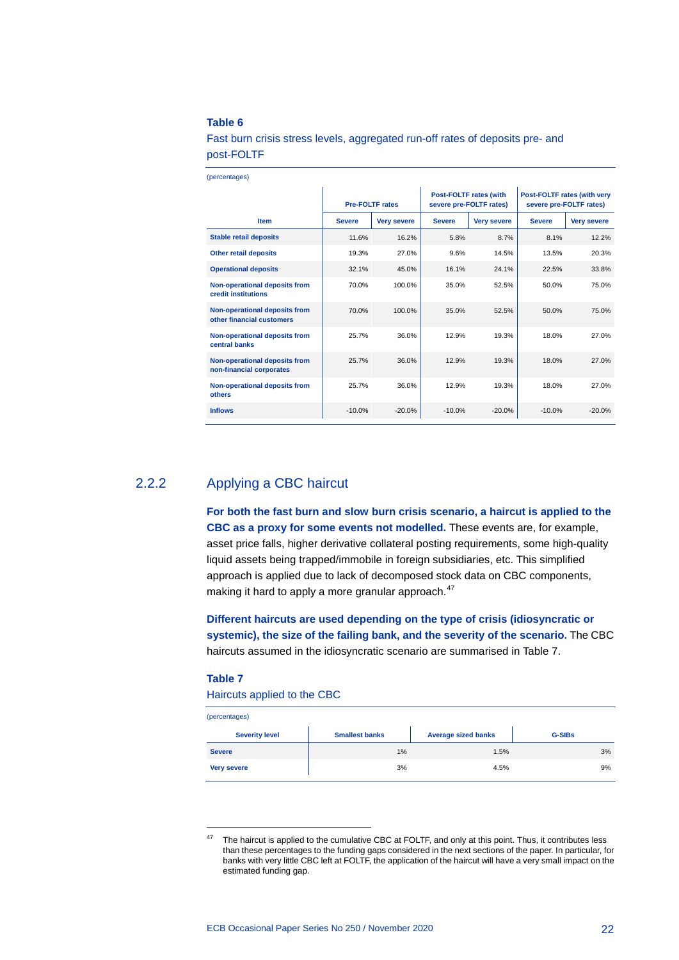#### **Table 6**

Fast burn crisis stress levels, aggregated run-off rates of deposits pre- and post-FOLTF

| (percentages) |  |
|---------------|--|

|                                                            | <b>Pre-FOLTF rates</b> |                    |               | <b>Post-FOLTF rates (with</b><br>severe pre-FOLTF rates) | Post-FOLTF rates (with very<br>severe pre-FOLTF rates) |                    |  |
|------------------------------------------------------------|------------------------|--------------------|---------------|----------------------------------------------------------|--------------------------------------------------------|--------------------|--|
| <b>Item</b>                                                | <b>Severe</b>          | <b>Very severe</b> | <b>Severe</b> | <b>Very severe</b>                                       | <b>Severe</b>                                          | <b>Very severe</b> |  |
| <b>Stable retail deposits</b>                              | 11.6%                  | 16.2%              | 5.8%          | 8.7%                                                     | 8.1%                                                   | 12.2%              |  |
| <b>Other retail deposits</b>                               | 19.3%                  | 27.0%              | 9.6%          | 14.5%                                                    | 13.5%                                                  | 20.3%              |  |
| <b>Operational deposits</b>                                | 32.1%                  | 45.0%              | 16.1%         | 24.1%                                                    | 22.5%                                                  | 33.8%              |  |
| Non-operational deposits from<br>credit institutions       | 70.0%                  | 100.0%             | 35.0%         | 52.5%                                                    | 50.0%                                                  | 75.0%              |  |
| Non-operational deposits from<br>other financial customers | 70.0%                  | 100.0%             | 35.0%         | 52.5%                                                    | 50.0%                                                  | 75.0%              |  |
| Non-operational deposits from<br>central banks             | 25.7%                  | 36.0%              | 12.9%         | 19.3%                                                    | 18.0%                                                  | 27.0%              |  |
| Non-operational deposits from<br>non-financial corporates  | 25.7%                  | 36.0%              | 12.9%         | 19.3%                                                    | 18.0%                                                  | 27.0%              |  |
| Non-operational deposits from<br>others                    | 25.7%                  | 36.0%              | 12.9%         | 19.3%                                                    | 18.0%                                                  | 27.0%              |  |
| <b>Inflows</b>                                             | $-10.0%$               | $-20.0%$           | $-10.0%$      | $-20.0%$                                                 | $-10.0%$                                               | $-20.0%$           |  |

## 2.2.2 Applying a CBC haircut

**For both the fast burn and slow burn crisis scenario, a haircut is applied to the CBC as a proxy for some events not modelled.** These events are, for example, asset price falls, higher derivative collateral posting requirements, some high-quality liquid assets being trapped/immobile in foreign subsidiaries, etc. This simplified approach is applied due to lack of decomposed stock data on CBC components, making it hard to apply a more granular approach.<sup>[47](#page-22-0)</sup>

**Different haircuts are used depending on the type of crisis (idiosyncratic or systemic), the size of the failing bank, and the severity of the scenario.** The CBC haircuts assumed in the idiosyncratic scenario are summarised in Table 7.

#### **Table 7**

Haircuts applied to the CBC

#### (percentages)

| <b>Severity level</b> | <b>Smallest banks</b> | <b>Average sized banks</b> | <b>G-SIBs</b> |
|-----------------------|-----------------------|----------------------------|---------------|
| <b>Severe</b>         | 1%                    | 1.5%                       | 3%            |
| <b>Very severe</b>    | 3%                    | 4.5%                       | 9%            |

<span id="page-22-0"></span><sup>&</sup>lt;sup>47</sup> The haircut is applied to the cumulative CBC at FOLTF, and only at this point. Thus, it contributes less than these percentages to the funding gaps considered in the next sections of the paper. In particular, for banks with very little CBC left at FOLTF, the application of the haircut will have a very small impact on the estimated funding gap.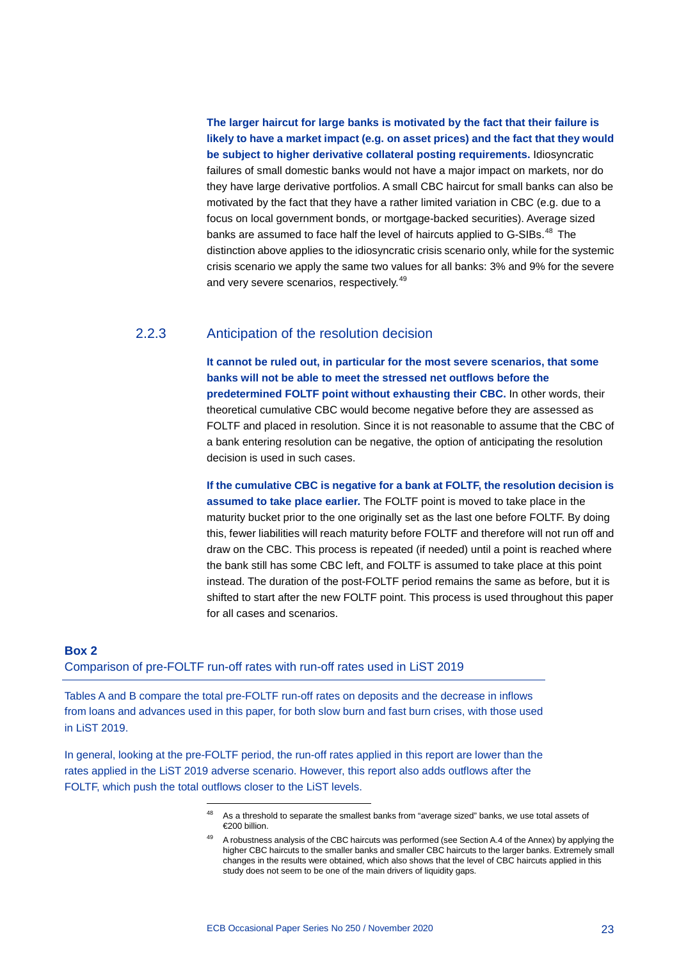**The larger haircut for large banks is motivated by the fact that their failure is likely to have a market impact (e.g. on asset prices) and the fact that they would be subject to higher derivative collateral posting requirements.** Idiosyncratic failures of small domestic banks would not have a major impact on markets, nor do they have large derivative portfolios. A small CBC haircut for small banks can also be motivated by the fact that they have a rather limited variation in CBC (e.g. due to a focus on local government bonds, or mortgage-backed securities). Average sized banks are assumed to face half the level of haircuts applied to G-SIBs.<sup>[48](#page-23-1)</sup> The distinction above applies to the idiosyncratic crisis scenario only, while for the systemic crisis scenario we apply the same two values for all banks: 3% and 9% for the severe and very severe scenarios, respectively.<sup>[49](#page-23-2)</sup>

## 2.2.3 Anticipation of the resolution decision

**It cannot be ruled out, in particular for the most severe scenarios, that some banks will not be able to meet the stressed net outflows before the predetermined FOLTF point without exhausting their CBC.** In other words, their theoretical cumulative CBC would become negative before they are assessed as FOLTF and placed in resolution. Since it is not reasonable to assume that the CBC of a bank entering resolution can be negative, the option of anticipating the resolution decision is used in such cases.

**If the cumulative CBC is negative for a bank at FOLTF, the resolution decision is assumed to take place earlier.** The FOLTF point is moved to take place in the maturity bucket prior to the one originally set as the last one before FOLTF. By doing this, fewer liabilities will reach maturity before FOLTF and therefore will not run off and draw on the CBC. This process is repeated (if needed) until a point is reached where the bank still has some CBC left, and FOLTF is assumed to take place at this point instead. The duration of the post-FOLTF period remains the same as before, but it is shifted to start after the new FOLTF point. This process is used throughout this paper for all cases and scenarios.

## <span id="page-23-0"></span>**Box 2** Comparison of pre-FOLTF run-off rates with run-off rates used in LiST 2019

-

Tables A and B compare the total pre-FOLTF run-off rates on deposits and the decrease in inflows from loans and advances used in this paper, for both slow burn and fast burn crises, with those used in LiST 2019.

<span id="page-23-2"></span><span id="page-23-1"></span>In general, looking at the pre-FOLTF period, the run-off rates applied in this report are lower than the rates applied in the LiST 2019 adverse scenario. However, this report also adds outflows after the FOLTF, which push the total outflows closer to the LiST levels.

As a threshold to separate the smallest banks from "average sized" banks, we use total assets of €200 billion.

A robustness analysis of the CBC haircuts was performed (see Section A.4 of the Annex) by applying the higher CBC haircuts to the smaller banks and smaller CBC haircuts to the larger banks. Extremely small changes in the results were obtained, which also shows that the level of CBC haircuts applied in this study does not seem to be one of the main drivers of liquidity gaps.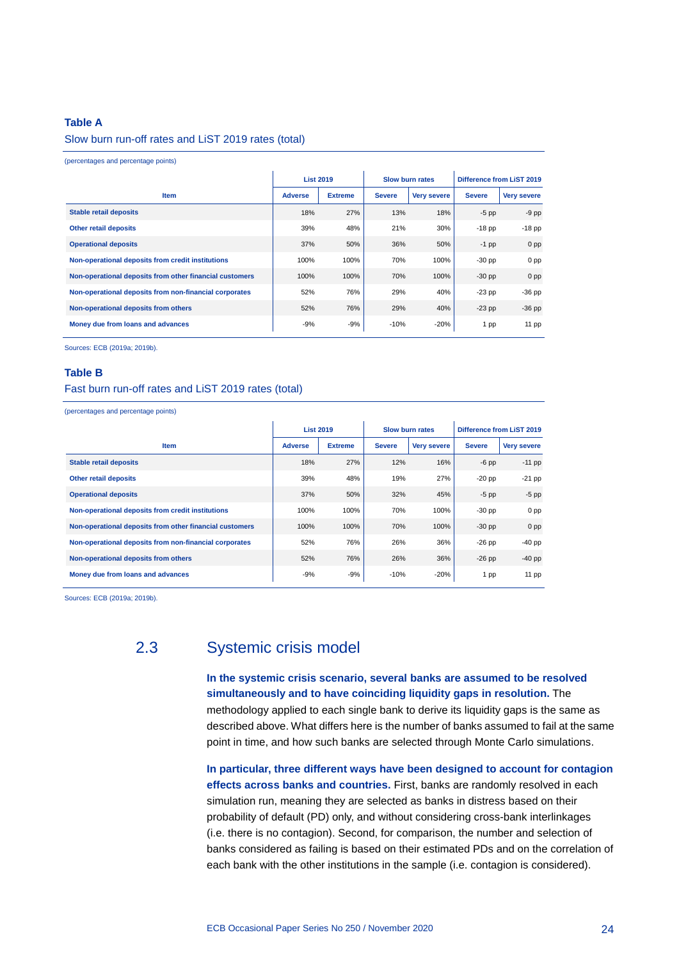#### **Table A**

#### Slow burn run-off rates and LiST 2019 rates (total)

(percentages and percentage points)

|                                                         | <b>List 2019</b> |                |               | <b>Slow burn rates</b> |               | <b>Difference from LIST 2019</b> |
|---------------------------------------------------------|------------------|----------------|---------------|------------------------|---------------|----------------------------------|
| <b>Item</b>                                             | <b>Adverse</b>   | <b>Extreme</b> | <b>Severe</b> | <b>Very severe</b>     | <b>Severe</b> | <b>Very severe</b>               |
| Stable retail deposits                                  | 18%              | 27%            | 13%           | 18%                    | $-5$ pp       | $-9$ pp                          |
| <b>Other retail deposits</b>                            | 39%              | 48%            | 21%           | 30%                    | $-18$ pp      | $-18$ pp                         |
| <b>Operational deposits</b>                             | 37%              | 50%            | 36%           | 50%                    | $-1$ pp       | 0 <sub>pp</sub>                  |
| Non-operational deposits from credit institutions       | 100%             | 100%           | 70%           | 100%                   | $-30$ pp      | 0 <sub>pp</sub>                  |
| Non-operational deposits from other financial customers | 100%             | 100%           | 70%           | 100%                   | $-30$ pp      | 0 <sub>pp</sub>                  |
| Non-operational deposits from non-financial corporates  | 52%              | 76%            | 29%           | 40%                    | $-23$ pp      | $-36$ pp                         |
| Non-operational deposits from others                    | 52%              | 76%            | 29%           | 40%                    | $-23$ pp      | $-36$ pp                         |
| Money due from loans and advances                       | $-9%$            | $-9%$          | $-10%$        | $-20%$                 | 1 pp          | $11$ pp                          |

Sources: ECB (2019a; 2019b).

#### **Table B**

#### Fast burn run-off rates and LiST 2019 rates (total)

(percentages and percentage points)

|                                                         | <b>List 2019</b> |                |               | <b>Slow burn rates</b> |               | <b>Difference from LiST 2019</b> |
|---------------------------------------------------------|------------------|----------------|---------------|------------------------|---------------|----------------------------------|
| <b>Item</b>                                             | <b>Adverse</b>   | <b>Extreme</b> | <b>Severe</b> | <b>Very severe</b>     | <b>Severe</b> | <b>Very severe</b>               |
| <b>Stable retail deposits</b>                           | 18%              | 27%            | 12%           | 16%                    | $-6$ pp       | $-11$ pp                         |
| <b>Other retail deposits</b>                            | 39%              | 48%            | 19%           | 27%                    | $-20$ pp      | $-21$ pp                         |
| <b>Operational deposits</b>                             | 37%              | 50%            | 32%           | 45%                    | $-5$ pp       | $-5$ pp                          |
| Non-operational deposits from credit institutions       | 100%             | 100%           | 70%           | 100%                   | $-30$ pp      | 0 <sub>pp</sub>                  |
| Non-operational deposits from other financial customers | 100%             | 100%           | 70%           | 100%                   | $-30$ pp      | 0 <sub>pp</sub>                  |
| Non-operational deposits from non-financial corporates  | 52%              | 76%            | 26%           | 36%                    | $-26$ pp      | $-40$ pp                         |
| Non-operational deposits from others                    | 52%              | 76%            | 26%           | 36%                    | $-26$ pp      | $-40$ pp                         |
| Money due from loans and advances                       | $-9%$            | $-9%$          | $-10%$        | $-20%$                 | 1 pp          | 11 pp                            |

Sources: ECB (2019a; 2019b).

## 2.3 Systemic crisis model

<span id="page-24-0"></span>**In the systemic crisis scenario, several banks are assumed to be resolved simultaneously and to have coinciding liquidity gaps in resolution.** The methodology applied to each single bank to derive its liquidity gaps is the same as described above. What differs here is the number of banks assumed to fail at the same point in time, and how such banks are selected through Monte Carlo simulations.

**In particular, three different ways have been designed to account for contagion effects across banks and countries.** First, banks are randomly resolved in each simulation run, meaning they are selected as banks in distress based on their probability of default (PD) only, and without considering cross-bank interlinkages (i.e. there is no contagion). Second, for comparison, the number and selection of banks considered as failing is based on their estimated PDs and on the correlation of each bank with the other institutions in the sample (i.e. contagion is considered).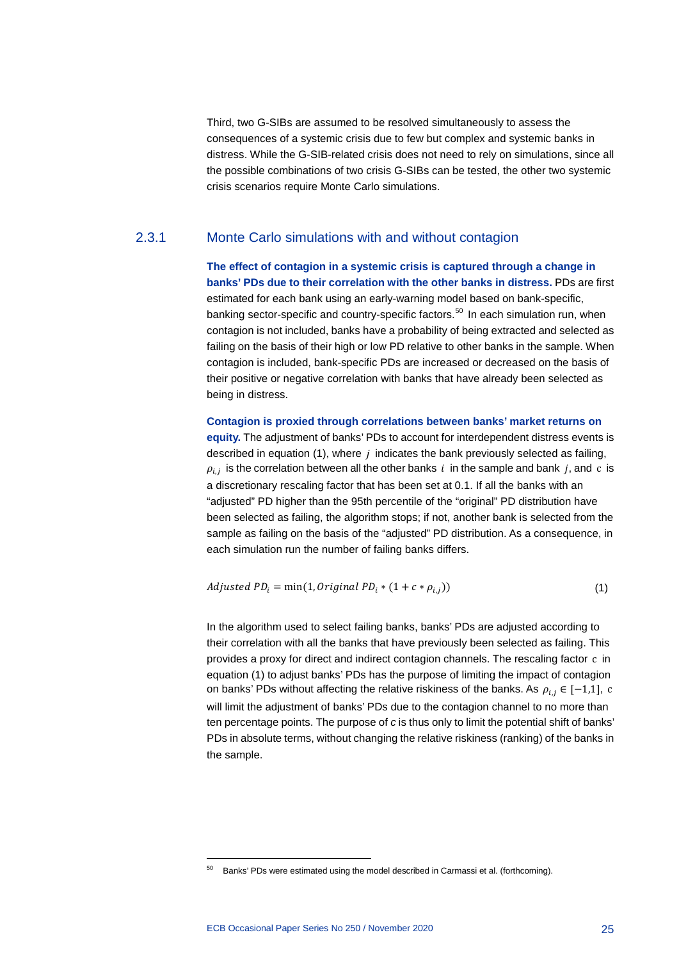Third, two G-SIBs are assumed to be resolved simultaneously to assess the consequences of a systemic crisis due to few but complex and systemic banks in distress. While the G-SIB-related crisis does not need to rely on simulations, since all the possible combinations of two crisis G-SIBs can be tested, the other two systemic crisis scenarios require Monte Carlo simulations.

### 2.3.1 Monte Carlo simulations with and without contagion

**The effect of contagion in a systemic crisis is captured through a change in banks' PDs due to their correlation with the other banks in distress.** PDs are first estimated for each bank using an early-warning model based on bank-specific, banking sector-specific and country-specific factors.<sup>[50](#page-25-0)</sup> In each simulation run, when contagion is not included, banks have a probability of being extracted and selected as failing on the basis of their high or low PD relative to other banks in the sample. When contagion is included, bank-specific PDs are increased or decreased on the basis of their positive or negative correlation with banks that have already been selected as being in distress.

**Contagion is proxied through correlations between banks' market returns on equity.** The adjustment of banks' PDs to account for interdependent distress events is described in equation (1), where  $j$  indicates the bank previously selected as failing,  $\rho_{i,j}$  is the correlation between all the other banks i in the sample and bank j, and c is a discretionary rescaling factor that has been set at 0.1. If all the banks with an "adjusted" PD higher than the 95th percentile of the "original" PD distribution have been selected as failing, the algorithm stops; if not, another bank is selected from the sample as failing on the basis of the "adjusted" PD distribution. As a consequence, in each simulation run the number of failing banks differs.

$$
adjusted \; PD_i = \min(1, Original \; PD_i * (1 + c * \rho_{i,j})) \tag{1}
$$

In the algorithm used to select failing banks, banks' PDs are adjusted according to their correlation with all the banks that have previously been selected as failing. This provides a proxy for direct and indirect contagion channels. The rescaling factor c in equation (1) to adjust banks' PDs has the purpose of limiting the impact of contagion on banks' PDs without affecting the relative riskiness of the banks. As  $\rho_{i,j} \in [-1,1]$ , c will limit the adjustment of banks' PDs due to the contagion channel to no more than ten percentage points. The purpose of *c* is thus only to limit the potential shift of banks' PDs in absolute terms, without changing the relative riskiness (ranking) of the banks in the sample.

<span id="page-25-0"></span><sup>&</sup>lt;sup>50</sup> Banks' PDs were estimated using the model described in Carmassi et al. (forthcoming).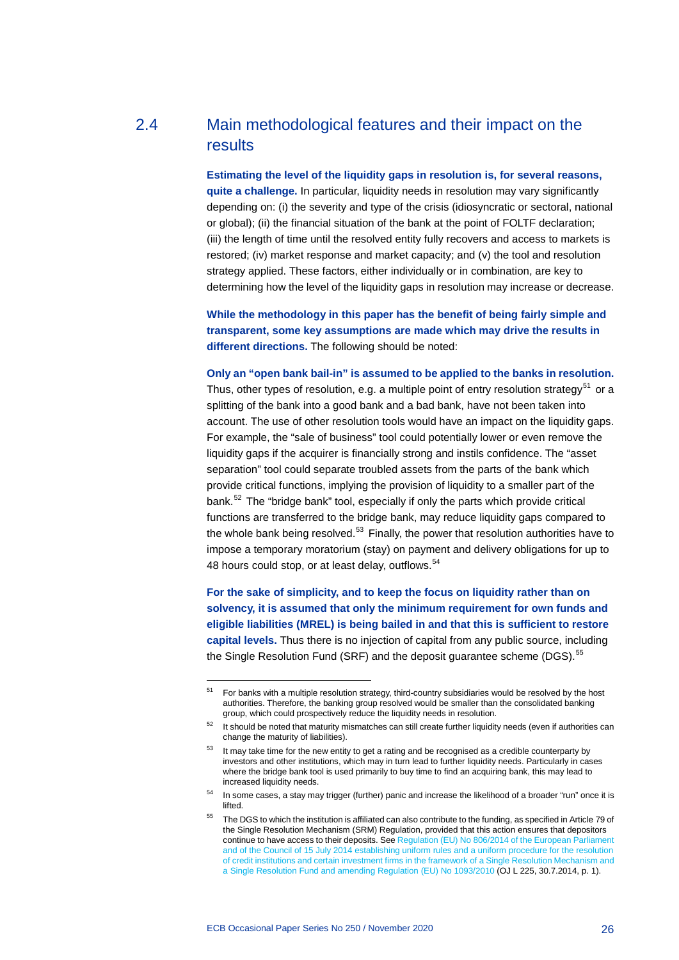## 2.4 Main methodological features and their impact on the results

<span id="page-26-0"></span>**Estimating the level of the liquidity gaps in resolution is, for several reasons, quite a challenge.** In particular, liquidity needs in resolution may vary significantly depending on: (i) the severity and type of the crisis (idiosyncratic or sectoral, national or global); (ii) the financial situation of the bank at the point of FOLTF declaration; (iii) the length of time until the resolved entity fully recovers and access to markets is restored; (iv) market response and market capacity; and (v) the tool and resolution strategy applied. These factors, either individually or in combination, are key to determining how the level of the liquidity gaps in resolution may increase or decrease.

**While the methodology in this paper has the benefit of being fairly simple and transparent, some key assumptions are made which may drive the results in different directions.** The following should be noted:

**Only an "open bank bail-in" is assumed to be applied to the banks in resolution.** Thus, other types of resolution, e.g. a multiple point of entry resolution strategy<sup>[51](#page-26-1)</sup> or a splitting of the bank into a good bank and a bad bank, have not been taken into account. The use of other resolution tools would have an impact on the liquidity gaps. For example, the "sale of business" tool could potentially lower or even remove the liquidity gaps if the acquirer is financially strong and instils confidence. The "asset separation" tool could separate troubled assets from the parts of the bank which provide critical functions, implying the provision of liquidity to a smaller part of the bank.<sup>[52](#page-26-2)</sup> The "bridge bank" tool, especially if only the parts which provide critical functions are transferred to the bridge bank, may reduce liquidity gaps compared to the whole bank being resolved. $53$  Finally, the power that resolution authorities have to impose a temporary moratorium (stay) on payment and delivery obligations for up to 48 hours could stop, or at least delay, outflows.<sup>[54](#page-26-4)</sup>

**For the sake of simplicity, and to keep the focus on liquidity rather than on solvency, it is assumed that only the minimum requirement for own funds and eligible liabilities (MREL) is being bailed in and that this is sufficient to restore capital levels.** Thus there is no injection of capital from any public source, including the Single Resolution Fund (SRF) and the deposit guarantee scheme (DGS).<sup>[55](#page-26-5)</sup>

<span id="page-26-1"></span><sup>&</sup>lt;sup>51</sup> For banks with a multiple resolution strategy, third-country subsidiaries would be resolved by the host authorities. Therefore, the banking group resolved would be smaller than the consolidated banking group, which could prospectively reduce the liquidity needs in resolution.

<span id="page-26-2"></span> $52$  It should be noted that maturity mismatches can still create further liquidity needs (even if authorities can change the maturity of liabilities).

<span id="page-26-3"></span><sup>&</sup>lt;sup>53</sup> It may take time for the new entity to get a rating and be recognised as a credible counterparty by investors and other institutions, which may in turn lead to further liquidity needs. Particularly in cases where the bridge bank tool is used primarily to buy time to find an acquiring bank, this may lead to increased liquidity needs.

<span id="page-26-4"></span><sup>54</sup> In some cases, a stay may trigger (further) panic and increase the likelihood of a broader "run" once it is lifted

<span id="page-26-5"></span><sup>&</sup>lt;sup>55</sup> The DGS to which the institution is affiliated can also contribute to the funding, as specified in Article 79 of the Single Resolution Mechanism (SRM) Regulation, provided that this action ensures that depositors continue to have access to their deposits. See Regulation (EU) No [806/2014 of the European Parliament](http://data.europa.eu/eli/reg/2014/806/oj)  and of the Council of 15 [July 2014 establishing uniform rules and a uniform procedure for the resolution](http://data.europa.eu/eli/reg/2014/806/oj)  [of credit institutions and certain investment firms in the framework of a Single Resolution Mechanism and](http://data.europa.eu/eli/reg/2014/806/oj)  [a Single Resolution Fund and amending Regulation \(EU\) No](http://data.europa.eu/eli/reg/2014/806/oj) 1093/2010 (OJ L 225, 30.7.2014, p. 1).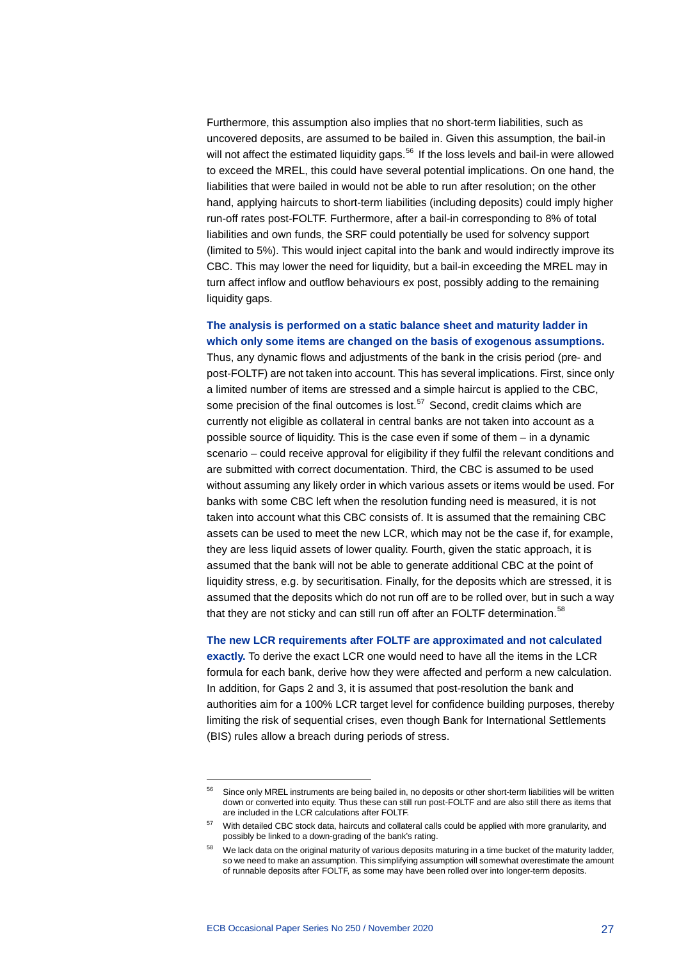Furthermore, this assumption also implies that no short-term liabilities, such as uncovered deposits, are assumed to be bailed in. Given this assumption, the bail-in will not affect the estimated liquidity gaps.<sup>[56](#page-27-0)</sup> If the loss levels and bail-in were allowed to exceed the MREL, this could have several potential implications. On one hand, the liabilities that were bailed in would not be able to run after resolution; on the other hand, applying haircuts to short-term liabilities (including deposits) could imply higher run-off rates post-FOLTF. Furthermore, after a bail-in corresponding to 8% of total liabilities and own funds, the SRF could potentially be used for solvency support (limited to 5%). This would inject capital into the bank and would indirectly improve its CBC. This may lower the need for liquidity, but a bail-in exceeding the MREL may in turn affect inflow and outflow behaviours ex post, possibly adding to the remaining liquidity gaps.

## **The analysis is performed on a static balance sheet and maturity ladder in which only some items are changed on the basis of exogenous assumptions.**

Thus, any dynamic flows and adjustments of the bank in the crisis period (pre- and post-FOLTF) are not taken into account. This has several implications. First, since only a limited number of items are stressed and a simple haircut is applied to the CBC, some precision of the final outcomes is lost. $57$  Second, credit claims which are currently not eligible as collateral in central banks are not taken into account as a possible source of liquidity. This is the case even if some of them – in a dynamic scenario – could receive approval for eligibility if they fulfil the relevant conditions and are submitted with correct documentation. Third, the CBC is assumed to be used without assuming any likely order in which various assets or items would be used. For banks with some CBC left when the resolution funding need is measured, it is not taken into account what this CBC consists of. It is assumed that the remaining CBC assets can be used to meet the new LCR, which may not be the case if, for example, they are less liquid assets of lower quality. Fourth, given the static approach, it is assumed that the bank will not be able to generate additional CBC at the point of liquidity stress, e.g. by securitisation. Finally, for the deposits which are stressed, it is assumed that the deposits which do not run off are to be rolled over, but in such a way that they are not sticky and can still run off after an FOLTF determination.<sup>[58](#page-27-2)</sup>

#### **The new LCR requirements after FOLTF are approximated and not calculated**

**exactly.** To derive the exact LCR one would need to have all the items in the LCR formula for each bank, derive how they were affected and perform a new calculation. In addition, for Gaps 2 and 3, it is assumed that post-resolution the bank and authorities aim for a 100% LCR target level for confidence building purposes, thereby limiting the risk of sequential crises, even though Bank for International Settlements (BIS) rules allow a breach during periods of stress.

<span id="page-27-0"></span><sup>&</sup>lt;sup>56</sup> Since only MREL instruments are being bailed in, no deposits or other short-term liabilities will be written down or converted into equity. Thus these can still run post-FOLTF and are also still there as items that are included in the LCR calculations after FOLTF.

<sup>&</sup>lt;sup>57</sup> With detailed CBC stock data, haircuts and collateral calls could be applied with more granularity, and possibly be linked to a down-grading of the bank's rating.

<span id="page-27-2"></span><span id="page-27-1"></span><sup>58</sup> We lack data on the original maturity of various deposits maturing in a time bucket of the maturity ladder, so we need to make an assumption. This simplifying assumption will somewhat overestimate the amount of runnable deposits after FOLTF, as some may have been rolled over into longer-term deposits.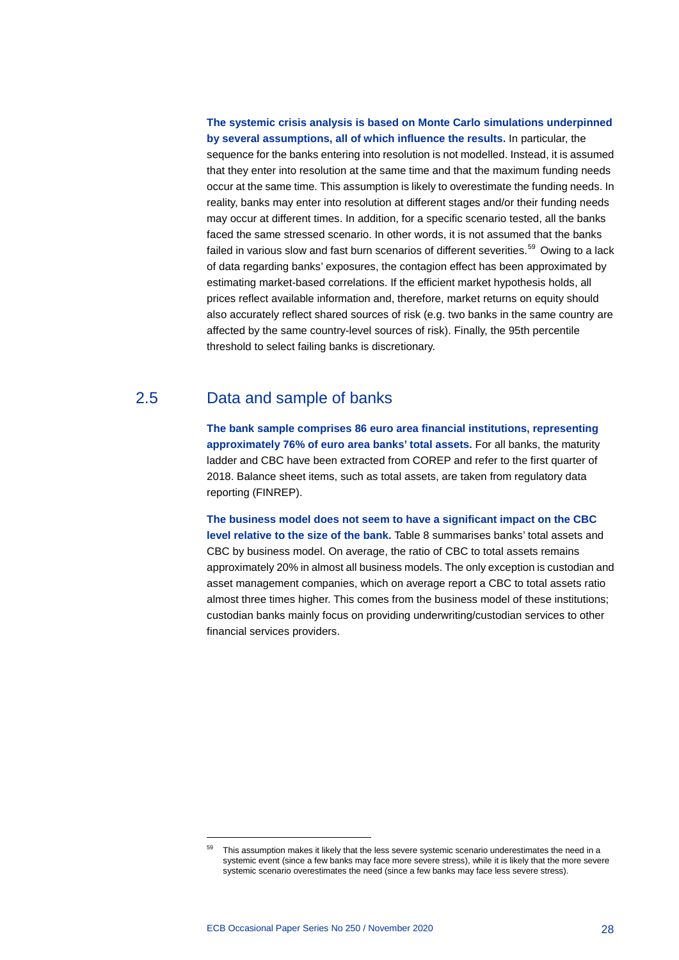**The systemic crisis analysis is based on Monte Carlo simulations underpinned by several assumptions, all of which influence the results.** In particular, the sequence for the banks entering into resolution is not modelled. Instead, it is assumed that they enter into resolution at the same time and that the maximum funding needs occur at the same time. This assumption is likely to overestimate the funding needs. In reality, banks may enter into resolution at different stages and/or their funding needs may occur at different times. In addition, for a specific scenario tested, all the banks faced the same stressed scenario. In other words, it is not assumed that the banks failed in various slow and fast burn scenarios of different severities. $59$  Owing to a lack of data regarding banks' exposures, the contagion effect has been approximated by estimating market-based correlations. If the efficient market hypothesis holds, all prices reflect available information and, therefore, market returns on equity should also accurately reflect shared sources of risk (e.g. two banks in the same country are affected by the same country-level sources of risk). Finally, the 95th percentile threshold to select failing banks is discretionary.

## 2.5 Data and sample of banks

<span id="page-28-0"></span>**The bank sample comprises 86 euro area financial institutions, representing approximately 76% of euro area banks' total assets.** For all banks, the maturity ladder and CBC have been extracted from COREP and refer to the first quarter of 2018. Balance sheet items, such as total assets, are taken from regulatory data reporting (FINREP).

**The business model does not seem to have a significant impact on the CBC level relative to the size of the bank.** Table 8 summarises banks' total assets and CBC by business model. On average, the ratio of CBC to total assets remains approximately 20% in almost all business models. The only exception is custodian and asset management companies, which on average report a CBC to total assets ratio almost three times higher. This comes from the business model of these institutions; custodian banks mainly focus on providing underwriting/custodian services to other financial services providers.

<span id="page-28-1"></span>This assumption makes it likely that the less severe systemic scenario underestimates the need in a systemic event (since a few banks may face more severe stress), while it is likely that the more severe systemic scenario overestimates the need (since a few banks may face less severe stress).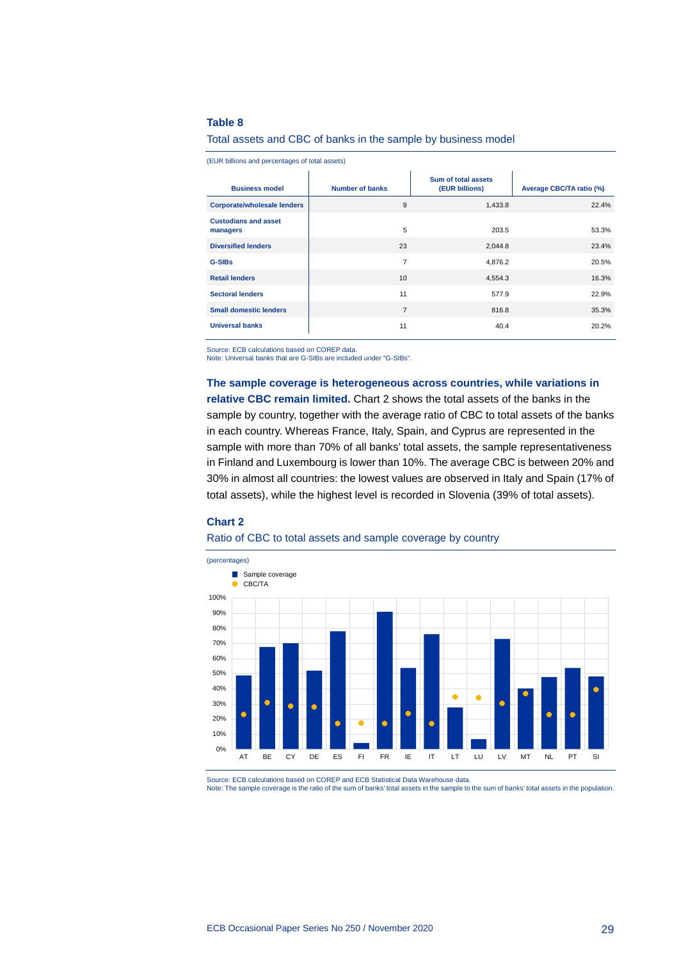#### **Table 8**

#### Total assets and CBC of banks in the sample by business model

(EUR billions and percentages of total assets)

| <b>Business model</b>                   | <b>Number of banks</b> | Sum of total assets<br>(EUR billions) | Average CBC/TA ratio (%) |
|-----------------------------------------|------------------------|---------------------------------------|--------------------------|
| <b>Corporate/wholesale lenders</b>      | 9                      | 1,433.8                               | 22.4%                    |
| <b>Custodians and asset</b><br>managers | 5                      | 203.5                                 | 53.3%                    |
| <b>Diversified lenders</b>              | 23                     | 2,044.8                               | 23.4%                    |
| <b>G-SIBs</b>                           | 7                      | 4,876.2                               | 20.5%                    |
| <b>Retail lenders</b>                   | 10                     | 4,554.3                               | 16.3%                    |
| <b>Sectoral lenders</b>                 | 11                     | 577.9                                 | 22.9%                    |
| <b>Small domestic lenders</b>           | $\overline{7}$         | 816.8                                 | 35.3%                    |
| <b>Universal banks</b>                  | 11                     | 40.4                                  | 20.2%                    |

Source: ECB calculations based on COREP data.

Note: Universal banks that are G-SIBs are included under "G-SIBs".

**The sample coverage is heterogeneous across countries, while variations in relative CBC remain limited.** Chart 2 shows the total assets of the banks in the sample by country, together with the average ratio of CBC to total assets of the banks in each country. Whereas France, Italy, Spain, and Cyprus are represented in the sample with more than 70% of all banks' total assets, the sample representativeness in Finland and Luxembourg is lower than 10%. The average CBC is between 20% and 30% in almost all countries: the lowest values are observed in Italy and Spain (17% of total assets), while the highest level is recorded in Slovenia (39% of total assets).

#### **Chart 2**

#### Ratio of CBC to total assets and sample coverage by country



Source: ECB calculations based on COREP and ECB Statistical Data Warehouse data. Note: The sample coverage is the ratio of the sum of banks' total assets in the sample to the sum of banks' total assets in the population.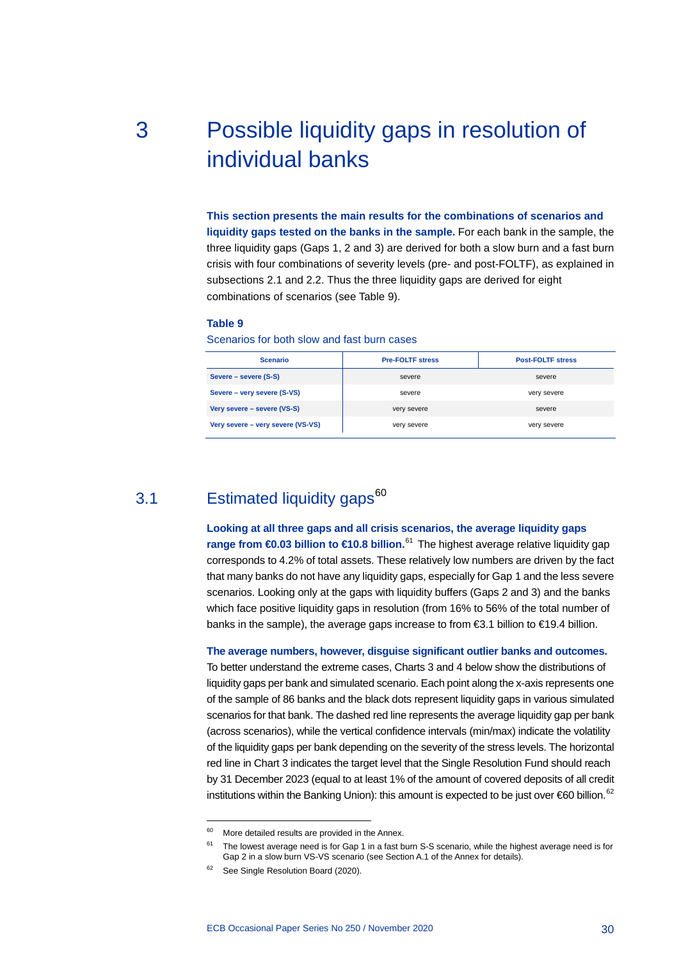# <span id="page-30-0"></span>3 Possible liquidity gaps in resolution of individual banks

**This section presents the main results for the combinations of scenarios and liquidity gaps tested on the banks in the sample.** For each bank in the sample, the three liquidity gaps (Gaps 1, 2 and 3) are derived for both a slow burn and a fast burn crisis with four combinations of severity levels (pre- and post-FOLTF), as explained in subsections 2.1 and 2.2. Thus the three liquidity gaps are derived for eight combinations of scenarios (see Table 9).

#### **Table 9**

Scenarios for both slow and fast burn cases

| <b>Scenario</b>                   | <b>Pre-FOLTF stress</b> | <b>Post-FOLTF stress</b> |  |
|-----------------------------------|-------------------------|--------------------------|--|
| Severe – severe (S-S)             | severe                  | severe                   |  |
| Severe – very severe (S-VS)       | severe                  | very severe              |  |
| Very severe – severe (VS-S)       | very severe             | severe                   |  |
| Very severe - very severe (VS-VS) | very severe             | very severe              |  |

## 3.1 Estimated liquidity gaps<sup>[60](#page-30-2)</sup>

<span id="page-30-1"></span>**Looking at all three gaps and all crisis scenarios, the average liquidity gaps range from €0.03 billion to €10.8 billion.**<sup>[61](#page-30-3)</sup> The highest average relative liquidity gap corresponds to 4.2% of total assets. These relatively low numbers are driven by the fact that many banks do not have any liquidity gaps, especially for Gap 1 and the less severe scenarios. Looking only at the gaps with liquidity buffers (Gaps 2 and 3) and the banks which face positive liquidity gaps in resolution (from 16% to 56% of the total number of banks in the sample), the average gaps increase to from €3.1 billion to €19.4 billion.

#### **The average numbers, however, disguise significant outlier banks and outcomes.**

To better understand the extreme cases, Charts 3 and 4 below show the distributions of liquidity gaps per bank and simulated scenario. Each point along the x-axis represents one of the sample of 86 banks and the black dots represent liquidity gaps in various simulated scenarios for that bank. The dashed red line represents the average liquidity gap per bank (across scenarios), while the vertical confidence intervals (min/max) indicate the volatility of the liquidity gaps per bank depending on the severity of the stress levels. The horizontal red line in Chart 3 indicates the target level that the Single Resolution Fund should reach by 31 December 2023 (equal to at least 1% of the amount of covered deposits of all credit institutions within the Banking Union): this amount is expected to be just over  $60$  billion.<sup>[62](#page-30-4)</sup>

<span id="page-30-2"></span> $60$  More detailed results are provided in the Annex.

<span id="page-30-3"></span><sup>&</sup>lt;sup>61</sup> The lowest average need is for Gap 1 in a fast burn S-S scenario, while the highest average need is for Gap 2 in a slow burn VS-VS scenario (see Section A.1 of the Annex for details).

<span id="page-30-4"></span><sup>&</sup>lt;sup>62</sup> See Single Resolution Board (2020).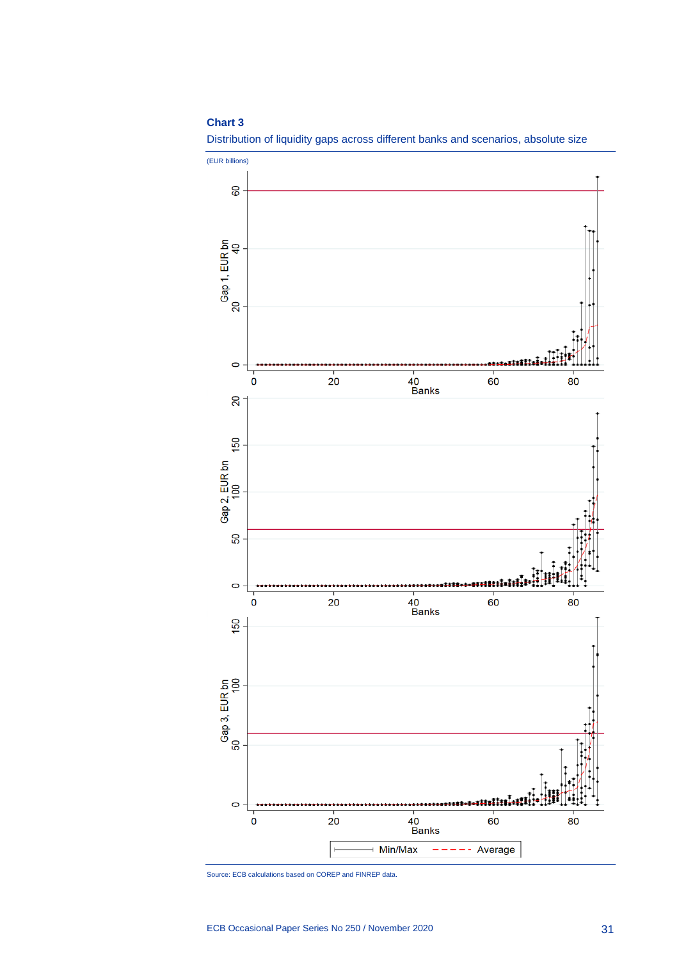#### **Chart 3**





Source: ECB calculations based on COREP and FINREP data.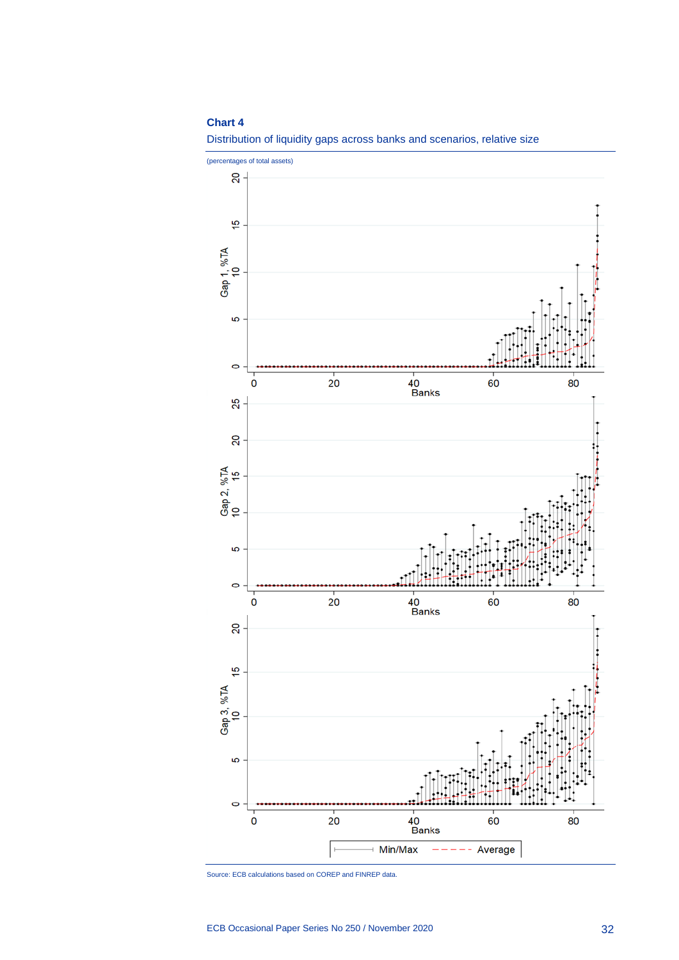#### **Chart 4**



Distribution of liquidity gaps across banks and scenarios, relative size

Source: ECB calculations based on COREP and FINREP data.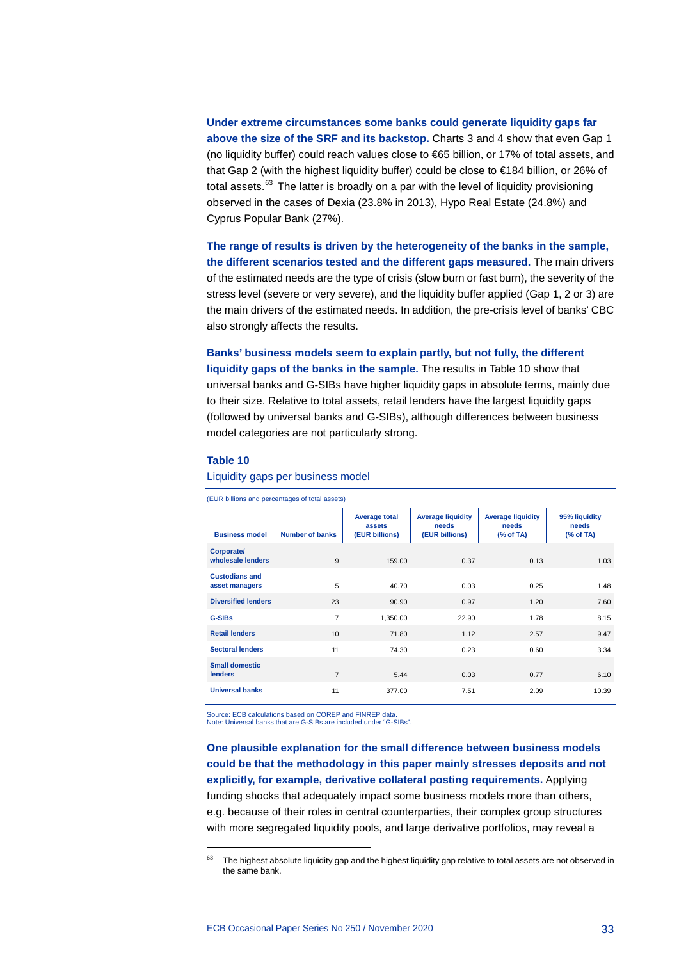**Under extreme circumstances some banks could generate liquidity gaps far above the size of the SRF and its backstop.** Charts 3 and 4 show that even Gap 1 (no liquidity buffer) could reach values close to €65 billion, or 17% of total assets, and that Gap 2 (with the highest liquidity buffer) could be close to €184 billion, or 26% of total assets.<sup>[63](#page-33-0)</sup> The latter is broadly on a par with the level of liquidity provisioning observed in the cases of Dexia (23.8% in 2013), Hypo Real Estate (24.8%) and Cyprus Popular Bank (27%).

**The range of results is driven by the heterogeneity of the banks in the sample, the different scenarios tested and the different gaps measured.** The main drivers of the estimated needs are the type of crisis (slow burn or fast burn), the severity of the stress level (severe or very severe), and the liquidity buffer applied (Gap 1, 2 or 3) are the main drivers of the estimated needs. In addition, the pre-crisis level of banks' CBC also strongly affects the results.

**Banks' business models seem to explain partly, but not fully, the different liquidity gaps of the banks in the sample.** The results in Table 10 show that universal banks and G-SIBs have higher liquidity gaps in absolute terms, mainly due to their size. Relative to total assets, retail lenders have the largest liquidity gaps (followed by universal banks and G-SIBs), although differences between business model categories are not particularly strong.

#### **Table 10**

-

Liquidity gaps per business model

| (EUR billions and percentages of total assets) |                        |                                                  |                                                     |                                               |                                    |  |  |  |  |
|------------------------------------------------|------------------------|--------------------------------------------------|-----------------------------------------------------|-----------------------------------------------|------------------------------------|--|--|--|--|
| <b>Business model</b>                          | <b>Number of banks</b> | <b>Average total</b><br>assets<br>(EUR billions) | <b>Average liquidity</b><br>needs<br>(EUR billions) | <b>Average liquidity</b><br>needs<br>% of TA) | 95% liquidity<br>needs<br>% of TA) |  |  |  |  |
| <b>Corporate/</b><br>wholesale lenders         | 9                      | 159.00                                           | 0.37                                                | 0.13                                          | 1.03                               |  |  |  |  |
| <b>Custodians and</b><br>asset managers        | 5                      | 40.70                                            | 0.03                                                | 0.25                                          | 1.48                               |  |  |  |  |
| <b>Diversified lenders</b>                     | 23                     | 90.90                                            | 0.97                                                | 1.20                                          | 7.60                               |  |  |  |  |
| <b>G-SIBs</b>                                  | 7                      | 1,350.00                                         | 22.90                                               | 1.78                                          | 8.15                               |  |  |  |  |
| <b>Retail lenders</b>                          | 10                     | 71.80                                            | 1.12                                                | 2.57                                          | 9.47                               |  |  |  |  |
| <b>Sectoral lenders</b>                        | 11                     | 74.30                                            | 0.23                                                | 0.60                                          | 3.34                               |  |  |  |  |
| <b>Small domestic</b><br><b>lenders</b>        | 7                      | 5.44                                             | 0.03                                                | 0.77                                          | 6.10                               |  |  |  |  |
| <b>Universal banks</b>                         | 11                     | 377.00                                           | 7.51                                                | 2.09                                          | 10.39                              |  |  |  |  |

Source: ECB calculations based on COREP and FINREP data. Note: Universal banks that are G-SIBs are included under "G-SIBs".

**One plausible explanation for the small difference between business models could be that the methodology in this paper mainly stresses deposits and not explicitly, for example, derivative collateral posting requirements.** Applying funding shocks that adequately impact some business models more than others, e.g. because of their roles in central counterparties, their complex group structures with more segregated liquidity pools, and large derivative portfolios, may reveal a

<span id="page-33-0"></span><sup>&</sup>lt;sup>63</sup> The highest absolute liquidity gap and the highest liquidity gap relative to total assets are not observed in the same bank.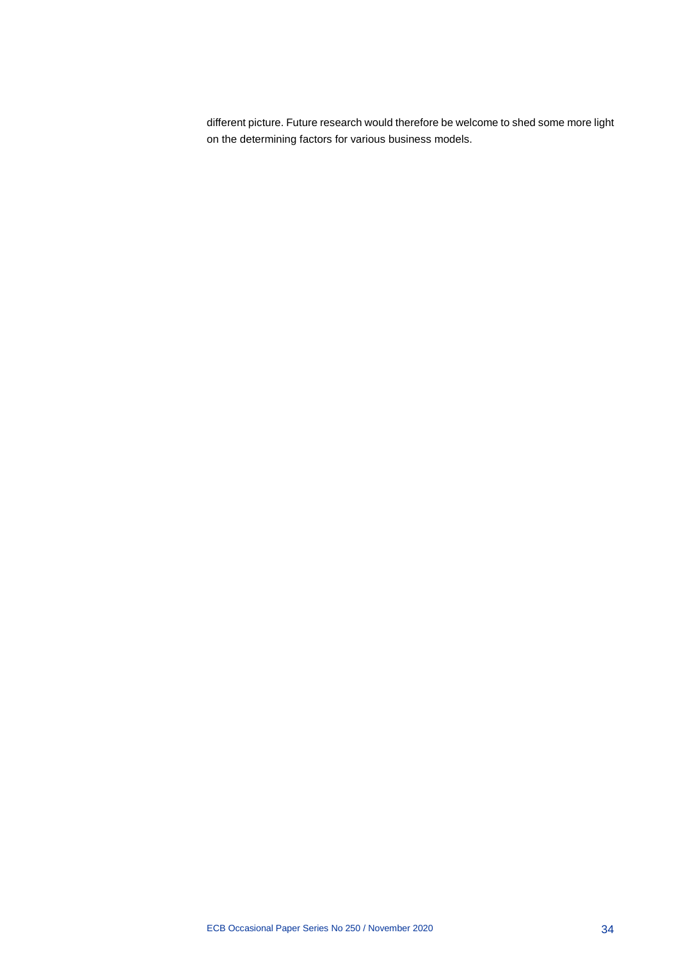different picture. Future research would therefore be welcome to shed some more light on the determining factors for various business models.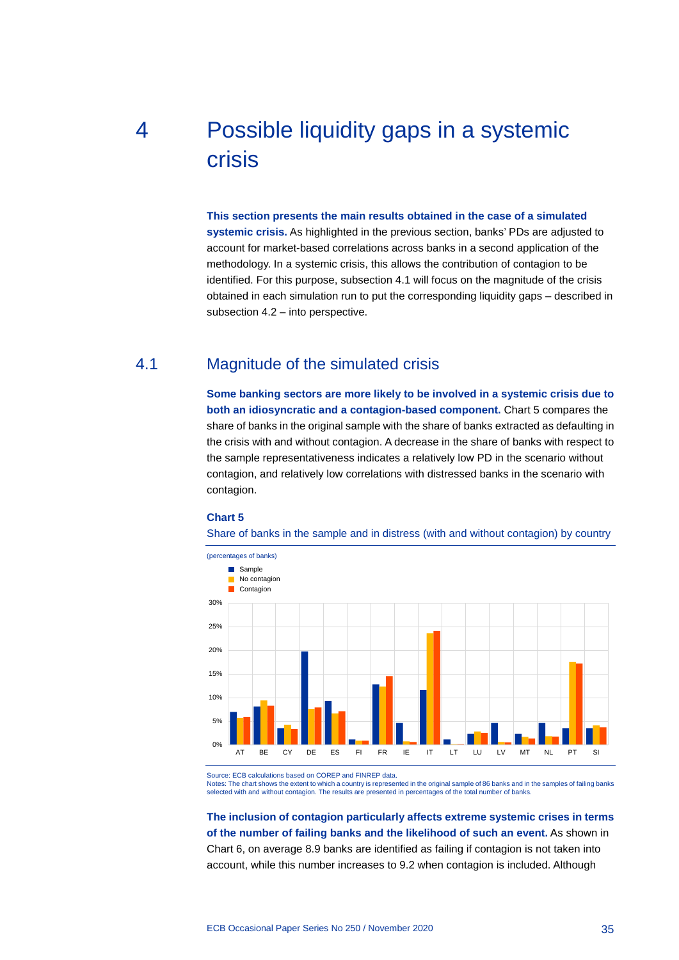# <span id="page-35-0"></span>4 Possible liquidity gaps in a systemic crisis

#### **This section presents the main results obtained in the case of a simulated**

**systemic crisis.** As highlighted in the previous section, banks' PDs are adjusted to account for market-based correlations across banks in a second application of the methodology. In a systemic crisis, this allows the contribution of contagion to be identified. For this purpose, subsection 4.1 will focus on the magnitude of the crisis obtained in each simulation run to put the corresponding liquidity gaps – described in subsection 4.2 – into perspective.

## 4.1 Magnitude of the simulated crisis

<span id="page-35-1"></span>**Some banking sectors are more likely to be involved in a systemic crisis due to both an idiosyncratic and a contagion-based component.** Chart 5 compares the share of banks in the original sample with the share of banks extracted as defaulting in the crisis with and without contagion. A decrease in the share of banks with respect to the sample representativeness indicates a relatively low PD in the scenario without contagion, and relatively low correlations with distressed banks in the scenario with contagion.

#### **Chart 5**

Share of banks in the sample and in distress (with and without contagion) by country



Source: ECB calculations based on COREP and FINREP data.

Notes: The chart shows the extent to which a country is represented in the original sample of 86 banks and in the samples of failing banks selected with and without contagion. The results are presented in percentages of the total number of banks.

**The inclusion of contagion particularly affects extreme systemic crises in terms of the number of failing banks and the likelihood of such an event.** As shown in Chart 6, on average 8.9 banks are identified as failing if contagion is not taken into account, while this number increases to 9.2 when contagion is included. Although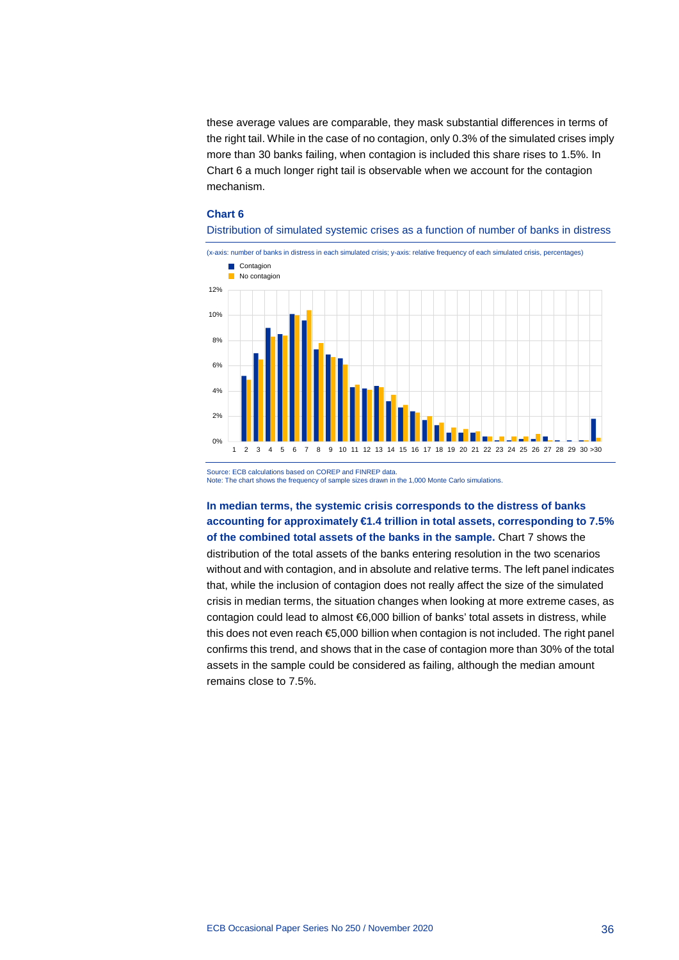these average values are comparable, they mask substantial differences in terms of the right tail. While in the case of no contagion, only 0.3% of the simulated crises imply more than 30 banks failing, when contagion is included this share rises to 1.5%. In Chart 6 a much longer right tail is observable when we account for the contagion mechanism.

#### **Chart 6**





Source: ECB calculations based on COREP and FINREP data. Note: The chart shows the frequency of sample sizes drawn in the 1,000 Monte Carlo simulations.

**In median terms, the systemic crisis corresponds to the distress of banks accounting for approximately €1.4 trillion in total assets, corresponding to 7.5% of the combined total assets of the banks in the sample.** Chart 7 shows the distribution of the total assets of the banks entering resolution in the two scenarios without and with contagion, and in absolute and relative terms. The left panel indicates that, while the inclusion of contagion does not really affect the size of the simulated crisis in median terms, the situation changes when looking at more extreme cases, as contagion could lead to almost €6,000 billion of banks' total assets in distress, while this does not even reach €5,000 billion when contagion is not included. The right panel confirms this trend, and shows that in the case of contagion more than 30% of the total assets in the sample could be considered as failing, although the median amount remains close to 7.5%.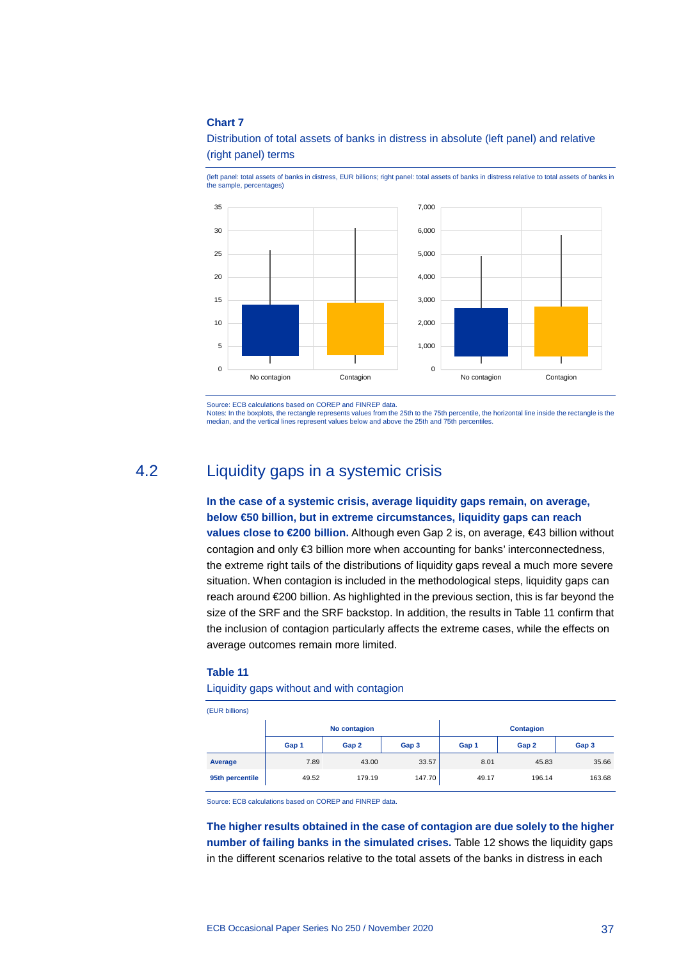#### **Chart 7**

Distribution of total assets of banks in distress in absolute (left panel) and relative (right panel) terms



(left panel: total assets of banks in distress, EUR billions; right panel: total assets of banks in distress relative to total assets of banks in the sample, percentages)

Source: ECB calculations based on COREP and FINREP data.

<span id="page-37-0"></span>Notes: In the boxplots, the rectangle represents values from the 25th to the 75th percentile, the horizontal line inside the rectangle is the median, and the vertical lines represent values below and above the 25th and 75th percentiles.

## 4.2 Liquidity gaps in a systemic crisis

**In the case of a systemic crisis, average liquidity gaps remain, on average, below €50 billion, but in extreme circumstances, liquidity gaps can reach values close to €200 billion.** Although even Gap 2 is, on average, €43 billion without contagion and only €3 billion more when accounting for banks' interconnectedness, the extreme right tails of the distributions of liquidity gaps reveal a much more severe situation. When contagion is included in the methodological steps, liquidity gaps can reach around €200 billion. As highlighted in the previous section, this is far beyond the size of the SRF and the SRF backstop. In addition, the results in Table 11 confirm that the inclusion of contagion particularly affects the extreme cases, while the effects on average outcomes remain more limited.

#### **Table 11**

#### Liquidity gaps without and with contagion

(EUR billions)

|                 |       | No contagion |        |       | <b>Contagion</b> |        |
|-----------------|-------|--------------|--------|-------|------------------|--------|
|                 | Gap 1 | Gap 2        | Gap 3  | Gap 1 | Gap 2            | Gap 3  |
| Average         | 7.89  | 43.00        | 33.57  | 8.01  | 45.83            | 35.66  |
| 95th percentile | 49.52 | 179.19       | 147.70 | 49.17 | 196.14           | 163.68 |

Source: ECB calculations based on COREP and FINREP data.

**The higher results obtained in the case of contagion are due solely to the higher number of failing banks in the simulated crises.** Table 12 shows the liquidity gaps in the different scenarios relative to the total assets of the banks in distress in each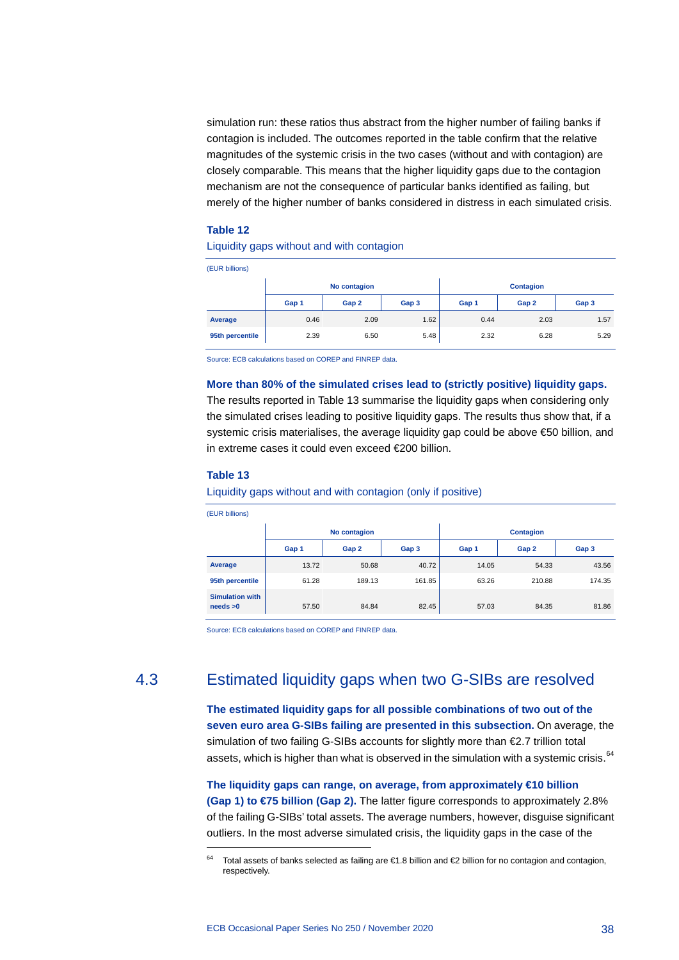simulation run: these ratios thus abstract from the higher number of failing banks if contagion is included. The outcomes reported in the table confirm that the relative magnitudes of the systemic crisis in the two cases (without and with contagion) are closely comparable. This means that the higher liquidity gaps due to the contagion mechanism are not the consequence of particular banks identified as failing, but merely of the higher number of banks considered in distress in each simulated crisis.

#### **Table 12**

#### Liquidity gaps without and with contagion

| (EUR billions)  |       |              |       |                  |       |       |  |
|-----------------|-------|--------------|-------|------------------|-------|-------|--|
|                 |       | No contagion |       | <b>Contagion</b> |       |       |  |
|                 | Gap 1 | Gap 2        | Gap 3 | Gap 1            | Gap 2 | Gap 3 |  |
| Average         | 0.46  | 2.09         | 1.62  | 0.44             | 2.03  | 1.57  |  |
| 95th percentile | 2.39  | 6.50         | 5.48  | 2.32             | 6.28  | 5.29  |  |

Source: ECB calculations based on COREP and FINREP data.

#### **More than 80% of the simulated crises lead to (strictly positive) liquidity gaps.**

The results reported in Table 13 summarise the liquidity gaps when considering only the simulated crises leading to positive liquidity gaps. The results thus show that, if a systemic crisis materialises, the average liquidity gap could be above €50 billion, and in extreme cases it could even exceed €200 billion.

#### **Table 13**

<span id="page-38-1"></span>-

#### Liquidity gaps without and with contagion (only if positive)

| (EUR billions)                     |       |              |        |                  |        |        |  |
|------------------------------------|-------|--------------|--------|------------------|--------|--------|--|
|                                    |       | No contagion |        | <b>Contagion</b> |        |        |  |
|                                    | Gap 1 | Gap 2        | Gap 3  | Gap 1            | Gap 2  | Gap 3  |  |
| Average                            | 13.72 | 50.68        | 40.72  | 14.05            | 54.33  | 43.56  |  |
| 95th percentile                    | 61.28 | 189.13       | 161.85 | 63.26            | 210.88 | 174.35 |  |
| <b>Simulation with</b><br>needs >0 | 57.50 | 84.84        | 82.45  | 57.03            | 84.35  | 81.86  |  |

<span id="page-38-0"></span>Source: ECB calculations based on COREP and FINREP data.

## 4.3 Estimated liquidity gaps when two G-SIBs are resolved

**The estimated liquidity gaps for all possible combinations of two out of the seven euro area G-SIBs failing are presented in this subsection.** On average, the simulation of two failing G-SIBs accounts for slightly more than €2.7 trillion total assets, which is higher than what is observed in the simulation with a systemic crisis.<sup>[64](#page-38-1)</sup>

**The liquidity gaps can range, on average, from approximately €10 billion (Gap 1) to €75 billion (Gap 2).** The latter figure corresponds to approximately 2.8% of the failing G-SIBs' total assets. The average numbers, however, disguise significant outliers. In the most adverse simulated crisis, the liquidity gaps in the case of the

Total assets of banks selected as failing are €1.8 billion and €2 billion for no contagion and contagion, respectively.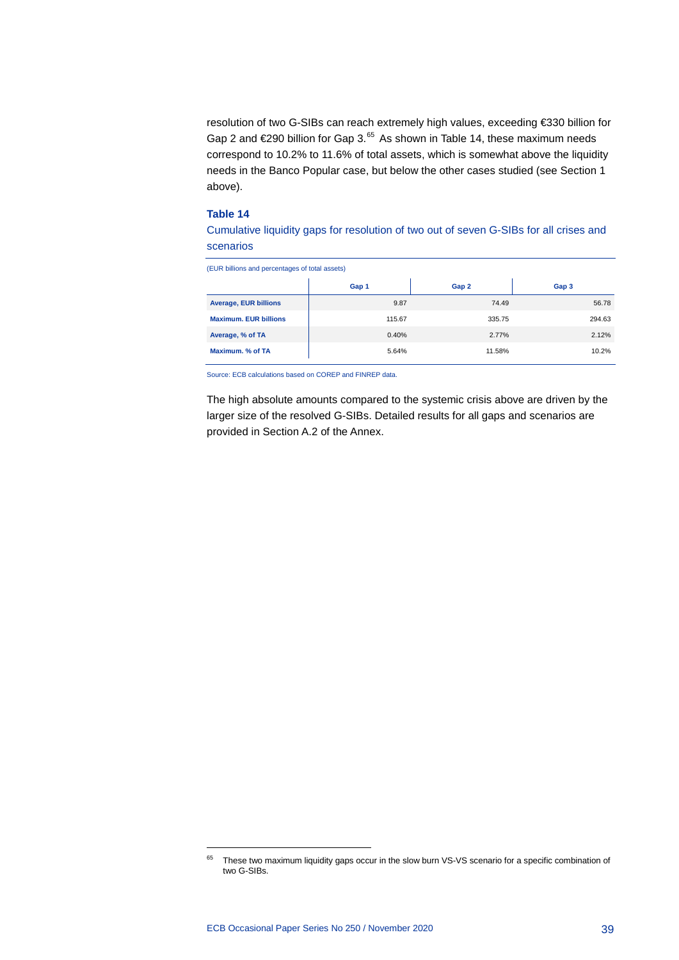resolution of two G-SIBs can reach extremely high values, exceeding €330 billion for Gap 2 and €290 billion for Gap 3.<sup>[65](#page-39-0)</sup> As shown in Table 14, these maximum needs correspond to 10.2% to 11.6% of total assets, which is somewhat above the liquidity needs in the Banco Popular case, but below the other cases studied (see Section 1 above).

#### **Table 14**

Cumulative liquidity gaps for resolution of two out of seven G-SIBs for all crises and scenarios

| (EUR billions and percentages of total assets) |        |        |        |  |  |  |  |  |  |
|------------------------------------------------|--------|--------|--------|--|--|--|--|--|--|
|                                                | Gap 1  | Gap 2  | Gap 3  |  |  |  |  |  |  |
| <b>Average, EUR billions</b>                   | 9.87   | 74.49  | 56.78  |  |  |  |  |  |  |
| <b>Maximum, EUR billions</b>                   | 115.67 | 335.75 | 294.63 |  |  |  |  |  |  |
| Average, % of TA                               | 0.40%  | 2.77%  | 2.12%  |  |  |  |  |  |  |
| Maximum, % of TA                               | 5.64%  | 11.58% | 10.2%  |  |  |  |  |  |  |

Source: ECB calculations based on COREP and FINREP data.

The high absolute amounts compared to the systemic crisis above are driven by the larger size of the resolved G-SIBs. Detailed results for all gaps and scenarios are provided in Section A.2 of the Annex.

<span id="page-39-0"></span><sup>&</sup>lt;sup>65</sup> These two maximum liquidity gaps occur in the slow burn VS-VS scenario for a specific combination of two G-SIBs.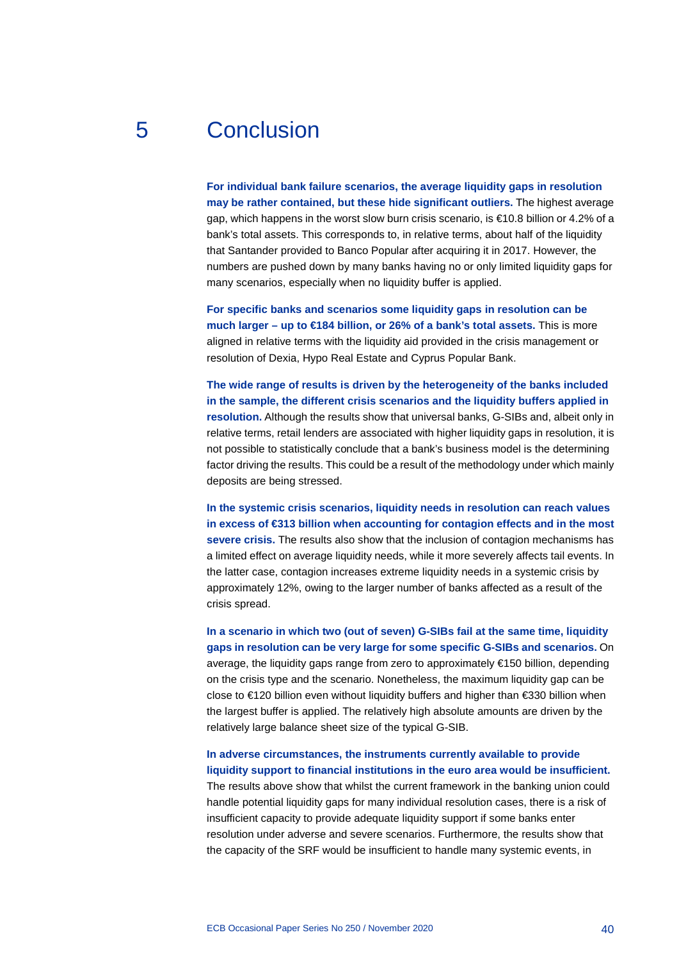## 5 Conclusion

<span id="page-40-0"></span>**For individual bank failure scenarios, the average liquidity gaps in resolution may be rather contained, but these hide significant outliers.** The highest average gap, which happens in the worst slow burn crisis scenario, is €10.8 billion or 4.2% of a bank's total assets. This corresponds to, in relative terms, about half of the liquidity that Santander provided to Banco Popular after acquiring it in 2017. However, the numbers are pushed down by many banks having no or only limited liquidity gaps for many scenarios, especially when no liquidity buffer is applied.

**For specific banks and scenarios some liquidity gaps in resolution can be much larger – up to €184 billion, or 26% of a bank's total assets.** This is more aligned in relative terms with the liquidity aid provided in the crisis management or resolution of Dexia, Hypo Real Estate and Cyprus Popular Bank.

**The wide range of results is driven by the heterogeneity of the banks included in the sample, the different crisis scenarios and the liquidity buffers applied in resolution.** Although the results show that universal banks, G-SIBs and, albeit only in relative terms, retail lenders are associated with higher liquidity gaps in resolution, it is not possible to statistically conclude that a bank's business model is the determining factor driving the results. This could be a result of the methodology under which mainly deposits are being stressed.

**In the systemic crisis scenarios, liquidity needs in resolution can reach values in excess of €313 billion when accounting for contagion effects and in the most severe crisis.** The results also show that the inclusion of contagion mechanisms has a limited effect on average liquidity needs, while it more severely affects tail events. In the latter case, contagion increases extreme liquidity needs in a systemic crisis by approximately 12%, owing to the larger number of banks affected as a result of the crisis spread.

**In a scenario in which two (out of seven) G-SIBs fail at the same time, liquidity gaps in resolution can be very large for some specific G-SIBs and scenarios.** On average, the liquidity gaps range from zero to approximately €150 billion, depending on the crisis type and the scenario. Nonetheless, the maximum liquidity gap can be close to €120 billion even without liquidity buffers and higher than €330 billion when the largest buffer is applied. The relatively high absolute amounts are driven by the relatively large balance sheet size of the typical G-SIB.

## **In adverse circumstances, the instruments currently available to provide liquidity support to financial institutions in the euro area would be insufficient.**

The results above show that whilst the current framework in the banking union could handle potential liquidity gaps for many individual resolution cases, there is a risk of insufficient capacity to provide adequate liquidity support if some banks enter resolution under adverse and severe scenarios. Furthermore, the results show that the capacity of the SRF would be insufficient to handle many systemic events, in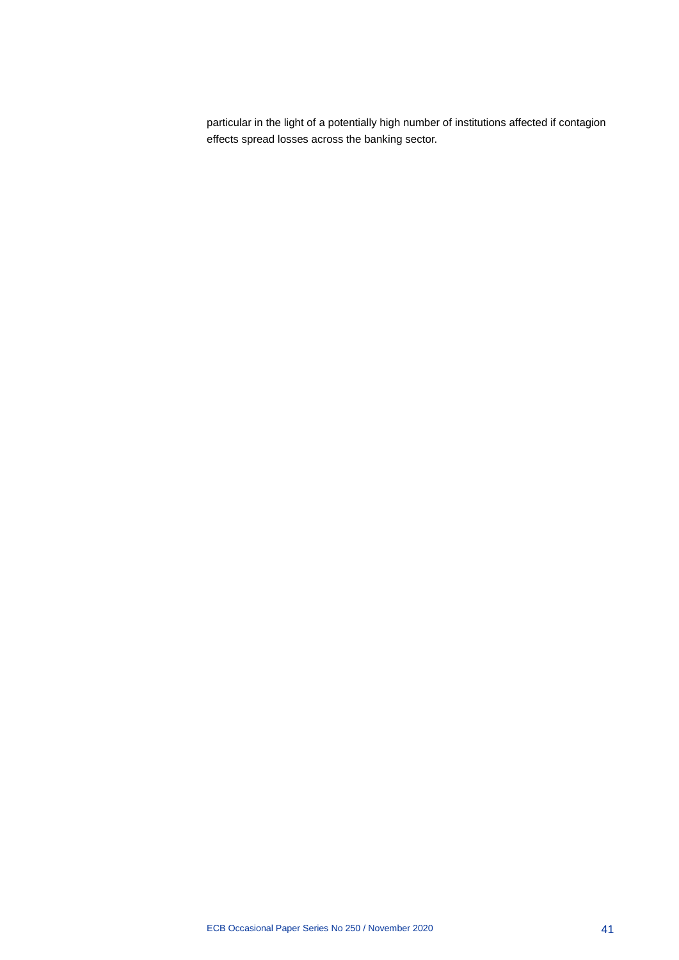particular in the light of a potentially high number of institutions affected if contagion effects spread losses across the banking sector.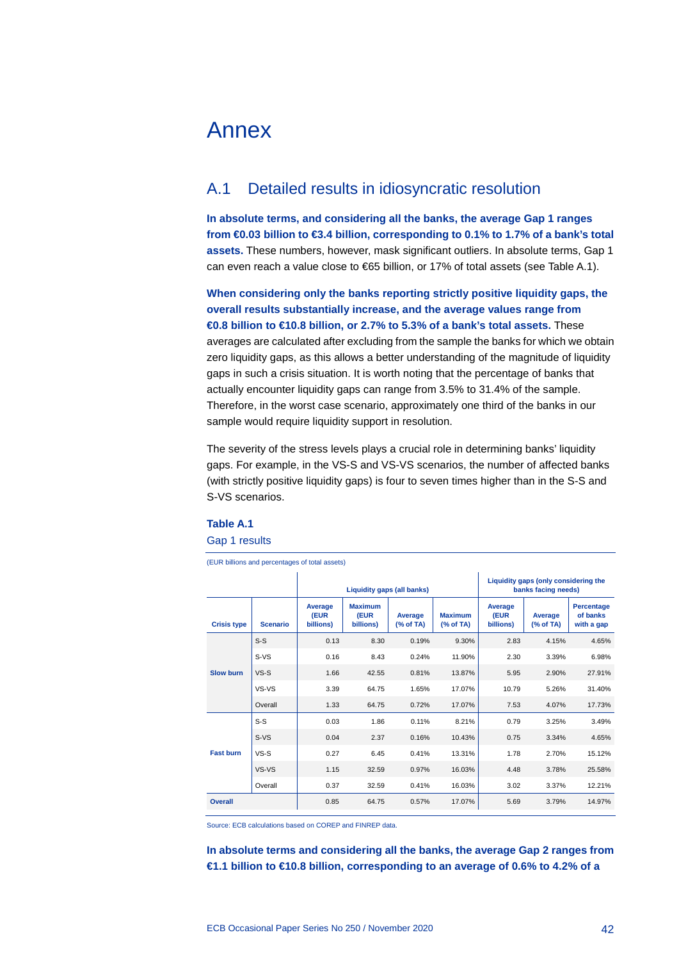## <span id="page-42-0"></span>Annex

## <span id="page-42-1"></span>A.1 Detailed results in idiosyncratic resolution

**In absolute terms, and considering all the banks, the average Gap 1 ranges from €0.03 billion to €3.4 billion, corresponding to 0.1% to 1.7% of a bank's total assets.** These numbers, however, mask significant outliers. In absolute terms, Gap 1 can even reach a value close to €65 billion, or 17% of total assets (see Table A.1).

**When considering only the banks reporting strictly positive liquidity gaps, the overall results substantially increase, and the average values range from €0.8 billion to €10.8 billion, or 2.7% to 5.3% of a bank's total assets.** These averages are calculated after excluding from the sample the banks for which we obtain zero liquidity gaps, as this allows a better understanding of the magnitude of liquidity gaps in such a crisis situation. It is worth noting that the percentage of banks that actually encounter liquidity gaps can range from 3.5% to 31.4% of the sample. Therefore, in the worst case scenario, approximately one third of the banks in our sample would require liquidity support in resolution.

The severity of the stress levels plays a crucial role in determining banks' liquidity gaps. For example, in the VS-S and VS-VS scenarios, the number of affected banks (with strictly positive liquidity gaps) is four to seven times higher than in the S-S and S-VS scenarios.

## **Table A.1**

#### Gap 1 results

(EUR billions and percentages of total assets)

|                    |                 |                              |                                     | Liquidity gaps (all banks) |                             |                              | Liquidity gaps (only considering the<br>banks facing needs) |                                      |
|--------------------|-----------------|------------------------------|-------------------------------------|----------------------------|-----------------------------|------------------------------|-------------------------------------------------------------|--------------------------------------|
| <b>Crisis type</b> | <b>Scenario</b> | Average<br>(EUR<br>billions) | <b>Maximum</b><br>(EUR<br>billions) | Average<br>(% of TA)       | <b>Maximum</b><br>(% of TA) | Average<br>(EUR<br>billions) | Average<br>% of TA)                                         | Percentage<br>of banks<br>with a gap |
|                    | $S-S$           | 0.13                         | 8.30                                | 0.19%                      | 9.30%                       | 2.83                         | 4.15%                                                       | 4.65%                                |
|                    | $S-VS$          | 0.16                         | 8.43                                | 0.24%                      | 11.90%                      | 2.30                         | 3.39%                                                       | 6.98%                                |
| <b>Slow burn</b>   | $VS-S$          | 1.66                         | 42.55                               | 0.81%                      | 13.87%                      | 5.95                         | 2.90%                                                       | 27.91%                               |
|                    | VS-VS           | 3.39                         | 64.75                               | 1.65%                      | 17.07%                      | 10.79                        | 5.26%                                                       | 31.40%                               |
|                    | Overall         | 1.33                         | 64.75                               | 0.72%                      | 17.07%                      | 7.53                         | 4.07%                                                       | 17.73%                               |
|                    | $S-S$           | 0.03                         | 1.86                                | 0.11%                      | 8.21%                       | 0.79                         | 3.25%                                                       | 3.49%                                |
|                    | $S-VS$          | 0.04                         | 2.37                                | 0.16%                      | 10.43%                      | 0.75                         | 3.34%                                                       | 4.65%                                |
| <b>Fast burn</b>   | $VS-S$          | 0.27                         | 6.45                                | 0.41%                      | 13.31%                      | 1.78                         | 2.70%                                                       | 15.12%                               |
|                    | VS-VS           | 1.15                         | 32.59                               | 0.97%                      | 16.03%                      | 4.48                         | 3.78%                                                       | 25.58%                               |
|                    | Overall         | 0.37                         | 32.59                               | 0.41%                      | 16.03%                      | 3.02                         | 3.37%                                                       | 12.21%                               |
| <b>Overall</b>     |                 | 0.85                         | 64.75                               | 0.57%                      | 17.07%                      | 5.69                         | 3.79%                                                       | 14.97%                               |

Source: ECB calculations based on COREP and FINREP data.

**In absolute terms and considering all the banks, the average Gap 2 ranges from €1.1 billion to €10.8 billion, corresponding to an average of 0.6% to 4.2% of a**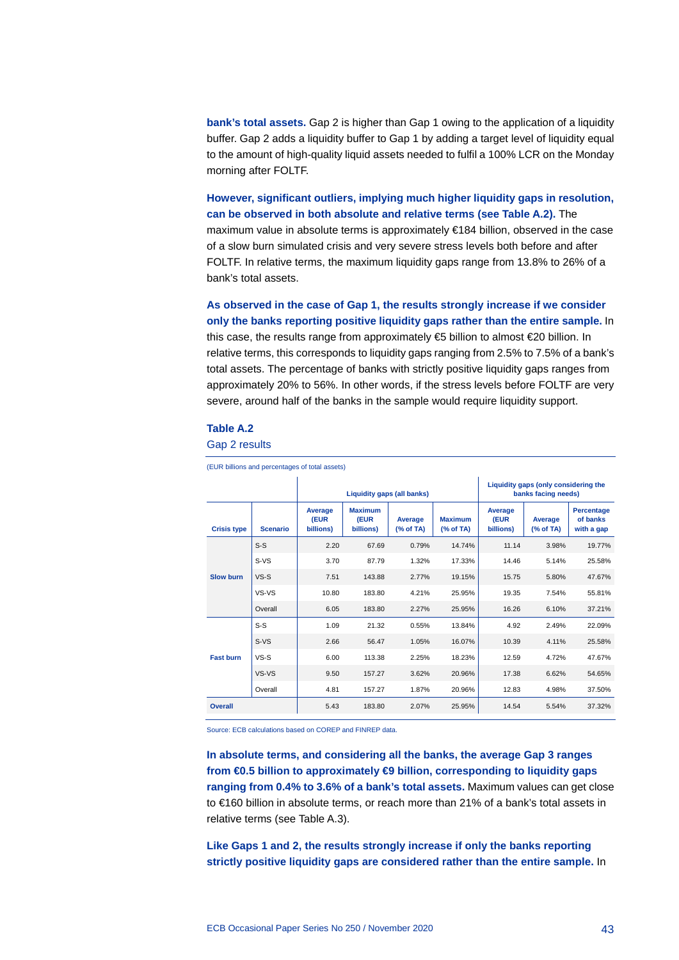**bank's total assets.** Gap 2 is higher than Gap 1 owing to the application of a liquidity buffer. Gap 2 adds a liquidity buffer to Gap 1 by adding a target level of liquidity equal to the amount of high-quality liquid assets needed to fulfil a 100% LCR on the Monday morning after FOLTF.

**However, significant outliers, implying much higher liquidity gaps in resolution, can be observed in both absolute and relative terms (see Table A.2).** The maximum value in absolute terms is approximately €184 billion, observed in the case of a slow burn simulated crisis and very severe stress levels both before and after FOLTF. In relative terms, the maximum liquidity gaps range from 13.8% to 26% of a bank's total assets.

**As observed in the case of Gap 1, the results strongly increase if we consider only the banks reporting positive liquidity gaps rather than the entire sample.** In this case, the results range from approximately €5 billion to almost €20 billion. In relative terms, this corresponds to liquidity gaps ranging from 2.5% to 7.5% of a bank's total assets. The percentage of banks with strictly positive liquidity gaps ranges from approximately 20% to 56%. In other words, if the stress levels before FOLTF are very severe, around half of the banks in the sample would require liquidity support.

#### **Table A.2**

Gap 2 results

|                    | (EUR billions and percentages of total assets) |                              |                                     |                      |                             |                                                             |                      |                                             |  |
|--------------------|------------------------------------------------|------------------------------|-------------------------------------|----------------------|-----------------------------|-------------------------------------------------------------|----------------------|---------------------------------------------|--|
|                    | <b>Liquidity gaps (all banks)</b>              |                              |                                     |                      |                             | Liquidity gaps (only considering the<br>banks facing needs) |                      |                                             |  |
| <b>Crisis type</b> | <b>Scenario</b>                                | Average<br>(EUR<br>billions) | <b>Maximum</b><br>(EUR<br>billions) | Average<br>(% of TA) | <b>Maximum</b><br>(% of TA) | Average<br>(EUR<br>billions)                                | Average<br>(% of TA) | <b>Percentage</b><br>of banks<br>with a gap |  |
|                    | $S-S$                                          | 2.20                         | 67.69                               | 0.79%                | 14.74%                      | 11.14                                                       | 3.98%                | 19.77%                                      |  |
|                    | $S-VS$                                         | 3.70                         | 87.79                               | 1.32%                | 17.33%                      | 14.46                                                       | 5.14%                | 25.58%                                      |  |
| <b>Slow burn</b>   | $VS-S$                                         | 7.51                         | 143.88                              | 2.77%                | 19.15%                      | 15.75                                                       | 5.80%                | 47.67%                                      |  |
|                    | VS-VS                                          | 10.80                        | 183.80                              | 4.21%                | 25.95%                      | 19.35                                                       | 7.54%                | 55.81%                                      |  |
|                    | Overall                                        | 6.05                         | 183.80                              | 2.27%                | 25.95%                      | 16.26                                                       | 6.10%                | 37.21%                                      |  |
|                    | $S-S$                                          | 1.09                         | 21.32                               | 0.55%                | 13.84%                      | 4.92                                                        | 2.49%                | 22.09%                                      |  |
|                    | $S-VS$                                         | 2.66                         | 56.47                               | 1.05%                | 16.07%                      | 10.39                                                       | 4.11%                | 25.58%                                      |  |
| <b>Fast burn</b>   | $VS-S$                                         | 6.00                         | 113.38                              | 2.25%                | 18.23%                      | 12.59                                                       | 4.72%                | 47.67%                                      |  |
|                    | VS-VS                                          | 9.50                         | 157.27                              | 3.62%                | 20.96%                      | 17.38                                                       | 6.62%                | 54.65%                                      |  |
|                    | Overall                                        | 4.81                         | 157.27                              | 1.87%                | 20.96%                      | 12.83                                                       | 4.98%                | 37.50%                                      |  |
| <b>Overall</b>     |                                                | 5.43                         | 183.80                              | 2.07%                | 25.95%                      | 14.54                                                       | 5.54%                | 37.32%                                      |  |

Source: ECB calculations based on COREP and FINREP data.

**In absolute terms, and considering all the banks, the average Gap 3 ranges from €0.5 billion to approximately €9 billion, corresponding to liquidity gaps ranging from 0.4% to 3.6% of a bank's total assets.** Maximum values can get close to €160 billion in absolute terms, or reach more than 21% of a bank's total assets in relative terms (see Table A.3).

**Like Gaps 1 and 2, the results strongly increase if only the banks reporting strictly positive liquidity gaps are considered rather than the entire sample.** In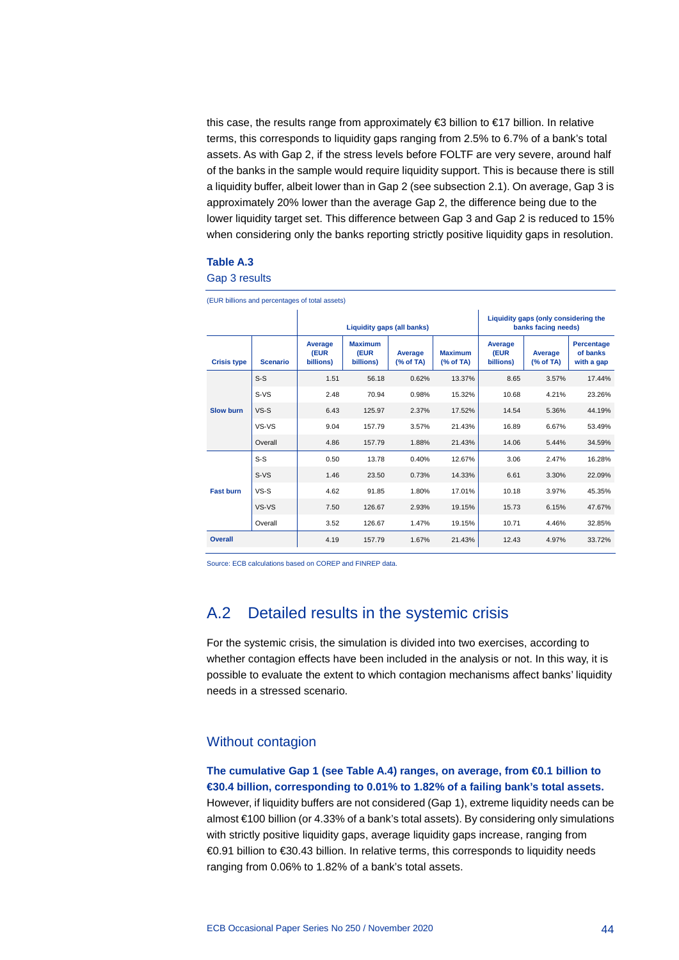this case, the results range from approximately €3 billion to €17 billion. In relative terms, this corresponds to liquidity gaps ranging from 2.5% to 6.7% of a bank's total assets. As with Gap 2, if the stress levels before FOLTF are very severe, around half of the banks in the sample would require liquidity support. This is because there is still a liquidity buffer, albeit lower than in Gap 2 (see subsection 2.1). On average, Gap 3 is approximately 20% lower than the average Gap 2, the difference being due to the lower liquidity target set. This difference between Gap 3 and Gap 2 is reduced to 15% when considering only the banks reporting strictly positive liquidity gaps in resolution.

#### **Table A.3**

Gap 3 results

| (EUR billions and percentages of total assets) |                 |                              |                                     |                            |                              |                                                             |                                      |        |  |  |
|------------------------------------------------|-----------------|------------------------------|-------------------------------------|----------------------------|------------------------------|-------------------------------------------------------------|--------------------------------------|--------|--|--|
|                                                |                 |                              |                                     | Liquidity gaps (all banks) |                              | Liquidity gaps (only considering the<br>banks facing needs) |                                      |        |  |  |
| <b>Crisis type</b>                             | <b>Scenario</b> | Average<br>(EUR<br>billions) | <b>Maximum</b><br>(EUR<br>billions) | Average<br>(% of TA)       | Average<br>(EUR<br>billions) | Average<br>% of TA)                                         | Percentage<br>of banks<br>with a gap |        |  |  |
|                                                | $S-S$           | 1.51                         | 56.18                               | 0.62%                      | 13.37%                       | 8.65                                                        | 3.57%                                | 17.44% |  |  |
|                                                | $S-VS$          | 2.48                         | 70.94                               | 0.98%                      | 15.32%                       | 10.68                                                       | 4.21%                                | 23.26% |  |  |
| <b>Slow burn</b>                               | $VS-S$          | 6.43                         | 125.97                              | 2.37%                      | 17.52%                       | 14.54                                                       | 5.36%                                | 44.19% |  |  |
|                                                | VS-VS           | 9.04                         | 157.79                              | 3.57%                      | 21.43%                       | 16.89                                                       | 6.67%                                | 53.49% |  |  |
|                                                | Overall         | 4.86                         | 157.79                              | 1.88%                      | 21.43%                       | 14.06                                                       | 5.44%                                | 34.59% |  |  |
|                                                | $S-S$           | 0.50                         | 13.78                               | 0.40%                      | 12.67%                       | 3.06                                                        | 2.47%                                | 16.28% |  |  |
|                                                | $S-VS$          | 1.46                         | 23.50                               | 0.73%                      | 14.33%                       | 6.61                                                        | 3.30%                                | 22.09% |  |  |
| <b>Fast burn</b>                               | $VS-S$          | 4.62                         | 91.85                               | 1.80%                      | 17.01%                       | 10.18                                                       | 3.97%                                | 45.35% |  |  |
|                                                | VS-VS           | 7.50                         | 126.67                              | 2.93%                      | 19.15%                       | 15.73                                                       | 6.15%                                | 47.67% |  |  |
|                                                | Overall         | 3.52                         | 126.67                              | 1.47%                      | 19.15%                       | 10.71                                                       | 4.46%                                | 32.85% |  |  |
| <b>Overall</b>                                 |                 | 4.19                         | 157.79                              | 1.67%                      | 21.43%                       | 12.43                                                       | 4.97%                                | 33.72% |  |  |

<span id="page-44-0"></span>Source: ECB calculations based on COREP and FINREP data.

## A.2 Detailed results in the systemic crisis

For the systemic crisis, the simulation is divided into two exercises, according to whether contagion effects have been included in the analysis or not. In this way, it is possible to evaluate the extent to which contagion mechanisms affect banks' liquidity needs in a stressed scenario.

#### Without contagion

### **The cumulative Gap 1 (see Table A.4) ranges, on average, from €0.1 billion to €30.4 billion, corresponding to 0.01% to 1.82% of a failing bank's total assets.**

However, if liquidity buffers are not considered (Gap 1), extreme liquidity needs can be almost €100 billion (or 4.33% of a bank's total assets). By considering only simulations with strictly positive liquidity gaps, average liquidity gaps increase, ranging from €0.91 billion to €30.43 billion. In relative terms, this corresponds to liquidity needs ranging from 0.06% to 1.82% of a bank's total assets.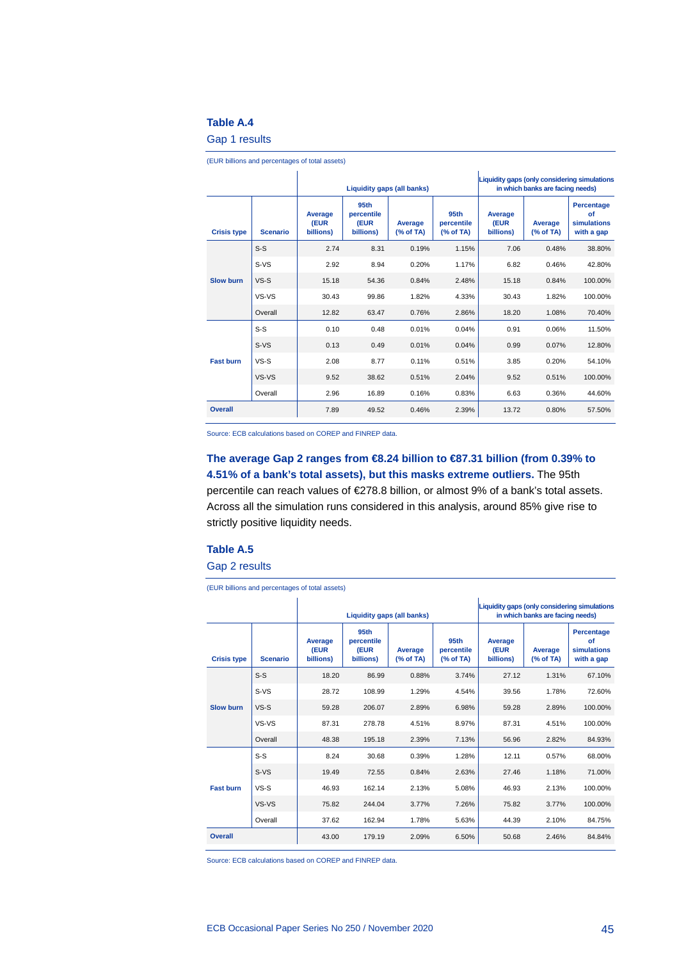#### **Table A.4**

Gap 1 results

|                    | Liquidity gaps (all banks) |                              |                                                     |                     |                              | Liquidity gaps (only considering simulations<br>in which banks are facing needs) |                                               |         |
|--------------------|----------------------------|------------------------------|-----------------------------------------------------|---------------------|------------------------------|----------------------------------------------------------------------------------|-----------------------------------------------|---------|
| <b>Crisis type</b> | <b>Scenario</b>            | Average<br>(EUR<br>billions) | 95 <sub>th</sub><br>percentile<br>(EUR<br>billions) | Average<br>% of TA) | Average<br>(EUR<br>billions) | Average<br>% of TA)                                                              | Percentage<br>of<br>simulations<br>with a gap |         |
|                    | $S-S$                      | 2.74                         | 8.31                                                | 0.19%               | 1.15%                        | 7.06                                                                             | 0.48%                                         | 38.80%  |
|                    | $S-VS$                     | 2.92                         | 8.94                                                | 0.20%               | 1.17%                        | 6.82                                                                             | 0.46%                                         | 42.80%  |
| <b>Slow burn</b>   | $VS-S$                     | 15.18                        | 54.36                                               | 0.84%               | 2.48%                        | 15.18                                                                            | 0.84%                                         | 100.00% |
|                    | VS-VS                      | 30.43                        | 99.86                                               | 1.82%               | 4.33%                        | 30.43                                                                            | 1.82%                                         | 100.00% |
|                    | Overall                    | 12.82                        | 63.47                                               | 0.76%               | 2.86%                        | 18.20                                                                            | 1.08%                                         | 70.40%  |
|                    | $S-S$                      | 0.10                         | 0.48                                                | 0.01%               | 0.04%                        | 0.91                                                                             | 0.06%                                         | 11.50%  |
|                    | $S-VS$                     | 0.13                         | 0.49                                                | 0.01%               | 0.04%                        | 0.99                                                                             | 0.07%                                         | 12.80%  |
| <b>Fast burn</b>   | $VS-S$                     | 2.08                         | 8.77                                                | 0.11%               | 0.51%                        | 3.85                                                                             | 0.20%                                         | 54.10%  |
|                    | VS-VS                      | 9.52                         | 38.62                                               | 0.51%               | 2.04%                        | 9.52                                                                             | 0.51%                                         | 100.00% |
|                    | Overall                    | 2.96                         | 16.89                                               | 0.16%               | 0.83%                        | 6.63                                                                             | 0.36%                                         | 44.60%  |
| <b>Overall</b>     |                            | 7.89                         | 49.52                                               | 0.46%               | 2.39%                        | 13.72                                                                            | 0.80%                                         | 57.50%  |

(EUR billions and percentages of total assets)

Source: ECB calculations based on COREP and FINREP data.

**The average Gap 2 ranges from €8.24 billion to €87.31 billion (from 0.39% to 4.51% of a bank's total assets), but this masks extreme outliers.** The 95th percentile can reach values of €278.8 billion, or almost 9% of a bank's total assets. Across all the simulation runs considered in this analysis, around 85% give rise to strictly positive liquidity needs.

#### **Table A.5**

Gap 2 results

(EUR billions and percentages of total assets)

|                    |                 |                              | Liquidity gaps (all banks)                          |                      |                                 | Liquidity gaps (only considering simulations<br>in which banks are facing needs) |                      |                                                      |
|--------------------|-----------------|------------------------------|-----------------------------------------------------|----------------------|---------------------------------|----------------------------------------------------------------------------------|----------------------|------------------------------------------------------|
| <b>Crisis type</b> | <b>Scenario</b> | Average<br>(EUR<br>billions) | 95 <sub>th</sub><br>percentile<br>(EUR<br>billions) | Average<br>(% of TA) | 95th<br>percentile<br>(% of TA) | Average<br>(EUR<br>billions)                                                     | Average<br>(% of TA) | <b>Percentage</b><br>of<br>simulations<br>with a gap |
|                    | $S-S$           | 18.20                        | 86.99                                               | 0.88%                | 3.74%                           | 27.12                                                                            | 1.31%                | 67.10%                                               |
|                    | $S-VS$          | 28.72                        | 108.99                                              | 1.29%                | 4.54%                           | 39.56                                                                            | 1.78%                | 72.60%                                               |
| <b>Slow burn</b>   | $VS-S$          | 59.28                        | 206.07                                              | 2.89%                | 6.98%                           | 59.28                                                                            | 2.89%                | 100.00%                                              |
|                    | VS-VS           | 87.31                        | 278.78                                              | 4.51%                | 8.97%                           | 87.31                                                                            | 4.51%                | 100.00%                                              |
|                    | Overall         | 48.38                        | 195.18                                              | 2.39%                | 7.13%                           | 56.96                                                                            | 2.82%                | 84.93%                                               |
|                    | $S-S$           | 8.24                         | 30.68                                               | 0.39%                | 1.28%                           | 12.11                                                                            | 0.57%                | 68.00%                                               |
|                    | $S-VS$          | 19.49                        | 72.55                                               | 0.84%                | 2.63%                           | 27.46                                                                            | 1.18%                | 71.00%                                               |
| <b>Fast burn</b>   | $VS-S$          | 46.93                        | 162.14                                              | 2.13%                | 5.08%                           | 46.93                                                                            | 2.13%                | 100.00%                                              |
|                    | VS-VS           | 75.82                        | 244.04                                              | 3.77%                | 7.26%                           | 75.82                                                                            | 3.77%                | 100.00%                                              |
|                    | Overall         | 37.62                        | 162.94                                              | 1.78%                | 5.63%                           | 44.39                                                                            | 2.10%                | 84.75%                                               |
| <b>Overall</b>     |                 | 43.00                        | 179.19                                              | 2.09%                | 6.50%                           | 50.68                                                                            | 2.46%                | 84.84%                                               |

Source: ECB calculations based on COREP and FINREP data.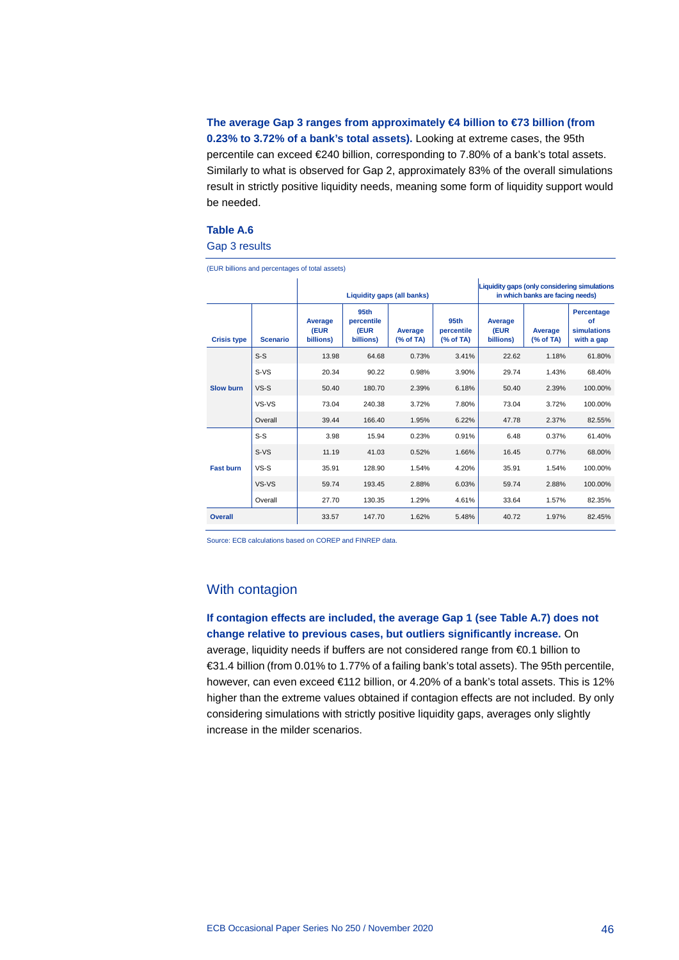## **The average Gap 3 ranges from approximately €4 billion to €73 billion (from 0.23% to 3.72% of a bank's total assets).** Looking at extreme cases, the 95th percentile can exceed €240 billion, corresponding to 7.80% of a bank's total assets. Similarly to what is observed for Gap 2, approximately 83% of the overall simulations result in strictly positive liquidity needs, meaning some form of liquidity support would be needed.

#### **Table A.6**

Gap 3 results

|                    |                 | (EUR billions and percentages of total assets) |                                                     |                            |                                                                                  |                              |                      |                                                      |
|--------------------|-----------------|------------------------------------------------|-----------------------------------------------------|----------------------------|----------------------------------------------------------------------------------|------------------------------|----------------------|------------------------------------------------------|
|                    |                 |                                                |                                                     | Liquidity gaps (all banks) | Liquidity gaps (only considering simulations<br>in which banks are facing needs) |                              |                      |                                                      |
| <b>Crisis type</b> | <b>Scenario</b> | <b>Average</b><br>(EUR<br>billions)            | 95 <sub>th</sub><br>percentile<br>(EUR<br>billions) | Average<br>% of TA)        | 95th<br>percentile<br>% of TA)                                                   | Average<br>(EUR<br>billions) | Average<br>(% of TA) | <b>Percentage</b><br>of<br>simulations<br>with a gap |
|                    | $S-S$           | 13.98                                          | 64.68                                               | 0.73%                      | 3.41%                                                                            | 22.62                        | 1.18%                | 61.80%                                               |
|                    | $S-VS$          | 20.34                                          | 90.22                                               | 0.98%                      | 3.90%                                                                            | 29.74                        | 1.43%                | 68.40%                                               |
| <b>Slow burn</b>   | $VS-S$          | 50.40                                          | 180.70                                              | 2.39%                      | 6.18%                                                                            | 50.40                        | 2.39%                | 100.00%                                              |
|                    | VS-VS           | 73.04                                          | 240.38                                              | 3.72%                      | 7.80%                                                                            | 73.04                        | 3.72%                | 100.00%                                              |
|                    | Overall         | 39.44                                          | 166.40                                              | 1.95%                      | 6.22%                                                                            | 47.78                        | 2.37%                | 82.55%                                               |
|                    | $S-S$           | 3.98                                           | 15.94                                               | 0.23%                      | 0.91%                                                                            | 6.48                         | 0.37%                | 61.40%                                               |
|                    | $S-VS$          | 11.19                                          | 41.03                                               | 0.52%                      | 1.66%                                                                            | 16.45                        | 0.77%                | 68.00%                                               |
| <b>Fast burn</b>   | $VS-S$          | 35.91                                          | 128.90                                              | 1.54%                      | 4.20%                                                                            | 35.91                        | 1.54%                | 100.00%                                              |
|                    | VS-VS           | 59.74                                          | 193.45                                              | 2.88%                      | 6.03%                                                                            | 59.74                        | 2.88%                | 100.00%                                              |
|                    | Overall         | 27.70                                          | 130.35                                              | 1.29%                      | 4.61%                                                                            | 33.64                        | 1.57%                | 82.35%                                               |
| <b>Overall</b>     |                 | 33.57                                          | 147.70                                              | 1.62%                      | 5.48%                                                                            | 40.72                        | 1.97%                | 82.45%                                               |

Source: ECB calculations based on COREP and FINREP data.

### With contagion

**If contagion effects are included, the average Gap 1 (see Table A.7) does not change relative to previous cases, but outliers significantly increase.** On average, liquidity needs if buffers are not considered range from €0.1 billion to €31.4 billion (from 0.01% to 1.77% of a failing bank's total assets). The 95th percentile, however, can even exceed €112 billion, or 4.20% of a bank's total assets. This is 12% higher than the extreme values obtained if contagion effects are not included. By only considering simulations with strictly positive liquidity gaps, averages only slightly increase in the milder scenarios.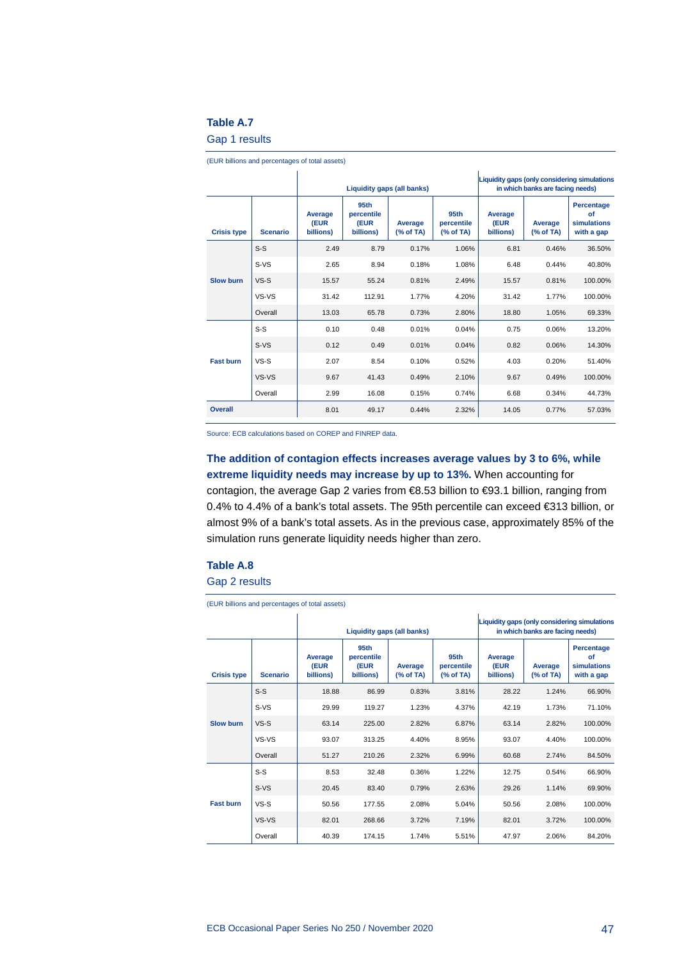#### **Table A.7**

Gap 1 results

|                    | Liquidity gaps (all banks) |                              |                                                     |                     |                              | Liquidity gaps (only considering simulations<br>in which banks are facing needs) |                                               |         |
|--------------------|----------------------------|------------------------------|-----------------------------------------------------|---------------------|------------------------------|----------------------------------------------------------------------------------|-----------------------------------------------|---------|
| <b>Crisis type</b> | <b>Scenario</b>            | Average<br>(EUR<br>billions) | 95 <sub>th</sub><br>percentile<br>(EUR<br>billions) | Average<br>% of TA) | Average<br>(EUR<br>billions) | Average<br>(% of TA)                                                             | Percentage<br>of<br>simulations<br>with a gap |         |
|                    | $S-S$                      | 2.49                         | 8.79                                                | 0.17%               | 1.06%                        | 6.81                                                                             | 0.46%                                         | 36.50%  |
|                    | $S-VS$                     | 2.65                         | 8.94                                                | 0.18%               | 1.08%                        | 6.48                                                                             | 0.44%                                         | 40.80%  |
| <b>Slow burn</b>   | $VS-S$                     | 15.57                        | 55.24                                               | 0.81%               | 2.49%                        | 15.57                                                                            | 0.81%                                         | 100.00% |
|                    | VS-VS                      | 31.42                        | 112.91                                              | 1.77%               | 4.20%                        | 31.42                                                                            | 1.77%                                         | 100.00% |
|                    | Overall                    | 13.03                        | 65.78                                               | 0.73%               | 2.80%                        | 18.80                                                                            | 1.05%                                         | 69.33%  |
|                    | $S-S$                      | 0.10                         | 0.48                                                | 0.01%               | 0.04%                        | 0.75                                                                             | 0.06%                                         | 13.20%  |
|                    | $S-VS$                     | 0.12                         | 0.49                                                | 0.01%               | 0.04%                        | 0.82                                                                             | 0.06%                                         | 14.30%  |
| <b>Fast burn</b>   | $VS-S$                     | 2.07                         | 8.54                                                | 0.10%               | 0.52%                        | 4.03                                                                             | 0.20%                                         | 51.40%  |
|                    | VS-VS                      | 9.67                         | 41.43                                               | 0.49%               | 2.10%                        | 9.67                                                                             | 0.49%                                         | 100.00% |
|                    | Overall                    | 2.99                         | 16.08                                               | 0.15%               | 0.74%                        | 6.68                                                                             | 0.34%                                         | 44.73%  |
| <b>Overall</b>     |                            | 8.01                         | 49.17                                               | 0.44%               | 2.32%                        | 14.05                                                                            | 0.77%                                         | 57.03%  |

(EUR billions and percentages of total assets)

Source: ECB calculations based on COREP and FINREP data.

## **The addition of contagion effects increases average values by 3 to 6%, while extreme liquidity needs may increase by up to 13%.** When accounting for contagion, the average Gap 2 varies from €8.53 billion to €93.1 billion, ranging from

0.4% to 4.4% of a bank's total assets. The 95th percentile can exceed €313 billion, or almost 9% of a bank's total assets. As in the previous case, approximately 85% of the simulation runs generate liquidity needs higher than zero.

#### **Table A.8**

Gap 2 results

(EUR billions and percentages of total assets)

|                    |                 |                              | Liquidity gaps (all banks)              |                      |                                |                              | Liquidity gaps (only considering simulations<br>in which banks are facing needs) |                                                      |  |
|--------------------|-----------------|------------------------------|-----------------------------------------|----------------------|--------------------------------|------------------------------|----------------------------------------------------------------------------------|------------------------------------------------------|--|
| <b>Crisis type</b> | <b>Scenario</b> | Average<br>(EUR<br>billions) | 95th<br>percentile<br>(EUR<br>billions) | Average<br>(% of TA) | 95th<br>percentile<br>% of TA) | Average<br>(EUR<br>billions) | Average<br>(% of TA)                                                             | <b>Percentage</b><br>of<br>simulations<br>with a gap |  |
|                    | $S-S$           | 18.88                        | 86.99                                   | 0.83%                | 3.81%                          | 28.22                        | 1.24%                                                                            | 66.90%                                               |  |
|                    | $S-VS$          | 29.99                        | 119.27                                  | 1.23%                | 4.37%                          | 42.19                        | 1.73%                                                                            | 71.10%                                               |  |
| <b>Slow burn</b>   | $VS-S$          | 63.14                        | 225.00                                  | 2.82%                | 6.87%                          | 63.14                        | 2.82%                                                                            | 100.00%                                              |  |
|                    | VS-VS           | 93.07                        | 313.25                                  | 4.40%                | 8.95%                          | 93.07                        | 4.40%                                                                            | 100.00%                                              |  |
|                    | Overall         | 51.27                        | 210.26                                  | 2.32%                | 6.99%                          | 60.68                        | 2.74%                                                                            | 84.50%                                               |  |
|                    | $S-S$           | 8.53                         | 32.48                                   | 0.36%                | 1.22%                          | 12.75                        | 0.54%                                                                            | 66.90%                                               |  |
|                    | $S-VS$          | 20.45                        | 83.40                                   | 0.79%                | 2.63%                          | 29.26                        | 1.14%                                                                            | 69.90%                                               |  |
| <b>Fast burn</b>   | $VS-S$          | 50.56                        | 177.55                                  | 2.08%                | 5.04%                          | 50.56                        | 2.08%                                                                            | 100.00%                                              |  |
|                    | VS-VS           | 82.01                        | 268.66                                  | 3.72%                | 7.19%                          | 82.01                        | 3.72%                                                                            | 100.00%                                              |  |
|                    | Overall         | 40.39                        | 174.15                                  | 1.74%                | 5.51%                          | 47.97                        | 2.06%                                                                            | 84.20%                                               |  |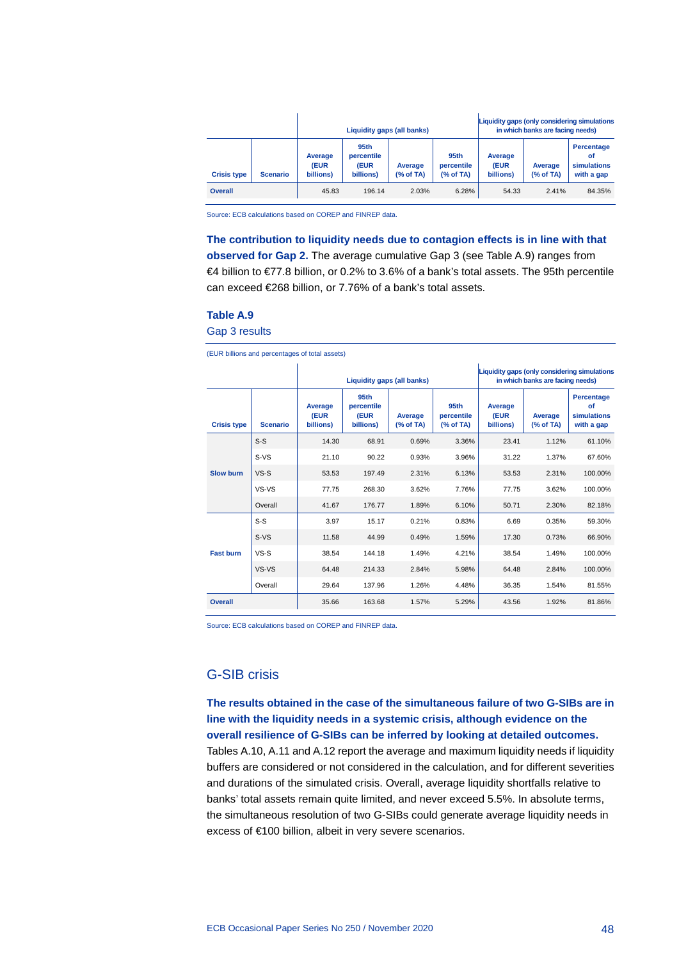|                    |                 |                              |                                                     | Liquidity gaps (all banks) |                                 |                                     | Liquidity gaps (only considering simulations<br>in which banks are facing needs) |                                               |  |
|--------------------|-----------------|------------------------------|-----------------------------------------------------|----------------------------|---------------------------------|-------------------------------------|----------------------------------------------------------------------------------|-----------------------------------------------|--|
| <b>Crisis type</b> | <b>Scenario</b> | Average<br>(EUR<br>billions) | 95 <sub>th</sub><br>percentile<br>(EUR<br>billions) | Average<br>(% of TA)       | 95th<br>percentile<br>(% of TA) | Average<br><b>(EUR</b><br>billions) | Average<br>(% of TA)                                                             | Percentage<br>οf<br>simulations<br>with a gap |  |
| Overall            |                 | 45.83                        | 196.14                                              | 2.03%                      | 6.28%                           | 54.33                               | 2.41%                                                                            | 84.35%                                        |  |

Source: ECB calculations based on COREP and FINREP data.

#### **The contribution to liquidity needs due to contagion effects is in line with that**

**observed for Gap 2.** The average cumulative Gap 3 (see Table A.9) ranges from €4 billion to €77.8 billion, or 0.2% to 3.6% of a bank's total assets. The 95th percentile can exceed €268 billion, or 7.76% of a bank's total assets.

#### **Table A.9**

Gap 3 results

(EUR billions and percentages of total assets)

|                    | Liquidity gaps (all banks) |                              |                                                     | Liquidity gaps (only considering simulations<br>in which banks are facing needs) |                                |                              |                      |                                               |
|--------------------|----------------------------|------------------------------|-----------------------------------------------------|----------------------------------------------------------------------------------|--------------------------------|------------------------------|----------------------|-----------------------------------------------|
| <b>Crisis type</b> | <b>Scenario</b>            | Average<br>(EUR<br>billions) | 95 <sub>th</sub><br>percentile<br>(EUR<br>billions) | Average<br>% of TA)                                                              | 95th<br>percentile<br>% of TA) | Average<br>(EUR<br>billions) | Average<br>(% of TA) | Percentage<br>of<br>simulations<br>with a gap |
|                    | $S-S$                      | 14.30                        | 68.91                                               | 0.69%                                                                            | 3.36%                          | 23.41                        | 1.12%                | 61.10%                                        |
|                    | S-VS                       | 21.10                        | 90.22                                               | 0.93%                                                                            | 3.96%                          | 31.22                        | 1.37%                | 67.60%                                        |
| <b>Slow burn</b>   | $VS-S$                     | 53.53                        | 197.49                                              | 2.31%                                                                            | 6.13%                          | 53.53                        | 2.31%                | 100.00%                                       |
|                    | VS-VS                      | 77.75                        | 268.30                                              | 3.62%                                                                            | 7.76%                          | 77.75                        | 3.62%                | 100.00%                                       |
|                    | Overall                    | 41.67                        | 176.77                                              | 1.89%                                                                            | 6.10%                          | 50.71                        | 2.30%                | 82.18%                                        |
|                    | $S-S$                      | 3.97                         | 15.17                                               | 0.21%                                                                            | 0.83%                          | 6.69                         | 0.35%                | 59.30%                                        |
|                    | $S-VS$                     | 11.58                        | 44.99                                               | 0.49%                                                                            | 1.59%                          | 17.30                        | 0.73%                | 66.90%                                        |
| <b>Fast burn</b>   | $VS-S$                     | 38.54                        | 144.18                                              | 1.49%                                                                            | 4.21%                          | 38.54                        | 1.49%                | 100.00%                                       |
|                    | VS-VS                      | 64.48                        | 214.33                                              | 2.84%                                                                            | 5.98%                          | 64.48                        | 2.84%                | 100.00%                                       |
|                    | Overall                    | 29.64                        | 137.96                                              | 1.26%                                                                            | 4.48%                          | 36.35                        | 1.54%                | 81.55%                                        |
| Overall            |                            | 35.66                        | 163.68                                              | 1.57%                                                                            | 5.29%                          | 43.56                        | 1.92%                | 81.86%                                        |

Source: ECB calculations based on COREP and FINREP data.

## G-SIB crisis

**The results obtained in the case of the simultaneous failure of two G-SIBs are in line with the liquidity needs in a systemic crisis, although evidence on the overall resilience of G-SIBs can be inferred by looking at detailed outcomes.** Tables A.10, A.11 and A.12 report the average and maximum liquidity needs if liquidity buffers are considered or not considered in the calculation, and for different severities and durations of the simulated crisis. Overall, average liquidity shortfalls relative to banks' total assets remain quite limited, and never exceed 5.5%. In absolute terms, the simultaneous resolution of two G-SIBs could generate average liquidity needs in excess of €100 billion, albeit in very severe scenarios.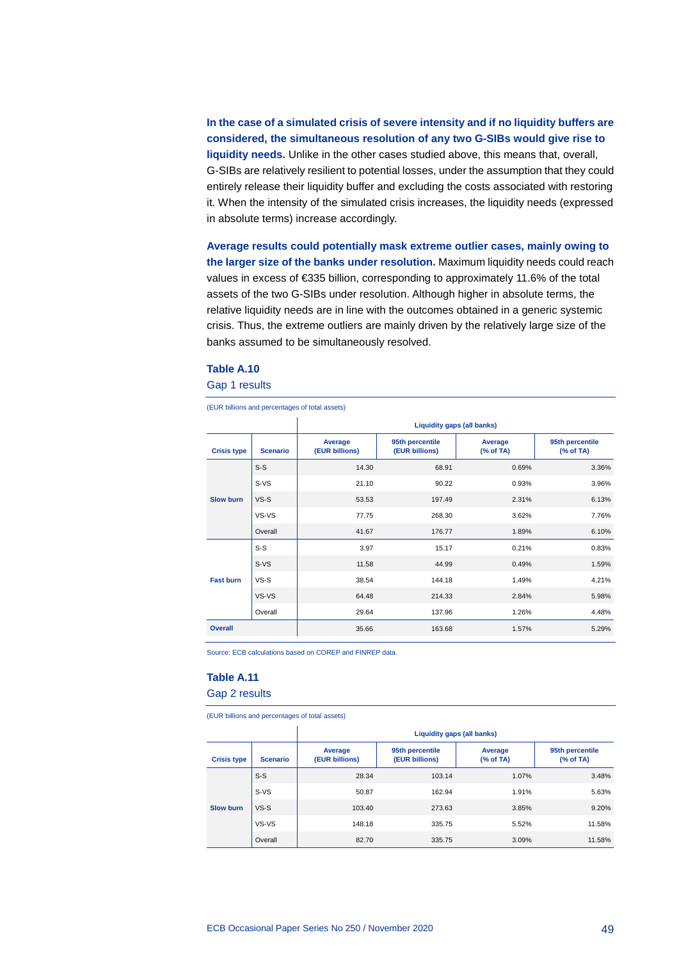**In the case of a simulated crisis of severe intensity and if no liquidity buffers are considered, the simultaneous resolution of any two G-SIBs would give rise to liquidity needs.** Unlike in the other cases studied above, this means that, overall, G-SIBs are relatively resilient to potential losses, under the assumption that they could entirely release their liquidity buffer and excluding the costs associated with restoring it. When the intensity of the simulated crisis increases, the liquidity needs (expressed in absolute terms) increase accordingly.

**Average results could potentially mask extreme outlier cases, mainly owing to the larger size of the banks under resolution.** Maximum liquidity needs could reach values in excess of €335 billion, corresponding to approximately 11.6% of the total assets of the two G-SIBs under resolution. Although higher in absolute terms, the relative liquidity needs are in line with the outcomes obtained in a generic systemic crisis. Thus, the extreme outliers are mainly driven by the relatively large size of the banks assumed to be simultaneously resolved.

### **Table A.10**

Gap 1 results

(EUR billions and percentages of total assets)

|                    |                 | Liquidity gaps (all banks) |                                   |                     |                             |  |  |  |
|--------------------|-----------------|----------------------------|-----------------------------------|---------------------|-----------------------------|--|--|--|
| <b>Crisis type</b> | <b>Scenario</b> | Average<br>(EUR billions)  | 95th percentile<br>(EUR billions) | Average<br>% of TA) | 95th percentile<br>% of TA) |  |  |  |
|                    | $S-S$           | 14.30                      | 68.91                             | 0.69%               | 3.36%                       |  |  |  |
|                    | $S-VS$          | 21.10                      | 90.22                             | 0.93%               | 3.96%                       |  |  |  |
| <b>Slow burn</b>   | $VS-S$          | 53.53                      | 197.49                            | 2.31%               | 6.13%                       |  |  |  |
|                    | VS-VS           | 77.75                      | 268.30                            | 3.62%               | 7.76%                       |  |  |  |
|                    | Overall         | 41.67                      | 176.77                            | 1.89%               | 6.10%                       |  |  |  |
|                    | $S-S$           | 3.97                       | 15.17                             | 0.21%               | 0.83%                       |  |  |  |
|                    | $S-VS$          | 11.58                      | 44.99                             | 0.49%               | 1.59%                       |  |  |  |
| <b>Fast burn</b>   | $VS-S$          | 38.54                      | 144.18                            | 1.49%               | 4.21%                       |  |  |  |
|                    | VS-VS           | 64.48                      | 214.33                            | 2.84%               | 5.98%                       |  |  |  |
|                    | Overall         | 29.64                      | 137.96                            | 1.26%               | 4.48%                       |  |  |  |
| <b>Overall</b>     |                 | 35.66                      | 163.68                            | 1.57%               | 5.29%                       |  |  |  |

Source: ECB calculations based on COREP and FINREP data.

 $\blacksquare$ 

#### **Table A.11**

Gap 2 results

(EUR billions and percentages of total assets)

|                    |                 | Liquidity gaps (all banks) |                                   |                      |                             |  |  |  |
|--------------------|-----------------|----------------------------|-----------------------------------|----------------------|-----------------------------|--|--|--|
| <b>Crisis type</b> | <b>Scenario</b> | Average<br>(EUR billions)  | 95th percentile<br>(EUR billions) | Average<br>(% of TA) | 95th percentile<br>% of TA) |  |  |  |
|                    | $S-S$           | 28.34                      | 103.14                            | 1.07%                | 3.48%                       |  |  |  |
|                    | S-VS            | 50.87                      | 162.94                            | 1.91%                | 5.63%                       |  |  |  |
| <b>Slow burn</b>   | $VS-S$          | 103.40                     | 273.63                            | 3.85%                | 9.20%                       |  |  |  |
|                    | VS-VS           | 148.18                     | 335.75                            | 5.52%                | 11.58%                      |  |  |  |
|                    | Overall         | 82.70                      | 335.75                            | 3.09%                | 11.58%                      |  |  |  |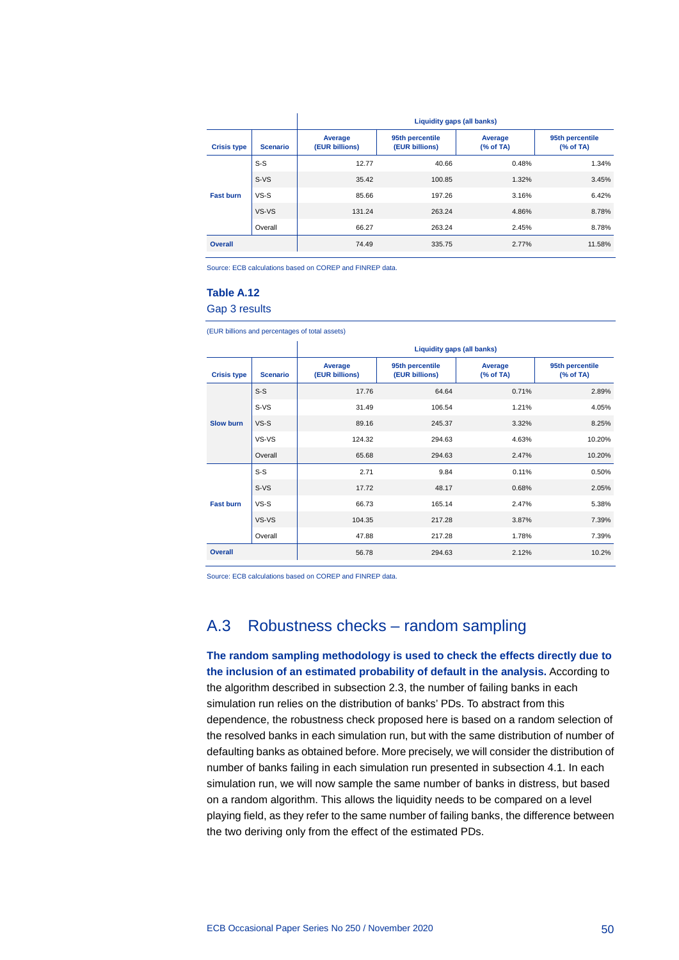|                    |                 | Liquidity gaps (all banks) |                                   |                     |                                   |  |  |  |  |
|--------------------|-----------------|----------------------------|-----------------------------------|---------------------|-----------------------------------|--|--|--|--|
| <b>Crisis type</b> | <b>Scenario</b> | Average<br>(EUR billions)  | 95th percentile<br>(EUR billions) | Average<br>% of TA) | 95th percentile<br>$(%$ (% of TA) |  |  |  |  |
|                    | $S-S$           | 12.77                      | 40.66                             | 0.48%               | 1.34%                             |  |  |  |  |
|                    | S-VS            | 35.42                      | 100.85                            | 1.32%               | 3.45%                             |  |  |  |  |
| <b>Fast burn</b>   | $VS-S$          | 85.66                      | 197.26                            | 3.16%               | 6.42%                             |  |  |  |  |
|                    | VS-VS           | 131.24                     | 263.24                            | 4.86%               | 8.78%                             |  |  |  |  |
|                    | Overall         | 66.27                      | 263.24                            | 2.45%               | 8.78%                             |  |  |  |  |
| Overall            |                 | 74.49                      | 335.75                            | 2.77%               | 11.58%                            |  |  |  |  |

Source: ECB calculations based on COREP and FINREP data.

#### **Table A.12**

Gap 3 results

(EUR billions and percentages of total assets)

|                    |                 |                           | Liquidity gaps (all banks)        |                     |                             |  |  |  |  |  |
|--------------------|-----------------|---------------------------|-----------------------------------|---------------------|-----------------------------|--|--|--|--|--|
| <b>Crisis type</b> | <b>Scenario</b> | Average<br>(EUR billions) | 95th percentile<br>(EUR billions) | Average<br>% of TA) | 95th percentile<br>% of TA) |  |  |  |  |  |
|                    | $S-S$           | 17.76                     | 64.64                             | 0.71%               | 2.89%                       |  |  |  |  |  |
|                    | $S-VS$          | 31.49                     | 106.54                            | 1.21%               | 4.05%                       |  |  |  |  |  |
| <b>Slow burn</b>   | $VS-S$          | 89.16                     | 245.37                            | 3.32%               | 8.25%                       |  |  |  |  |  |
|                    | VS-VS           | 124.32                    | 294.63                            | 4.63%               | 10.20%                      |  |  |  |  |  |
|                    | Overall         | 65.68                     | 294.63                            | 2.47%               | 10.20%                      |  |  |  |  |  |
|                    | $S-S$           | 2.71                      | 9.84                              | 0.11%               | 0.50%                       |  |  |  |  |  |
|                    | $S-VS$          | 17.72                     | 48.17                             | 0.68%               | 2.05%                       |  |  |  |  |  |
| <b>Fast burn</b>   | $VS-S$          | 66.73                     | 165.14                            | 2.47%               | 5.38%                       |  |  |  |  |  |
|                    | VS-VS           | 104.35                    | 217.28                            | 3.87%               | 7.39%                       |  |  |  |  |  |
|                    | Overall         | 47.88                     | 217.28                            | 1.78%               | 7.39%                       |  |  |  |  |  |
| <b>Overall</b>     |                 | 56.78                     | 294.63                            | 2.12%               | 10.2%                       |  |  |  |  |  |

<span id="page-50-0"></span>Source: ECB calculations based on COREP and FINREP data.

## A.3 Robustness checks – random sampling

**The random sampling methodology is used to check the effects directly due to the inclusion of an estimated probability of default in the analysis.** According to the algorithm described in subsection 2.3, the number of failing banks in each simulation run relies on the distribution of banks' PDs. To abstract from this dependence, the robustness check proposed here is based on a random selection of the resolved banks in each simulation run, but with the same distribution of number of defaulting banks as obtained before. More precisely, we will consider the distribution of number of banks failing in each simulation run presented in subsection 4.1. In each simulation run, we will now sample the same number of banks in distress, but based on a random algorithm. This allows the liquidity needs to be compared on a level playing field, as they refer to the same number of failing banks, the difference between the two deriving only from the effect of the estimated PDs.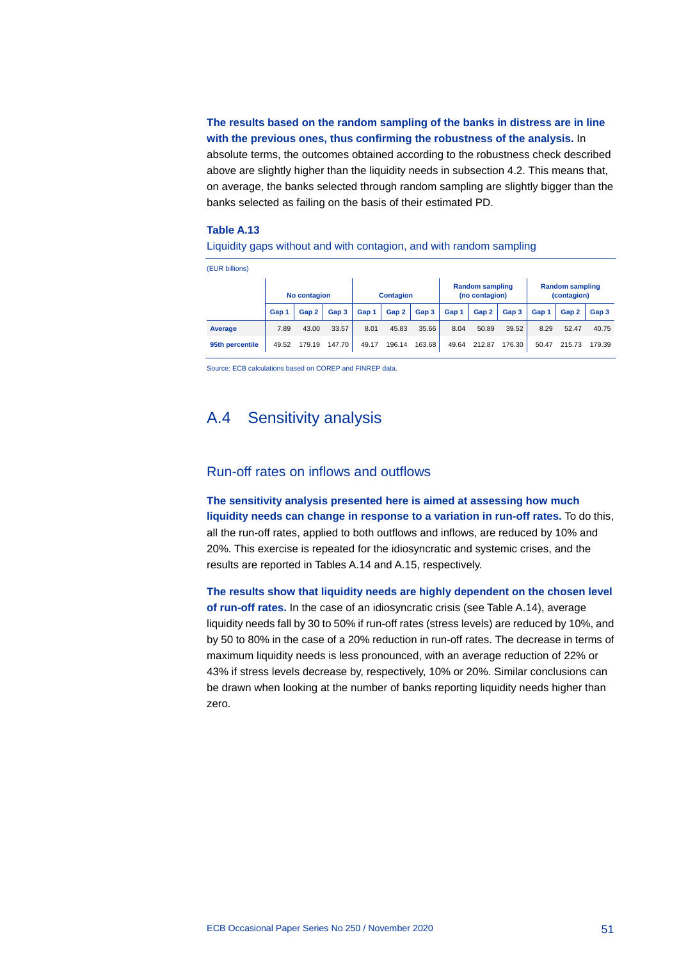## **The results based on the random sampling of the banks in distress are in line with the previous ones, thus confirming the robustness of the analysis.** In

absolute terms, the outcomes obtained according to the robustness check described above are slightly higher than the liquidity needs in subsection 4.2. This means that, on average, the banks selected through random sampling are slightly bigger than the banks selected as failing on the basis of their estimated PD.

#### **Table A.13**

Liquidity gaps without and with contagion, and with random sampling

| (EUR billions)  |              |        |        |                  |        |        |                                          |        |        |                                       |        |        |
|-----------------|--------------|--------|--------|------------------|--------|--------|------------------------------------------|--------|--------|---------------------------------------|--------|--------|
|                 | No contagion |        |        | <b>Contagion</b> |        |        | <b>Random sampling</b><br>(no contagion) |        |        | <b>Random sampling</b><br>(contagion) |        |        |
|                 | Gap 1        | Gap 2  | Gap 3  | Gap 1            | Gap 2  | Gap 3  | Gap 1                                    | Gap 2  | Gap 3  | Gap 1                                 | Gap 2  | Gap 3  |
| Average         | 7.89         | 43.00  | 33.57  | 8.01             | 45.83  | 35.66  | 8.04                                     | 50.89  | 39.52  | 8.29                                  | 52.47  | 40.75  |
| 95th percentile | 49.52        | 179.19 | 147.70 | 49.17            | 196.14 | 163.68 | 49.64                                    | 212.87 | 176.30 | 50.47                                 | 215.73 | 179.39 |

<span id="page-51-0"></span>Source: ECB calculations based on COREP and FINREP data.

## A.4 Sensitivity analysis

### Run-off rates on inflows and outflows

**The sensitivity analysis presented here is aimed at assessing how much liquidity needs can change in response to a variation in run-off rates.** To do this, all the run-off rates, applied to both outflows and inflows, are reduced by 10% and 20%. This exercise is repeated for the idiosyncratic and systemic crises, and the results are reported in Tables A.14 and A.15, respectively.

**The results show that liquidity needs are highly dependent on the chosen level of run-off rates.** In the case of an idiosyncratic crisis (see Table A.14), average liquidity needs fall by 30 to 50% if run-off rates (stress levels) are reduced by 10%, and by 50 to 80% in the case of a 20% reduction in run-off rates. The decrease in terms of maximum liquidity needs is less pronounced, with an average reduction of 22% or 43% if stress levels decrease by, respectively, 10% or 20%. Similar conclusions can be drawn when looking at the number of banks reporting liquidity needs higher than zero.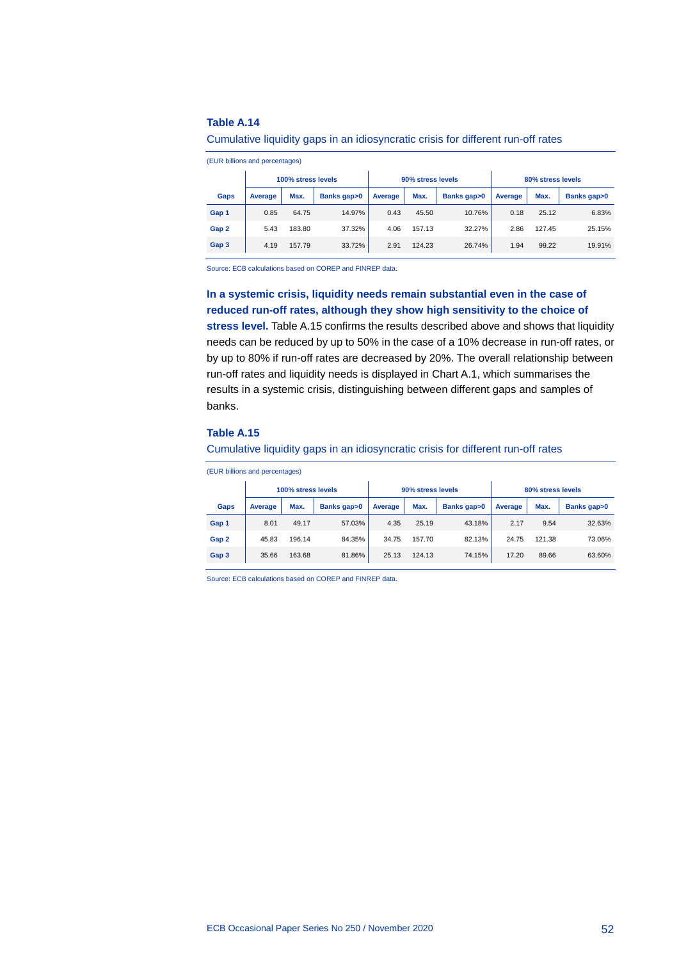#### **Table A.14**

#### Cumulative liquidity gaps in an idiosyncratic crisis for different run-off rates

(EUR billions and percentages)

|       | 100% stress levels |        |             |         | 90% stress levels |             | 80% stress levels |        |             |
|-------|--------------------|--------|-------------|---------|-------------------|-------------|-------------------|--------|-------------|
| Gaps  | Average            | Max.   | Banks gap>0 | Average | Max.              | Banks gap>0 | Average           | Max.   | Banks gap>0 |
| Gap 1 | 0.85               | 64.75  | 14.97%      | 0.43    | 45.50             | 10.76%      | 0.18              | 25.12  | 6.83%       |
| Gap 2 | 5.43               | 183.80 | 37.32%      | 4.06    | 157.13            | 32.27%      | 2.86              | 127.45 | 25.15%      |
| Gap 3 | 4.19               | 157.79 | 33.72%      | 2.91    | 124.23            | 26.74%      | 1.94              | 99.22  | 19.91%      |

Source: ECB calculations based on COREP and FINREP data.

## **In a systemic crisis, liquidity needs remain substantial even in the case of reduced run-off rates, although they show high sensitivity to the choice of**

**stress level.** Table A.15 confirms the results described above and shows that liquidity needs can be reduced by up to 50% in the case of a 10% decrease in run-off rates, or by up to 80% if run-off rates are decreased by 20%. The overall relationship between run-off rates and liquidity needs is displayed in Chart A.1, which summarises the results in a systemic crisis, distinguishing between different gaps and samples of banks.

#### **Table A.15**

#### Cumulative liquidity gaps in an idiosyncratic crisis for different run-off rates

(EUR billions and percentages)

|       | 100% stress levels |        |             |         | 90% stress levels |             | 80% stress levels |        |             |
|-------|--------------------|--------|-------------|---------|-------------------|-------------|-------------------|--------|-------------|
| Gaps  | Average            | Max.   | Banks gap>0 | Average | Max.              | Banks gap>0 | Average           | Max.   | Banks gap>0 |
| Gap 1 | 8.01               | 49.17  | 57.03%      | 4.35    | 25.19             | 43.18%      | 2.17              | 9.54   | 32.63%      |
| Gap 2 | 45.83              | 196.14 | 84.35%      | 34.75   | 157.70            | 82.13%      | 24.75             | 121.38 | 73.06%      |
| Gap 3 | 35.66              | 163.68 | 81.86%      | 25.13   | 124.13            | 74.15%      | 17.20             | 89.66  | 63.60%      |

Source: ECB calculations based on COREP and FINREP data.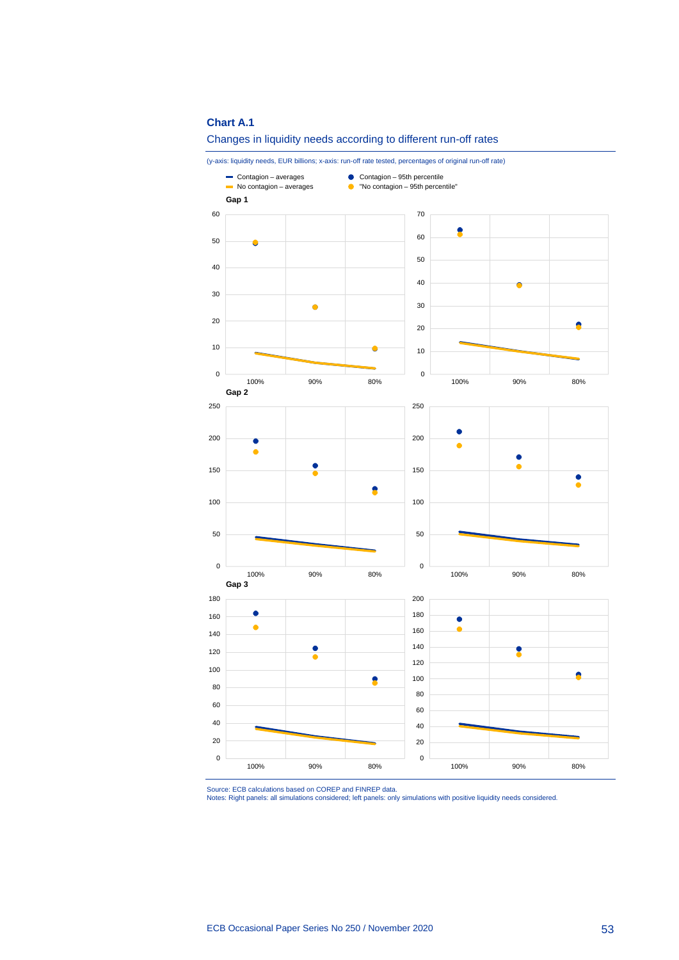#### **Chart A.1**



(y-axis: liquidity needs, EUR billions; x-axis: run-off rate tested, percentages of original run-off rate)



Source: ECB calculations based on COREP and FINREP data. Notes: Right panels: all simulations considered; left panels: only simulations with positive liquidity needs considered.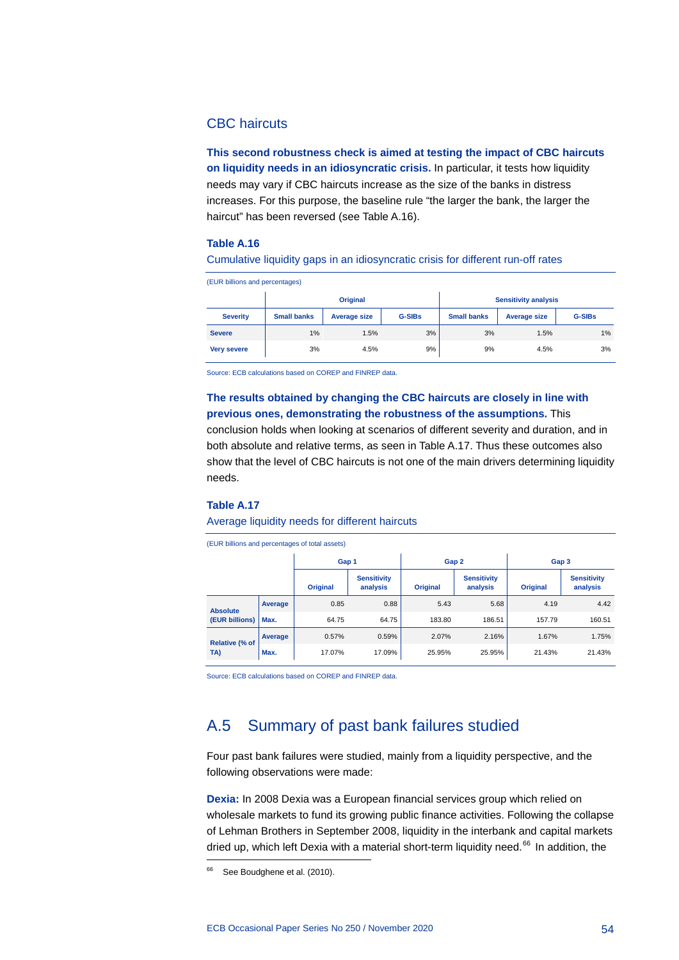## CBC haircuts

**This second robustness check is aimed at testing the impact of CBC haircuts on liquidity needs in an idiosyncratic crisis.** In particular, it tests how liquidity needs may vary if CBC haircuts increase as the size of the banks in distress increases. For this purpose, the baseline rule "the larger the bank, the larger the haircut" has been reversed (see Table A.16).

#### **Table A.16**

#### Cumulative liquidity gaps in an idiosyncratic crisis for different run-off rates

(EUR billions and percentages)

|                    |                    | <b>Original</b> |               | <b>Sensitivity analysis</b> |                     |               |  |
|--------------------|--------------------|-----------------|---------------|-----------------------------|---------------------|---------------|--|
| <b>Severity</b>    | <b>Small banks</b> | Average size    | <b>G-SIBs</b> | <b>Small banks</b>          | <b>Average size</b> | <b>G-SIBs</b> |  |
| <b>Severe</b>      | 1%                 | 1.5%            | 3%            | 3%                          | 1.5%                | 1%            |  |
| <b>Very severe</b> | 3%                 | 4.5%            | 9%            | 9%                          | 4.5%                | 3%            |  |

Source: ECB calculations based on COREP and FINREP data.

**The results obtained by changing the CBC haircuts are closely in line with previous ones, demonstrating the robustness of the assumptions.** This conclusion holds when looking at scenarios of different severity and duration, and in both absolute and relative terms, as seen in Table A.17. Thus these outcomes also show that the level of CBC haircuts is not one of the main drivers determining liquidity needs.

#### **Table A.17**

#### Average liquidity needs for different haircuts

(EUR billions and percentages of total assets)

|                                   |         | Gap 1           |                                | Gap 2           |                                | Gap 3           |                                |  |  |  |
|-----------------------------------|---------|-----------------|--------------------------------|-----------------|--------------------------------|-----------------|--------------------------------|--|--|--|
|                                   |         | <b>Original</b> | <b>Sensitivity</b><br>analysis | <b>Original</b> | <b>Sensitivity</b><br>analysis | <b>Original</b> | <b>Sensitivity</b><br>analysis |  |  |  |
| <b>Absolute</b><br>(EUR billions) | Average | 0.85            | 0.88                           | 5.43            | 5.68                           | 4.19            | 4.42                           |  |  |  |
|                                   | Max.    | 64.75           | 64.75                          | 183.80          | 186.51                         | 157.79          | 160.51                         |  |  |  |
| <b>Relative (% of</b><br>TA)      | Average | 0.57%           | 0.59%                          | 2.07%           | 2.16%                          | 1.67%           | 1.75%                          |  |  |  |
|                                   | Max.    | 17.07%          | 17.09%                         | 25.95%          | 25.95%                         | 21.43%          | 21.43%                         |  |  |  |

<span id="page-54-0"></span>Source: ECB calculations based on COREP and FINREP data.

## A.5 Summary of past bank failures studied

Four past bank failures were studied, mainly from a liquidity perspective, and the following observations were made:

**Dexia:** In 2008 Dexia was a European financial services group which relied on wholesale markets to fund its growing public finance activities. Following the collapse of Lehman Brothers in September 2008, liquidity in the interbank and capital markets dried up, which left Dexia with a material short-term liquidity need.<sup>[66](#page-54-1)</sup> In addition, the

<span id="page-54-1"></span><sup>&</sup>lt;sup>66</sup> See Boudghene et al. (2010).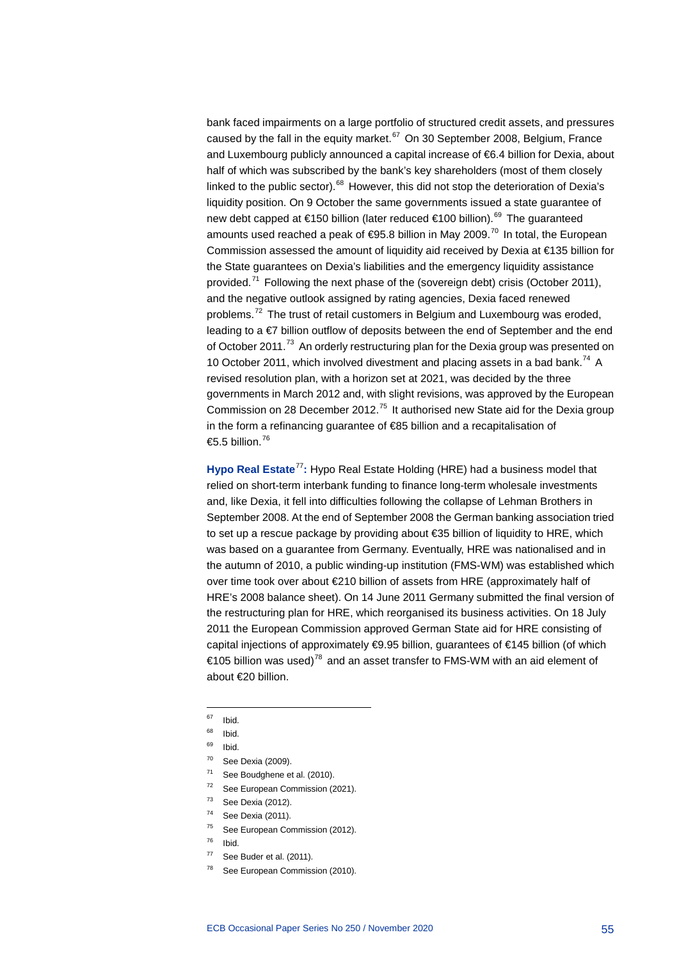bank faced impairments on a large portfolio of structured credit assets, and pressures caused by the fall in the equity market. $67$  On 30 September 2008, Belgium, France and Luxembourg publicly announced a capital increase of €6.4 billion for Dexia, about half of which was subscribed by the bank's key shareholders (most of them closely linked to the public sector). $68$  However, this did not stop the deterioration of Dexia's liquidity position. On 9 October the same governments issued a state guarantee of new debt capped at €150 billion (later reduced €100 billion).<sup>[69](#page-55-2)</sup> The guaranteed amounts used reached a peak of  $\epsilon$ 95.8 billion in May 2009.<sup>[70](#page-55-3)</sup> In total, the European Commission assessed the amount of liquidity aid received by Dexia at €135 billion for the State guarantees on Dexia's liabilities and the emergency liquidity assistance provided.<sup>[71](#page-55-4)</sup> Following the next phase of the (sovereign debt) crisis (October 2011), and the negative outlook assigned by rating agencies, Dexia faced renewed problems.<sup>[72](#page-55-5)</sup> The trust of retail customers in Belgium and Luxembourg was eroded, leading to a €7 billion outflow of deposits between the end of September and the end of October 2011.<sup>[73](#page-55-6)</sup> An orderly restructuring plan for the Dexia group was presented on 10 October 2011, which involved divestment and placing assets in a bad bank.<sup>[74](#page-55-7)</sup> A revised resolution plan, with a horizon set at 2021, was decided by the three governments in March 2012 and, with slight revisions, was approved by the European Commission on 28 December 2012.<sup>[75](#page-55-8)</sup> It authorised new State aid for the Dexia group in the form a refinancing guarantee of €85 billion and a recapitalisation of €5.5 billion.<sup>[76](#page-55-9)</sup>

**Hypo Real Estate**[77](#page-55-10)**:** Hypo Real Estate Holding (HRE) had a business model that relied on short-term interbank funding to finance long-term wholesale investments and, like Dexia, it fell into difficulties following the collapse of Lehman Brothers in September 2008. At the end of September 2008 the German banking association tried to set up a rescue package by providing about €35 billion of liquidity to HRE, which was based on a guarantee from Germany. Eventually, HRE was nationalised and in the autumn of 2010, a public winding-up institution (FMS-WM) was established which over time took over about €210 billion of assets from HRE (approximately half of HRE's 2008 balance sheet). On 14 June 2011 Germany submitted the final version of the restructuring plan for HRE, which reorganised its business activities. On 18 July 2011 the European Commission approved German State aid for HRE consisting of capital injections of approximately €9.95 billion, guarantees of €145 billion (of which €105 billion was used)<sup>[78](#page-55-11)</sup> and an asset transfer to FMS-WM with an aid element of about €20 billion.

- <span id="page-55-5"></span><span id="page-55-4"></span><sup>72</sup> See European Commission (2021).
- <span id="page-55-6"></span> $73$  See Dexia (2012).
- <span id="page-55-7"></span><sup>74</sup> See Dexia (2011).
- <sup>75</sup> See European Commission (2012).
- <span id="page-55-9"></span><span id="page-55-8"></span><sup>76</sup> Ibid.
- <span id="page-55-10"></span> $77$  See Buder et al. (2011).
- <span id="page-55-11"></span><sup>78</sup> See European Commission (2010).

<sup>-</sup><sup>67</sup> Ibid.

<span id="page-55-1"></span><span id="page-55-0"></span> $68$  Ibid.

<span id="page-55-3"></span><span id="page-55-2"></span><sup>69</sup> Ibid.

<sup>70</sup> See Dexia (2009).

 $71$  See Boudghene et al. (2010).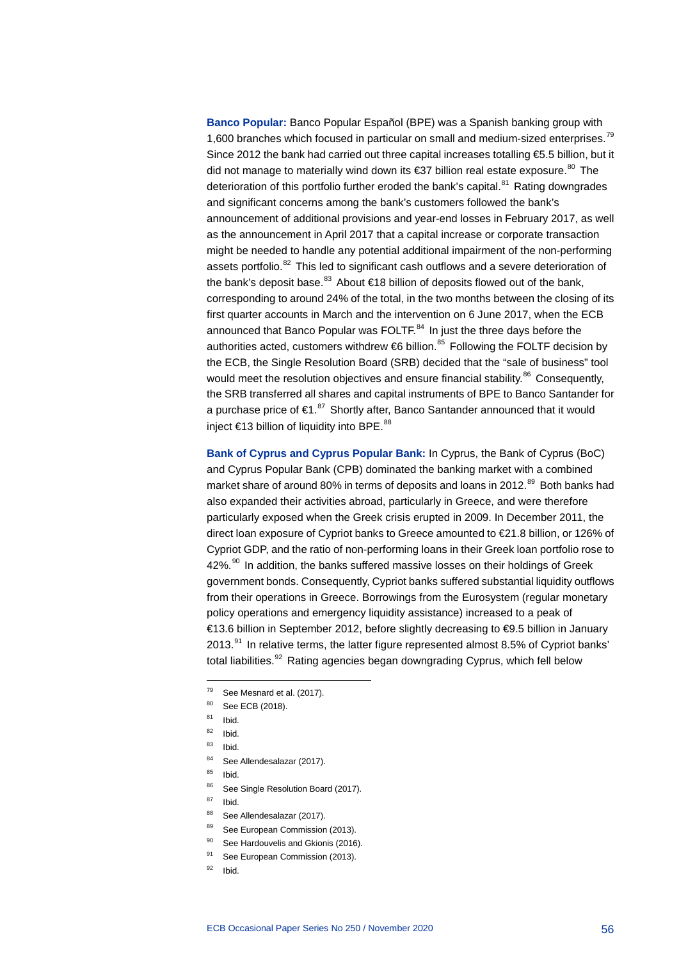**Banco Popular:** Banco Popular Español (BPE) was a Spanish banking group with 1,600 branches which focused in particular on small and medium-sized enterprises.<sup>[79](#page-56-0)</sup> Since 2012 the bank had carried out three capital increases totalling €5.5 billion, but it did not manage to materially wind down its €37 billion real estate exposure.<sup>[80](#page-56-1)</sup> The deterioration of this portfolio further eroded the bank's capital.<sup>[81](#page-56-2)</sup> Rating downgrades and significant concerns among the bank's customers followed the bank's announcement of additional provisions and year-end losses in February 2017, as well as the announcement in April 2017 that a capital increase or corporate transaction might be needed to handle any potential additional impairment of the non-performing assets portfolio.<sup>[82](#page-56-3)</sup> This led to significant cash outflows and a severe deterioration of the bank's deposit base.<sup>[83](#page-56-4)</sup> About €18 billion of deposits flowed out of the bank, corresponding to around 24% of the total, in the two months between the closing of its first quarter accounts in March and the intervention on 6 June 2017, when the ECB announced that Banco Popular was FOLTF.<sup>[84](#page-56-5)</sup> In just the three days before the authorities acted, customers withdrew  $66$  billion.<sup>[85](#page-56-6)</sup> Following the FOLTF decision by the ECB, the Single Resolution Board (SRB) decided that the "sale of business" tool would meet the resolution objectives and ensure financial stability.<sup>[86](#page-56-7)</sup> Consequently, the SRB transferred all shares and capital instruments of BPE to Banco Santander for a purchase price of  $\epsilon 1$ .<sup>[87](#page-56-8)</sup> Shortly after, Banco Santander announced that it would inject €13 billion of liquidity into BPE.<sup>[88](#page-56-9)</sup>

**Bank of Cyprus and Cyprus Popular Bank:** In Cyprus, the Bank of Cyprus (BoC) and Cyprus Popular Bank (CPB) dominated the banking market with a combined market share of around 80% in terms of deposits and loans in 2012.<sup>[89](#page-56-10)</sup> Both banks had also expanded their activities abroad, particularly in Greece, and were therefore particularly exposed when the Greek crisis erupted in 2009. In December 2011, the direct loan exposure of Cypriot banks to Greece amounted to €21.8 billion, or 126% of Cypriot GDP, and the ratio of non-performing loans in their Greek loan portfolio rose to 42%.<sup>[90](#page-56-11)</sup> In addition, the banks suffered massive losses on their holdings of Greek government bonds. Consequently, Cypriot banks suffered substantial liquidity outflows from their operations in Greece. Borrowings from the Eurosystem (regular monetary policy operations and emergency liquidity assistance) increased to a peak of €13.6 billion in September 2012, before slightly decreasing to €9.5 billion in January  $2013.<sup>91</sup>$  $2013.<sup>91</sup>$  $2013.<sup>91</sup>$  In relative terms, the latter figure represented almost 8.5% of Cypriot banks' total liabilities.<sup>[92](#page-56-13)</sup> Rating agencies began downgrading Cyprus, which fell below

- <span id="page-56-0"></span><sup>79</sup> See Mesnard et al. (2017).
- <span id="page-56-1"></span> $80$  See ECB (2018).<br> $81$  Ibid
- Ibid.

- <span id="page-56-3"></span><span id="page-56-2"></span> $82$  Ibid.
- <sup>83</sup> Ibid.
- 84 See Allendesalazar (2017).
- <span id="page-56-7"></span><span id="page-56-6"></span><span id="page-56-5"></span><span id="page-56-4"></span> $85$  Ibid.
- 86 See Single Resolution Board (2017).
- <span id="page-56-9"></span><span id="page-56-8"></span> $87$  Ibid.
- 88 See Allendesalazar (2017).
- 89 See European Commission (2013).
- <span id="page-56-11"></span><span id="page-56-10"></span>90 See Hardouvelis and Gkionis (2016).
- <sup>91</sup> See European Commission (2013).
- <span id="page-56-13"></span><span id="page-56-12"></span> $92$  Ibid.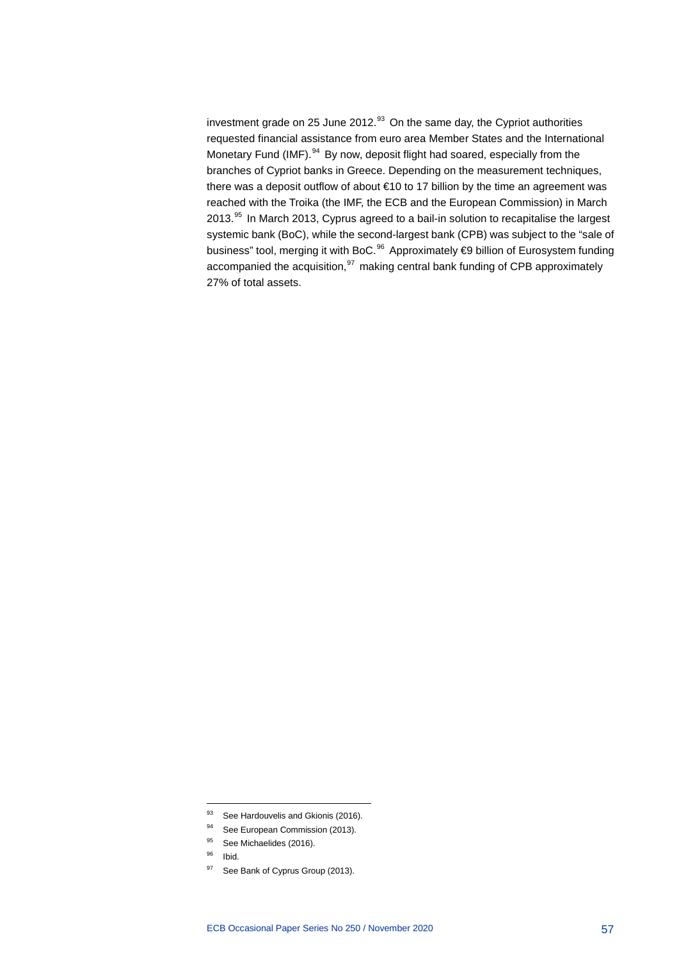investment grade on 25 June 2012. $^{33}$  On the same day, the Cypriot authorities requested financial assistance from euro area Member States and the International Monetary Fund (IMF).<sup>[94](#page-57-1)</sup> By now, deposit flight had soared, especially from the branches of Cypriot banks in Greece. Depending on the measurement techniques, there was a deposit outflow of about €10 to 17 billion by the time an agreement was reached with the Troika (the IMF, the ECB and the European Commission) in March 2013.<sup>[95](#page-57-2)</sup> In March 2013, Cyprus agreed to a bail-in solution to recapitalise the largest systemic bank (BoC), while the second-largest bank (CPB) was subject to the "sale of business" tool, merging it with BoC.[96](#page-57-3) Approximately €9 billion of Eurosystem funding accompanied the acquisition, $97$  making central bank funding of CPB approximately 27% of total assets.

<sup>93</sup> See Hardouvelis and Gkionis (2016).

<span id="page-57-2"></span><span id="page-57-1"></span><span id="page-57-0"></span><sup>94</sup> See European Commission (2013).

<sup>95</sup> See Michaelides (2016).

<sup>96</sup> Ibid.

<span id="page-57-4"></span><span id="page-57-3"></span><sup>97</sup> See Bank of Cyprus Group (2013).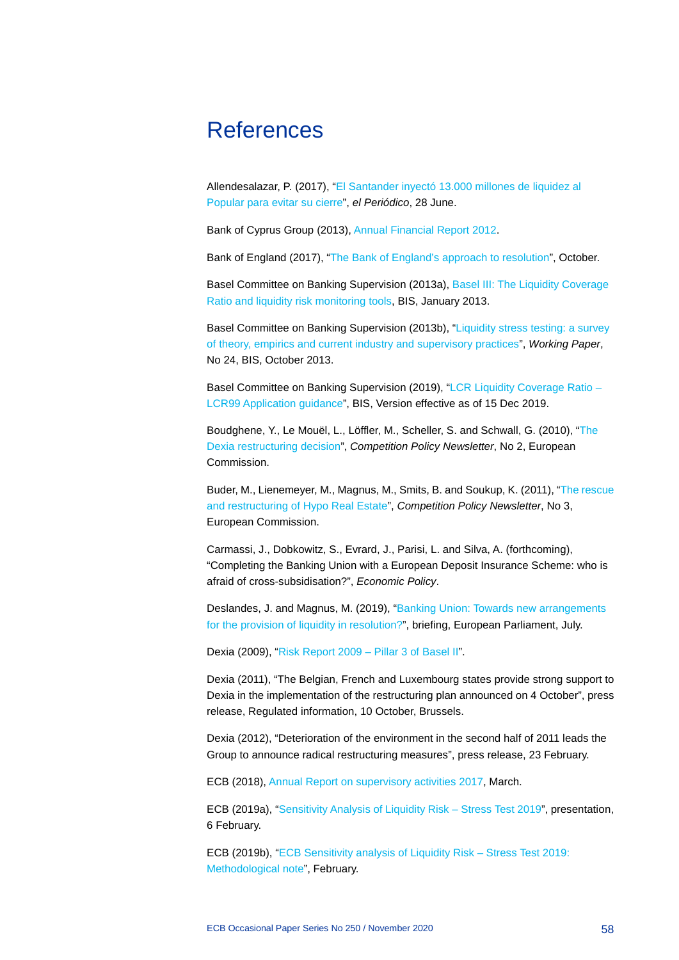## <span id="page-58-0"></span>References

Allendesalazar, P. (2017), ["El Santander inyectó 13.000](https://www.elperiodico.com/es/economia/20170627/banco-santander-inyecto-13000-millones-liquidez-popular-6130064) millones de liquidez al [Popular para evitar su cierre"](https://www.elperiodico.com/es/economia/20170627/banco-santander-inyecto-13000-millones-liquidez-popular-6130064), *el Periódico*, 28 June.

Bank of Cyprus Group (2013)[, Annual Financial Report 2012.](https://www.bankofcyprus.com/Documents/Investor%20Relations/Financial%20information/English/AnnualFinancialReport2012ENG.pdf)

Bank of England (2017), ["The Bank of England's approach to resolution"](https://www.bankofengland.co.uk/-/media/boe/files/news/2017/october/the-bank-of-england-approach-to-resolution.pdf), October.

Basel Committee on Banking Supervision (2013a), Basel [III: The Liquidity Coverage](https://www.bis.org/publ/bcbs238.pdf)  [Ratio and liquidity risk monitoring tools,](https://www.bis.org/publ/bcbs238.pdf) BIS, January 2013.

Basel Committee on Banking Supervision (2013b), ["Liquidity stress testing: a survey](https://www.bis.org/publ/bcbs_wp24.pdf)  [of theory, empirics and current industry and supervisory practices"](https://www.bis.org/publ/bcbs_wp24.pdf), *Working Paper*, No 24, BIS, October 2013.

Basel Committee on Banking Supervision (2019), ["LCR Liquidity Coverage Ratio](https://www.bis.org/basel_framework/chapter/LCR/99.htm?inforce=20191215) -[LCR99 Application guidance"](https://www.bis.org/basel_framework/chapter/LCR/99.htm?inforce=20191215), BIS, Version effective as of 15 Dec 2019.

Boudghene, Y., Le Mouël, L., Löffler, M., Scheller, S. and Schwall, G. (2010), ["The](https://ec.europa.eu/competition/publications/cpn/2010_2_11.pdf)  [Dexia restructuring decision"](https://ec.europa.eu/competition/publications/cpn/2010_2_11.pdf), *Competition Policy Newsletter*, No 2, European Commission.

Buder, M., Lienemeyer, M., Magnus, M., Smits, B. and Soukup, K. (2011), ["The rescue](https://ec.europa.eu/competition/publications/cpn/2011_3_9_en.pdf)  [and restructuring of Hypo Real Estate"](https://ec.europa.eu/competition/publications/cpn/2011_3_9_en.pdf), *Competition Policy Newsletter*, No 3, European Commission.

Carmassi, J., Dobkowitz, S., Evrard, J., Parisi, L. and Silva, A. (forthcoming), "Completing the Banking Union with a European Deposit Insurance Scheme: who is afraid of cross-subsidisation?", *Economic Policy*.

Deslandes, J. and Magnus, M. (2019), ["Banking Union: Towards new arrangements](https://www.europarl.europa.eu/RegData/etudes/BRIE/2018/624402/IPOL_BRI(2018)624402_EN.pdf)  [for the provision of liquidity in resolution?"](https://www.europarl.europa.eu/RegData/etudes/BRIE/2018/624402/IPOL_BRI(2018)624402_EN.pdf), briefing, European Parliament, July.

Dexia (2009), ["Risk Report 2009](https://www.dexia.com/sites/default/files/2019-12/DSA%20Risk%20Report%202009%20EN.pdf) – Pillar 3 of Basel II".

Dexia (2011), "The Belgian, French and Luxembourg states provide strong support to Dexia in the implementation of the restructuring plan announced on 4 October", press release, Regulated information, 10 October, Brussels.

Dexia (2012), "Deterioration of the environment in the second half of 2011 leads the Group to announce radical restructuring measures", press release, 23 February.

ECB (2018), [Annual Report on supervisory activities 2017,](https://www.bankingsupervision.europa.eu/press/publications/annual-report/html/ssm.ar2017.en.html#toc1) March.

ECB (2019a), ["Sensitivity Analysis of Liquidity Risk](https://www.bankingsupervision.europa.eu/press/pr/date/2019/html/ssm.pr190206_presentation.en.pdf) – Stress Test 2019", presentation, 6 February.

ECB (2019b), ["ECB Sensitivity analysis of Liquidity Risk](https://www.bankingsupervision.europa.eu/ecb/pub/pdf/ssm.ECB_sensitivity_analysis_of_liquidity_risk-stress_test_2019-methodological_note_20190206%7E6771e88926.en.pdf) – Stress Test 2019: [Methodological note"](https://www.bankingsupervision.europa.eu/ecb/pub/pdf/ssm.ECB_sensitivity_analysis_of_liquidity_risk-stress_test_2019-methodological_note_20190206%7E6771e88926.en.pdf), February.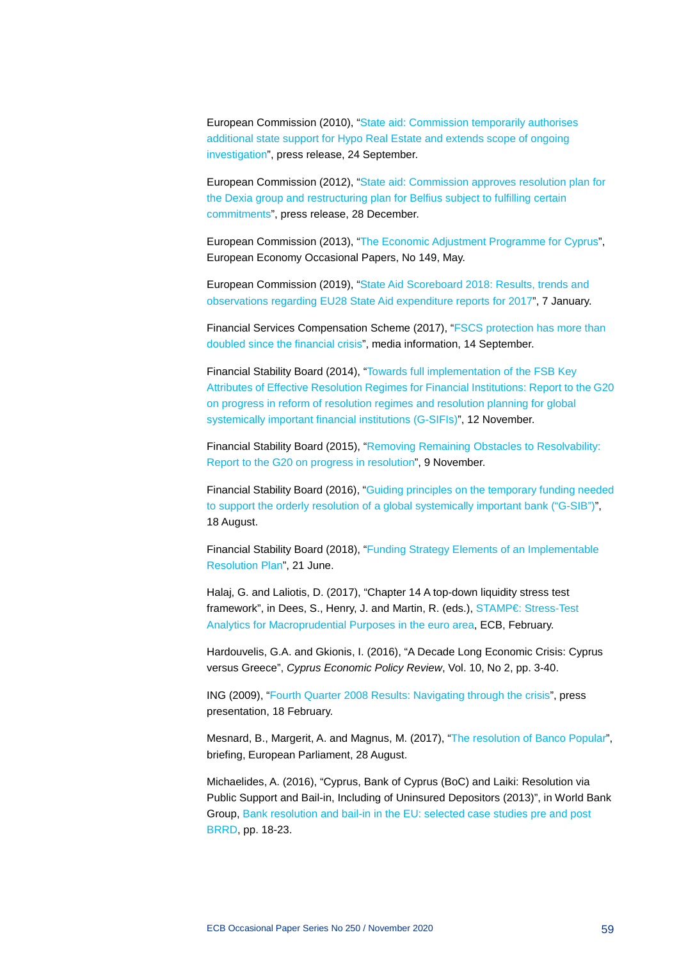European Commission (2010), ["State aid: Commission temporarily authorises](https://ec.europa.eu/commission/presscorner/detail/en/IP_10_1172)  [additional state support for Hypo Real Estate and extends scope of ongoing](https://ec.europa.eu/commission/presscorner/detail/en/IP_10_1172)  [investigation"](https://ec.europa.eu/commission/presscorner/detail/en/IP_10_1172), press release, 24 September.

European Commission (2012), ["State aid: Commission approves resolution plan for](https://ec.europa.eu/commission/presscorner/detail/en/IP_12_1447)  [the Dexia group and restructuring plan for Belfius subject to fulfilling certain](https://ec.europa.eu/commission/presscorner/detail/en/IP_12_1447)  [commitments"](https://ec.europa.eu/commission/presscorner/detail/en/IP_12_1447), press release, 28 December.

European Commission (2013), ["The Economic Adjustment Programme for Cyprus"](https://ec.europa.eu/economy_finance/publications/occasional_paper/2013/pdf/ocp149_en.pdf), European Economy Occasional Papers, No 149, May.

European Commission (2019), ["State Aid Scoreboard 2018: Results, trends and](https://ec.europa.eu/competition/state_aid/scoreboard/state_aid_scoreboard_2018.pdf)  [observations regarding EU28 State Aid expenditure reports for 2017"](https://ec.europa.eu/competition/state_aid/scoreboard/state_aid_scoreboard_2018.pdf), 7 January.

Financial Services Compensation Scheme (2017), ["FSCS protection has more than](https://www.fscs.org.uk/globalassets/press-releases/20170908-fscs-northern-rock-release_final3.pdf)  [doubled since the financial crisis"](https://www.fscs.org.uk/globalassets/press-releases/20170908-fscs-northern-rock-release_final3.pdf), media information, 14 September.

Financial Stability Board (2014), ["Towards full implementation of the FSB Key](https://www.fsb.org/wp-content/uploads/Resolution-Progress-Report-to-G20.pdf)  [Attributes of Effective Resolution Regimes for Financial Institutions: Report to the G20](https://www.fsb.org/wp-content/uploads/Resolution-Progress-Report-to-G20.pdf)  [on progress in reform of resolution regimes and resolution planning for global](https://www.fsb.org/wp-content/uploads/Resolution-Progress-Report-to-G20.pdf)  [systemically important financial institutions \(G-SIFIs\)"](https://www.fsb.org/wp-content/uploads/Resolution-Progress-Report-to-G20.pdf), 12 November.

Financial Stability Board (2015), ["Removing Remaining Obstacles to Resolvability:](https://www.fsb.org/wp-content/uploads/Report-to-the-G20-on-Progress-in-Resolution-for-publication-final.pdf)  [Report to the G20 on progress in resolution"](https://www.fsb.org/wp-content/uploads/Report-to-the-G20-on-Progress-in-Resolution-for-publication-final.pdf), 9 November.

Financial Stability Board (2016), ["Guiding principles on the temporary funding needed](https://www.fsb.org/2016/08/guiding-principles-on-the-temporary-funding-needed-to-support-the-orderly-resolution-of-a-global-systemically-important-bank-g-sib/)  [to support the orderly resolution of a global systemically important bank \("G-SIB"\)"](https://www.fsb.org/2016/08/guiding-principles-on-the-temporary-funding-needed-to-support-the-orderly-resolution-of-a-global-systemically-important-bank-g-sib/), 18 August.

Financial Stability Board (2018), ["Funding Strategy Elements of an Implementable](https://www.fsb.org/2018/06/funding-strategy-elements-of-an-implementable-resolution-plan-2/)  [Resolution Plan"](https://www.fsb.org/2018/06/funding-strategy-elements-of-an-implementable-resolution-plan-2/), 21 June.

Halaj, G. and Laliotis, D. (2017), "Chapter 14 A top-down liquidity stress test framework", in Dees, S., Henry, J. and Martin, R. (eds.), STAMP€: Stress-Test [Analytics for Macroprudential Purposes in the euro area,](https://www.ecb.europa.eu/pub/conferences/shared/pdf/20170511_2nd_mp_policy/DeesHenryMartin-Stampe-Stress-Test_Analytics_for_Macroprudential_Purposes_in_the_euro_area.en.pdf) ECB, February.

Hardouvelis, G.A. and Gkionis, I. (2016), "A Decade Long Economic Crisis: Cyprus versus Greece", *Cyprus Economic Policy Review*, Vol. 10, No 2, pp. 3-40.

ING (2009), ["Fourth Quarter 2008 Results: Navigating through the crisis"](https://www.ing.com/web/file?uuid=7e8dfb4b-e2ef-433b-99cf-e94a5311018d&owner=b03bc017-e0db-4b5d-abbf-003b12934429&contentid=7844&elementid=1312939), press presentation, 18 February.

Mesnard, B., Margerit, A. and Magnus, M. (2017), ["The resolution of Banco Popular"](http://www.europarl.europa.eu/RegData/etudes/BRIE/2017/602093/IPOL_BRI(2017)602093_EN.pdf), briefing, European Parliament, 28 August.

Michaelides, A. (2016), "Cyprus, Bank of Cyprus (BoC) and Laiki: Resolution via Public Support and Bail-in, Including of Uninsured Depositors (2013)", in World Bank Group, [Bank resolution and bail-in in the EU: selected case studies pre and post](http://pubdocs.worldbank.org/en/120651482806846750/FinSAC-BRRD-and-Bail-In-CaseStudies.pdf)  [BRRD,](http://pubdocs.worldbank.org/en/120651482806846750/FinSAC-BRRD-and-Bail-In-CaseStudies.pdf) pp. 18-23.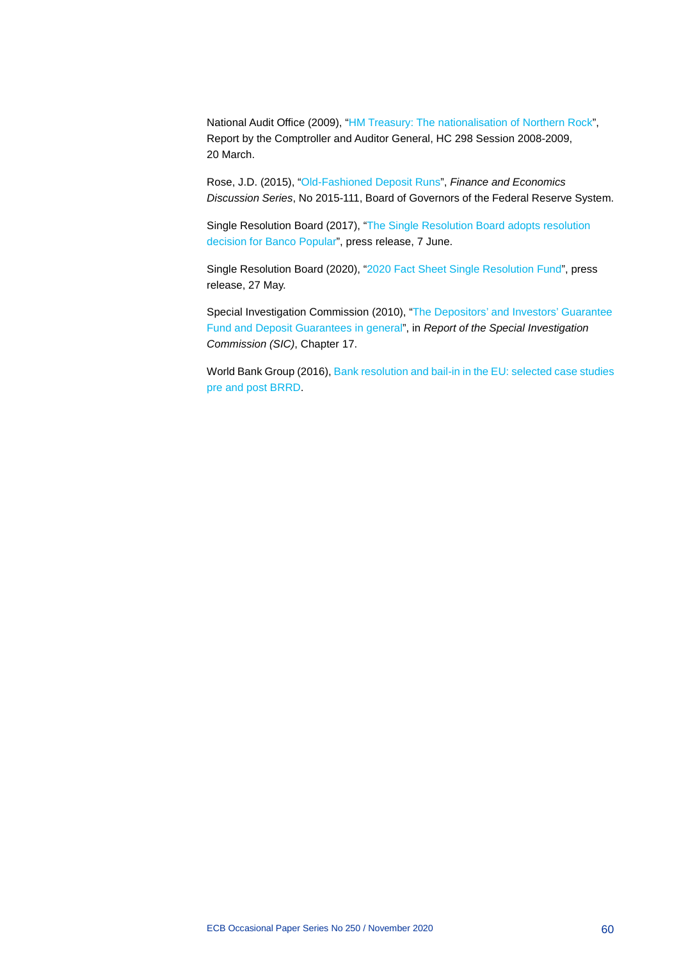National Audit Office (2009), ["HM Treasury: The nationalisation of Northern](https://www.nao.org.uk/wp-content/uploads/2009/03/0809298.pdf) Rock", Report by the Comptroller and Auditor General, HC 298 Session 2008-2009, 20 March.

Rose, J.D. (2015), ["Old-Fashioned Deposit Runs"](https://www.federalreserve.gov/econresdata/feds/2015/files/2015111pap.pdf), *Finance and Economics Discussion Series*, No 2015-111, Board of Governors of the Federal Reserve System.

Single Resolution Board (2017), ["The Single Resolution Board adopts resolution](https://srb.europa.eu/en/node/315)  [decision for Banco Popular"](https://srb.europa.eu/en/node/315), press release, 7 June.

Single Resolution Board (2020), ["2020 Fact Sheet Single Resolution Fund"](https://srb.europa.eu/sites/srbsite/files/2020_fact_sheet.pdf), press release, 27 May.

Special Investigation Commission (2010), ["The Depositors' and Investors' Guarantee](https://www.rna.is/media/skjol/RNAvefKafli17Enska.pdf)  [Fund and Deposit Guarantees in general"](https://www.rna.is/media/skjol/RNAvefKafli17Enska.pdf), in *Report of the Special Investigation Commission (SIC)*, Chapter 17.

World Bank Group (2016), [Bank resolution and bail-in in the EU: selected case studies](http://pubdocs.worldbank.org/en/120651482806846750/FinSAC-BRRD-and-Bail-In-CaseStudies.pdf)  [pre and post BRRD.](http://pubdocs.worldbank.org/en/120651482806846750/FinSAC-BRRD-and-Bail-In-CaseStudies.pdf)